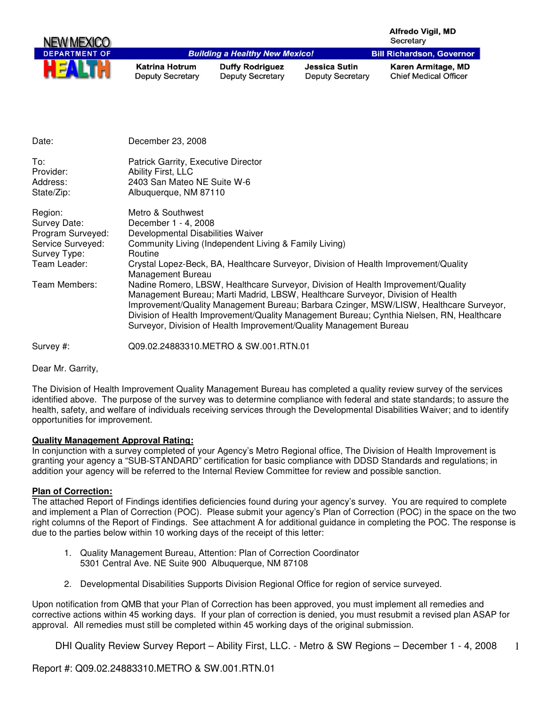| NEW MEXICO           |                                                  |                                                   |                                          | Alfredo Vigil, MD<br>Secretary                     |
|----------------------|--------------------------------------------------|---------------------------------------------------|------------------------------------------|----------------------------------------------------|
| <b>DEPARTMENT OF</b> |                                                  | <b>Building a Healthy New Mexico!</b>             |                                          | <b>Bill Richardson, Governor</b>                   |
| ш                    | <b>Katrina Hotrum</b><br><b>Deputy Secretary</b> | <b>Duffy Rodriguez</b><br><b>Deputy Secretary</b> | Jessica Sutin<br><b>Deputy Secretary</b> | Karen Armitage, MD<br><b>Chief Medical Officer</b> |

| Date:                                                                                             | December 23, 2008                                                                                                                                                                                                                                                                                                                                                                                                               |
|---------------------------------------------------------------------------------------------------|---------------------------------------------------------------------------------------------------------------------------------------------------------------------------------------------------------------------------------------------------------------------------------------------------------------------------------------------------------------------------------------------------------------------------------|
| To:<br>Provider:<br>Address:<br>State/Zip:                                                        | Patrick Garrity, Executive Director<br>Ability First, LLC<br>2403 San Mateo NE Suite W-6<br>Albuquerque, NM 87110                                                                                                                                                                                                                                                                                                               |
| Region:<br>Survey Date:<br>Program Surveyed:<br>Service Surveyed:<br>Survey Type:<br>Team Leader: | Metro & Southwest<br>December 1 - 4, 2008<br>Developmental Disabilities Waiver<br>Community Living (Independent Living & Family Living)<br>Routine<br>Crystal Lopez-Beck, BA, Healthcare Surveyor, Division of Health Improvement/Quality<br>Management Bureau                                                                                                                                                                  |
| Team Members:                                                                                     | Nadine Romero, LBSW, Healthcare Surveyor, Division of Health Improvement/Quality<br>Management Bureau; Marti Madrid, LBSW, Healthcare Surveyor, Division of Health<br>Improvement/Quality Management Bureau; Barbara Czinger, MSW/LISW, Healthcare Surveyor,<br>Division of Health Improvement/Quality Management Bureau; Cynthia Nielsen, RN, Healthcare<br>Surveyor, Division of Health Improvement/Quality Management Bureau |
| Survey #:                                                                                         | Q09.02.24883310.METRO & SW.001.RTN.01                                                                                                                                                                                                                                                                                                                                                                                           |

Dear Mr. Garrity,

The Division of Health Improvement Quality Management Bureau has completed a quality review survey of the services identified above. The purpose of the survey was to determine compliance with federal and state standards; to assure the health, safety, and welfare of individuals receiving services through the Developmental Disabilities Waiver; and to identify opportunities for improvement.

# **Quality Management Approval Rating:**

In conjunction with a survey completed of your Agency's Metro Regional office, The Division of Health Improvement is granting your agency a "SUB-STANDARD" certification for basic compliance with DDSD Standards and regulations; in addition your agency will be referred to the Internal Review Committee for review and possible sanction.

# **Plan of Correction:**

The attached Report of Findings identifies deficiencies found during your agency's survey. You are required to complete and implement a Plan of Correction (POC). Please submit your agency's Plan of Correction (POC) in the space on the two right columns of the Report of Findings. See attachment A for additional guidance in completing the POC. The response is due to the parties below within 10 working days of the receipt of this letter:

- 1. Quality Management Bureau, Attention: Plan of Correction Coordinator 5301 Central Ave. NE Suite 900 Albuquerque, NM 87108
- 2. Developmental Disabilities Supports Division Regional Office for region of service surveyed.

Upon notification from QMB that your Plan of Correction has been approved, you must implement all remedies and corrective actions within 45 working days. If your plan of correction is denied, you must resubmit a revised plan ASAP for approval. All remedies must still be completed within 45 working days of the original submission.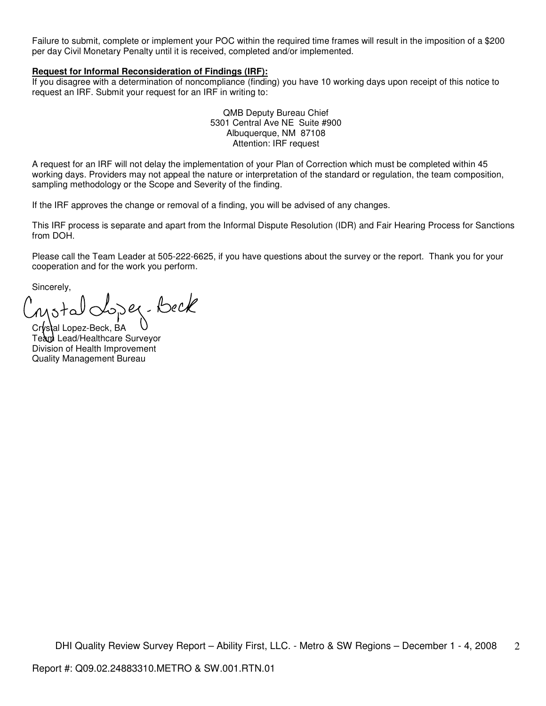Failure to submit, complete or implement your POC within the required time frames will result in the imposition of a \$200 per day Civil Monetary Penalty until it is received, completed and/or implemented.

### **Request for Informal Reconsideration of Findings (IRF):**

If you disagree with a determination of noncompliance (finding) you have 10 working days upon receipt of this notice to request an IRF. Submit your request for an IRF in writing to:

> QMB Deputy Bureau Chief 5301 Central Ave NE Suite #900 Albuquerque, NM 87108 Attention: IRF request

A request for an IRF will not delay the implementation of your Plan of Correction which must be completed within 45 working days. Providers may not appeal the nature or interpretation of the standard or regulation, the team composition, sampling methodology or the Scope and Severity of the finding.

If the IRF approves the change or removal of a finding, you will be advised of any changes.

This IRF process is separate and apart from the Informal Dispute Resolution (IDR) and Fair Hearing Process for Sanctions from DOH.

Please call the Team Leader at 505-222-6625, if you have questions about the survey or the report. Thank you for your cooperation and for the work you perform.

Sincerely,

Lopez-Beck Motal

Crystal Lopez-Beck, BA Team Lead/Healthcare Surveyor Division of Health Improvement Quality Management Bureau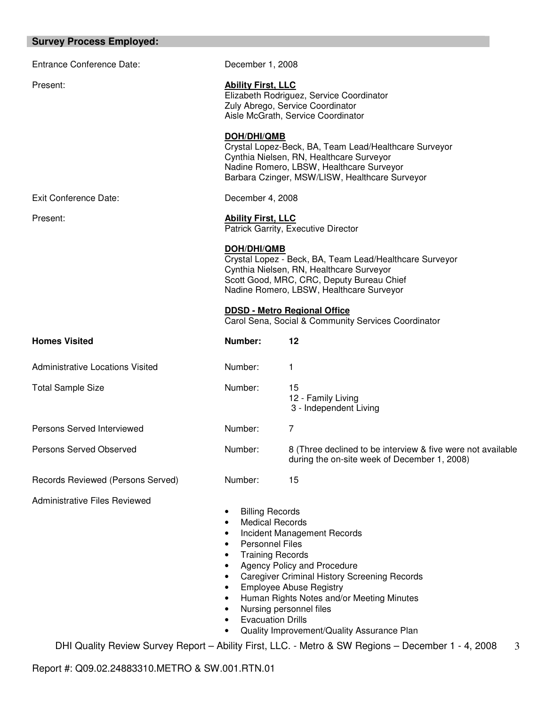# **Survey Process Employed:**

| Entrance Conference Date:               | December 1, 2008                                                                                                                                                                                                                                                    |                                                                                                                                                                                                                                                                           |  |
|-----------------------------------------|---------------------------------------------------------------------------------------------------------------------------------------------------------------------------------------------------------------------------------------------------------------------|---------------------------------------------------------------------------------------------------------------------------------------------------------------------------------------------------------------------------------------------------------------------------|--|
| Present:                                | <b>Ability First, LLC</b><br>Elizabeth Rodriguez, Service Coordinator<br>Zuly Abrego, Service Coordinator<br>Aisle McGrath, Service Coordinator                                                                                                                     |                                                                                                                                                                                                                                                                           |  |
|                                         | <b>DOH/DHI/QMB</b>                                                                                                                                                                                                                                                  | Crystal Lopez-Beck, BA, Team Lead/Healthcare Surveyor<br>Cynthia Nielsen, RN, Healthcare Surveyor<br>Nadine Romero, LBSW, Healthcare Surveyor<br>Barbara Czinger, MSW/LISW, Healthcare Surveyor                                                                           |  |
| Exit Conference Date:                   | December 4, 2008                                                                                                                                                                                                                                                    |                                                                                                                                                                                                                                                                           |  |
| Present:                                | <b>Ability First, LLC</b>                                                                                                                                                                                                                                           | Patrick Garrity, Executive Director                                                                                                                                                                                                                                       |  |
|                                         | <b>DOH/DHI/QMB</b>                                                                                                                                                                                                                                                  | Crystal Lopez - Beck, BA, Team Lead/Healthcare Surveyor<br>Cynthia Nielsen, RN, Healthcare Surveyor<br>Scott Good, MRC, CRC, Deputy Bureau Chief<br>Nadine Romero, LBSW, Healthcare Surveyor                                                                              |  |
|                                         |                                                                                                                                                                                                                                                                     | <b>DDSD - Metro Regional Office</b><br>Carol Sena, Social & Community Services Coordinator                                                                                                                                                                                |  |
| <b>Homes Visited</b>                    | Number:                                                                                                                                                                                                                                                             | 12                                                                                                                                                                                                                                                                        |  |
| <b>Administrative Locations Visited</b> | Number:                                                                                                                                                                                                                                                             | 1                                                                                                                                                                                                                                                                         |  |
| <b>Total Sample Size</b>                | Number:                                                                                                                                                                                                                                                             | 15<br>12 - Family Living<br>3 - Independent Living                                                                                                                                                                                                                        |  |
| Persons Served Interviewed              | Number:                                                                                                                                                                                                                                                             | 7                                                                                                                                                                                                                                                                         |  |
| Persons Served Observed                 | Number:                                                                                                                                                                                                                                                             | 8 (Three declined to be interview & five were not available<br>during the on-site week of December 1, 2008)                                                                                                                                                               |  |
| Records Reviewed (Persons Served)       | Number:                                                                                                                                                                                                                                                             | 15                                                                                                                                                                                                                                                                        |  |
| <b>Administrative Files Reviewed</b>    | <b>Billing Records</b><br>$\bullet$<br><b>Medical Records</b><br>$\bullet$<br>$\bullet$<br><b>Personnel Files</b><br>$\bullet$<br><b>Training Records</b><br>$\bullet$<br>$\bullet$<br>$\bullet$<br>$\bullet$<br>$\bullet$<br>$\bullet$<br><b>Evacuation Drills</b> | Incident Management Records<br>Agency Policy and Procedure<br><b>Caregiver Criminal History Screening Records</b><br><b>Employee Abuse Registry</b><br>Human Rights Notes and/or Meeting Minutes<br>Nursing personnel files<br>Quality Improvement/Quality Assurance Plan |  |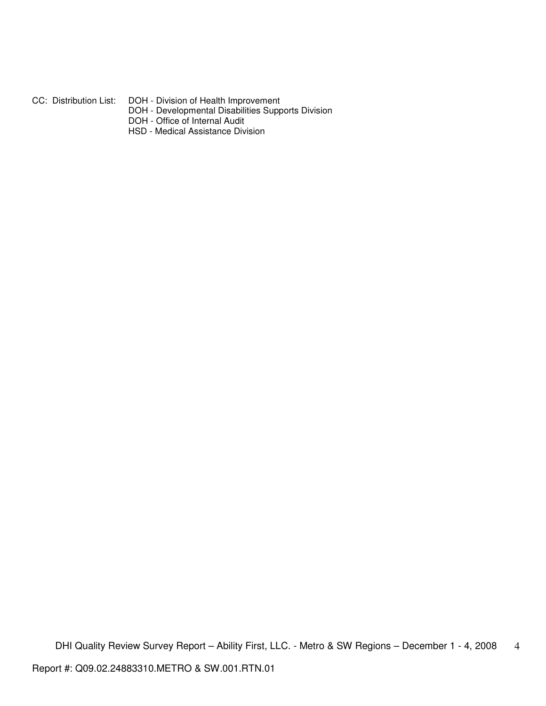- CC: Distribution List: DOH Division of Health Improvement
	- DOH Developmental Disabilities Supports Division
	- DOH Office of Internal Audit
	- HSD Medical Assistance Division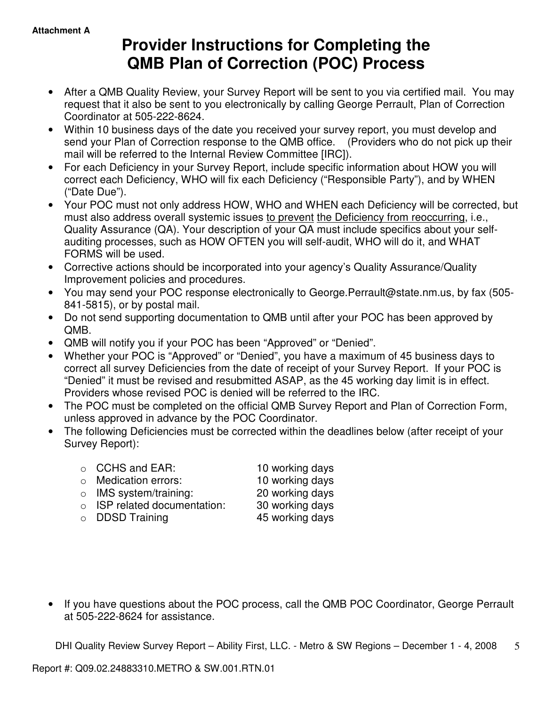# **Provider Instructions for Completing the QMB Plan of Correction (POC) Process**

- After a QMB Quality Review, your Survey Report will be sent to you via certified mail. You may request that it also be sent to you electronically by calling George Perrault, Plan of Correction Coordinator at 505-222-8624.
- Within 10 business days of the date you received your survey report, you must develop and send your Plan of Correction response to the QMB office. (Providers who do not pick up their mail will be referred to the Internal Review Committee [IRC]).
- For each Deficiency in your Survey Report, include specific information about HOW you will correct each Deficiency, WHO will fix each Deficiency ("Responsible Party"), and by WHEN ("Date Due").
- Your POC must not only address HOW, WHO and WHEN each Deficiency will be corrected, but must also address overall systemic issues to prevent the Deficiency from reoccurring, i.e., Quality Assurance (QA). Your description of your QA must include specifics about your selfauditing processes, such as HOW OFTEN you will self-audit, WHO will do it, and WHAT FORMS will be used.
- Corrective actions should be incorporated into your agency's Quality Assurance/Quality Improvement policies and procedures.
- You may send your POC response electronically to George.Perrault@state.nm.us, by fax (505- 841-5815), or by postal mail.
- Do not send supporting documentation to QMB until after your POC has been approved by QMB.
- QMB will notify you if your POC has been "Approved" or "Denied".
- Whether your POC is "Approved" or "Denied", you have a maximum of 45 business days to correct all survey Deficiencies from the date of receipt of your Survey Report. If your POC is "Denied" it must be revised and resubmitted ASAP, as the 45 working day limit is in effect. Providers whose revised POC is denied will be referred to the IRC.
- The POC must be completed on the official QMB Survey Report and Plan of Correction Form, unless approved in advance by the POC Coordinator.
- The following Deficiencies must be corrected within the deadlines below (after receipt of your Survey Report):
	- o CCHS and EAR: 10 working days o Medication errors: 10 working days o IMS system/training: 20 working days
	- o ISP related documentation: 30 working days
	- o DDSD Training 45 working days

• If you have questions about the POC process, call the QMB POC Coordinator, George Perrault at 505-222-8624 for assistance.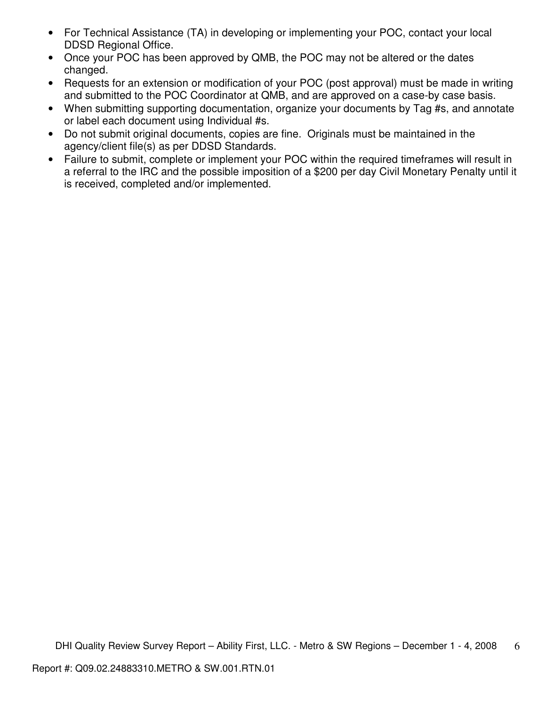- For Technical Assistance (TA) in developing or implementing your POC, contact your local DDSD Regional Office.
- Once your POC has been approved by QMB, the POC may not be altered or the dates changed.
- Requests for an extension or modification of your POC (post approval) must be made in writing and submitted to the POC Coordinator at QMB, and are approved on a case-by case basis.
- When submitting supporting documentation, organize your documents by Tag #s, and annotate or label each document using Individual #s.
- Do not submit original documents, copies are fine. Originals must be maintained in the agency/client file(s) as per DDSD Standards.
- Failure to submit, complete or implement your POC within the required timeframes will result in a referral to the IRC and the possible imposition of a \$200 per day Civil Monetary Penalty until it is received, completed and/or implemented.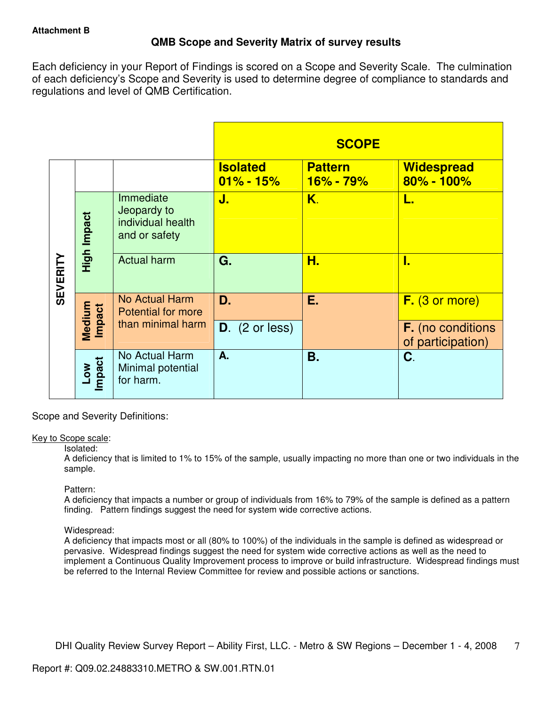# **QMB Scope and Severity Matrix of survey results**

Each deficiency in your Report of Findings is scored on a Scope and Severity Scale. The culmination of each deficiency's Scope and Severity is used to determine degree of compliance to standards and regulations and level of QMB Certification.

|                 |                                   |                                                                |                                  | <b>SCOPE</b>                  |                                               |
|-----------------|-----------------------------------|----------------------------------------------------------------|----------------------------------|-------------------------------|-----------------------------------------------|
|                 |                                   |                                                                | <b>Isolated</b><br>$01\% - 15\%$ | <b>Pattern</b><br>$16% - 79%$ | <b>Widespread</b><br>$80\% - 100\%$           |
|                 | High Impact                       | Immediate<br>Jeopardy to<br>individual health<br>and or safety | J.                               | K.                            | L.                                            |
| <b>SEVERITY</b> |                                   | <b>Actual harm</b>                                             | G.                               | Н.                            | I.                                            |
|                 | Medium<br>Impact                  | No Actual Harm<br><b>Potential for more</b>                    | D.                               | Ε.                            | F. (3 or more)                                |
|                 |                                   | than minimal harm                                              | $D.$ (2 or less)                 |                               | <b>F.</b> (no conditions<br>of participation) |
|                 | <b>Impact</b><br>$\sum_{i=1}^{n}$ | No Actual Harm<br>Minimal potential<br>for harm.               | A.                               | Β.                            | C.                                            |

Scope and Severity Definitions:

# Key to Scope scale:

# Isolated:

A deficiency that is limited to 1% to 15% of the sample, usually impacting no more than one or two individuals in the sample.

# Pattern:

A deficiency that impacts a number or group of individuals from 16% to 79% of the sample is defined as a pattern finding. Pattern findings suggest the need for system wide corrective actions.

# Widespread:

A deficiency that impacts most or all (80% to 100%) of the individuals in the sample is defined as widespread or pervasive. Widespread findings suggest the need for system wide corrective actions as well as the need to implement a Continuous Quality Improvement process to improve or build infrastructure. Widespread findings must be referred to the Internal Review Committee for review and possible actions or sanctions.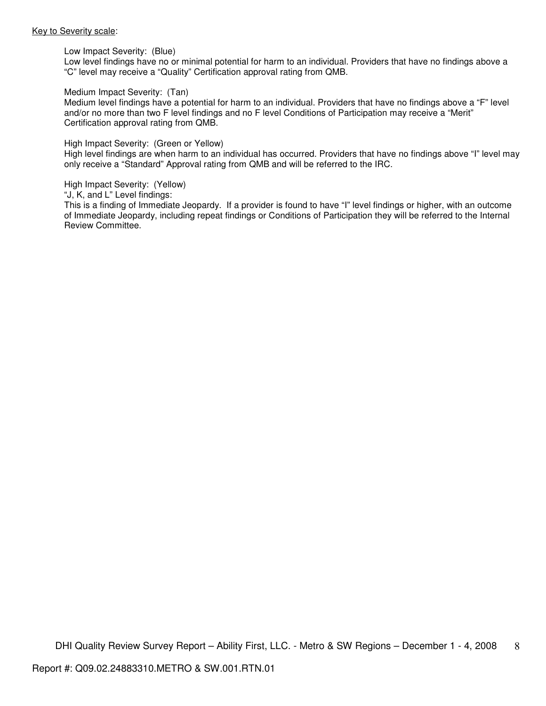#### Key to Severity scale:

Low Impact Severity: (Blue)

Low level findings have no or minimal potential for harm to an individual. Providers that have no findings above a "C" level may receive a "Quality" Certification approval rating from QMB.

#### Medium Impact Severity: (Tan)

Medium level findings have a potential for harm to an individual. Providers that have no findings above a "F" level and/or no more than two F level findings and no F level Conditions of Participation may receive a "Merit" Certification approval rating from QMB.

#### High Impact Severity: (Green or Yellow)

High level findings are when harm to an individual has occurred. Providers that have no findings above "I" level may only receive a "Standard" Approval rating from QMB and will be referred to the IRC.

#### High Impact Severity: (Yellow)

"J, K, and L" Level findings:

This is a finding of Immediate Jeopardy. If a provider is found to have "I" level findings or higher, with an outcome of Immediate Jeopardy, including repeat findings or Conditions of Participation they will be referred to the Internal Review Committee.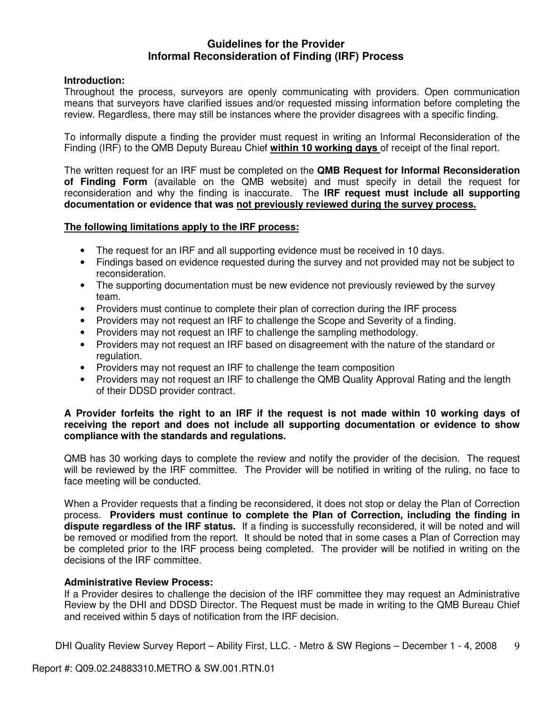# **Guidelines for the Provider Informal Reconsideration of Finding (IRF) Process**

# **Introduction:**

Throughout the process, surveyors are openly communicating with providers. Open communication means that surveyors have clarified issues and/or requested missing information before completing the review. Regardless, there may still be instances where the provider disagrees with a specific finding.

To informally dispute a finding the provider must request in writing an Informal Reconsideration of the Finding (IRF) to the QMB Deputy Bureau Chief **within 10 working days** of receipt of the final report.

The written request for an IRF must be completed on the **QMB Request for Informal Reconsideration of Finding Form** (available on the QMB website) and must specify in detail the request for reconsideration and why the finding is inaccurate. The **IRF request must include all supporting documentation or evidence that was not previously reviewed during the survey process.** 

# **The following limitations apply to the IRF process:**

- The request for an IRF and all supporting evidence must be received in 10 days.
- Findings based on evidence requested during the survey and not provided may not be subject to reconsideration.
- The supporting documentation must be new evidence not previously reviewed by the survey team.
- Providers must continue to complete their plan of correction during the IRF process
- Providers may not request an IRF to challenge the Scope and Severity of a finding.
- Providers may not request an IRF to challenge the sampling methodology.
- Providers may not request an IRF based on disagreement with the nature of the standard or regulation.
- Providers may not request an IRF to challenge the team composition
- Providers may not request an IRF to challenge the QMB Quality Approval Rating and the length of their DDSD provider contract.

# **A Provider forfeits the right to an IRF if the request is not made within 10 working days of receiving the report and does not include all supporting documentation or evidence to show compliance with the standards and regulations.**

QMB has 30 working days to complete the review and notify the provider of the decision. The request will be reviewed by the IRF committee. The Provider will be notified in writing of the ruling, no face to face meeting will be conducted.

When a Provider requests that a finding be reconsidered, it does not stop or delay the Plan of Correction process. **Providers must continue to complete the Plan of Correction, including the finding in dispute regardless of the IRF status.** If a finding is successfully reconsidered, it will be noted and will be removed or modified from the report. It should be noted that in some cases a Plan of Correction may be completed prior to the IRF process being completed. The provider will be notified in writing on the decisions of the IRF committee.

# **Administrative Review Process:**

If a Provider desires to challenge the decision of the IRF committee they may request an Administrative Review by the DHI and DDSD Director. The Request must be made in writing to the QMB Bureau Chief and received within 5 days of notification from the IRF decision.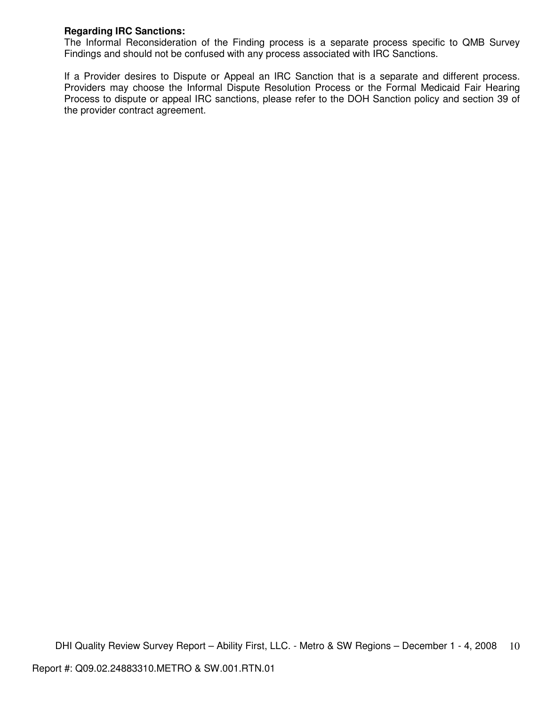# **Regarding IRC Sanctions:**

The Informal Reconsideration of the Finding process is a separate process specific to QMB Survey Findings and should not be confused with any process associated with IRC Sanctions.

If a Provider desires to Dispute or Appeal an IRC Sanction that is a separate and different process. Providers may choose the Informal Dispute Resolution Process or the Formal Medicaid Fair Hearing Process to dispute or appeal IRC sanctions, please refer to the DOH Sanction policy and section 39 of the provider contract agreement.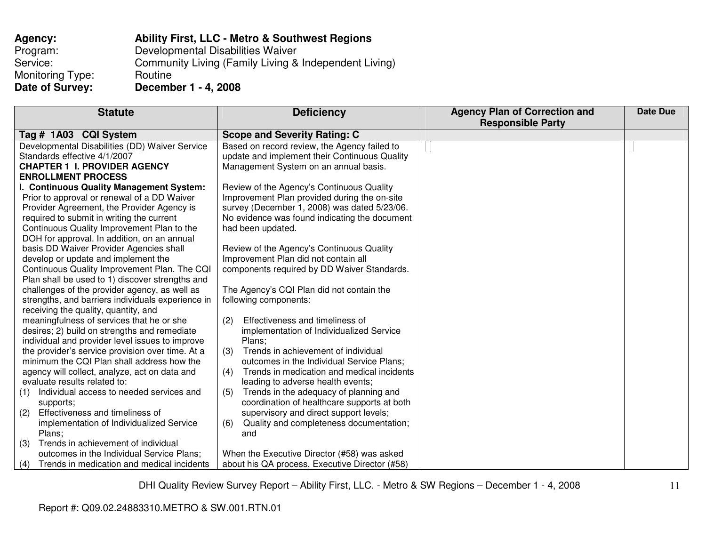| Agency:          | <b>Ability First, LLC - Metro &amp; Southwest Regions</b> |
|------------------|-----------------------------------------------------------|
| Program:         | Developmental Disabilities Waiver                         |
| Service:         | Community Living (Family Living & Independent Living)     |
| Monitoring Type: | Routine                                                   |
| Date of Survey:  | December 1 - 4, 2008                                      |

| <b>Statute</b>                                    | <b>Deficiency</b>                                 | <b>Agency Plan of Correction and</b> | Date Due |
|---------------------------------------------------|---------------------------------------------------|--------------------------------------|----------|
|                                                   |                                                   | <b>Responsible Party</b>             |          |
| Tag # 1A03 CQI System                             | <b>Scope and Severity Rating: C</b>               |                                      |          |
| Developmental Disabilities (DD) Waiver Service    | Based on record review, the Agency failed to      |                                      |          |
| Standards effective 4/1/2007                      | update and implement their Continuous Quality     |                                      |          |
| <b>CHAPTER 1 I. PROVIDER AGENCY</b>               | Management System on an annual basis.             |                                      |          |
| <b>ENROLLMENT PROCESS</b>                         |                                                   |                                      |          |
| I. Continuous Quality Management System:          | Review of the Agency's Continuous Quality         |                                      |          |
| Prior to approval or renewal of a DD Waiver       | Improvement Plan provided during the on-site      |                                      |          |
| Provider Agreement, the Provider Agency is        | survey (December 1, 2008) was dated 5/23/06.      |                                      |          |
| required to submit in writing the current         | No evidence was found indicating the document     |                                      |          |
| Continuous Quality Improvement Plan to the        | had been updated.                                 |                                      |          |
| DOH for approval. In addition, on an annual       |                                                   |                                      |          |
| basis DD Waiver Provider Agencies shall           | Review of the Agency's Continuous Quality         |                                      |          |
| develop or update and implement the               | Improvement Plan did not contain all              |                                      |          |
| Continuous Quality Improvement Plan. The CQI      | components required by DD Waiver Standards.       |                                      |          |
| Plan shall be used to 1) discover strengths and   |                                                   |                                      |          |
| challenges of the provider agency, as well as     | The Agency's CQI Plan did not contain the         |                                      |          |
| strengths, and barriers individuals experience in | following components:                             |                                      |          |
| receiving the quality, quantity, and              |                                                   |                                      |          |
| meaningfulness of services that he or she         | Effectiveness and timeliness of<br>(2)            |                                      |          |
| desires; 2) build on strengths and remediate      | implementation of Individualized Service          |                                      |          |
| individual and provider level issues to improve   | Plans;                                            |                                      |          |
| the provider's service provision over time. At a  | Trends in achievement of individual<br>(3)        |                                      |          |
| minimum the CQI Plan shall address how the        | outcomes in the Individual Service Plans;         |                                      |          |
| agency will collect, analyze, act on data and     | Trends in medication and medical incidents<br>(4) |                                      |          |
| evaluate results related to:                      | leading to adverse health events;                 |                                      |          |
| Individual access to needed services and<br>(1)   | Trends in the adequacy of planning and<br>(5)     |                                      |          |
| supports;                                         | coordination of healthcare supports at both       |                                      |          |
| Effectiveness and timeliness of<br>(2)            | supervisory and direct support levels;            |                                      |          |
| implementation of Individualized Service          | Quality and completeness documentation;<br>(6)    |                                      |          |
| Plans;                                            | and                                               |                                      |          |
| Trends in achievement of individual<br>(3)        |                                                   |                                      |          |
| outcomes in the Individual Service Plans;         | When the Executive Director (#58) was asked       |                                      |          |
| Trends in medication and medical incidents<br>(4) | about his QA process, Executive Director (#58)    |                                      |          |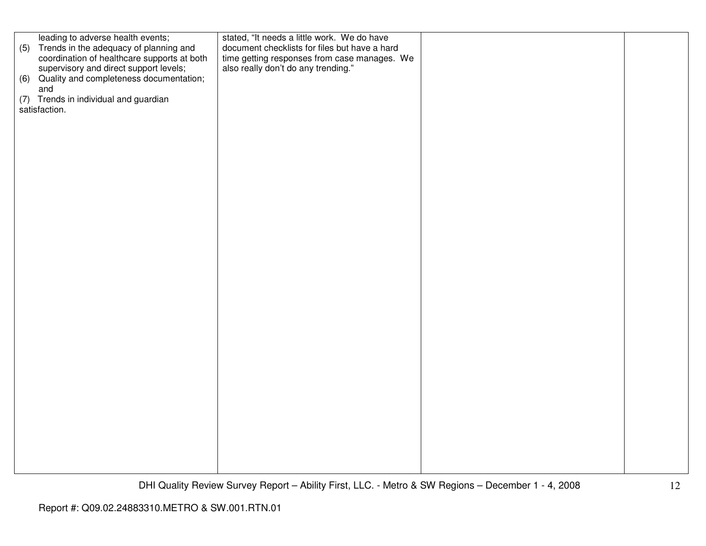|     | leading to adverse health events;           | stated, "It needs a little work. We do have   |  |
|-----|---------------------------------------------|-----------------------------------------------|--|
| (5) | Trends in the adequacy of planning and      | document checklists for files but have a hard |  |
|     | coordination of healthcare supports at both | time getting responses from case manages. We  |  |
|     |                                             | also really don't do any trending."           |  |
|     | supervisory and direct support levels;      |                                               |  |
|     | (6) Quality and completeness documentation; |                                               |  |
|     | and                                         |                                               |  |
|     | (7) Trends in individual and guardian       |                                               |  |
|     |                                             |                                               |  |
|     | satisfaction.                               |                                               |  |
|     |                                             |                                               |  |
|     |                                             |                                               |  |
|     |                                             |                                               |  |
|     |                                             |                                               |  |
|     |                                             |                                               |  |
|     |                                             |                                               |  |
|     |                                             |                                               |  |
|     |                                             |                                               |  |
|     |                                             |                                               |  |
|     |                                             |                                               |  |
|     |                                             |                                               |  |
|     |                                             |                                               |  |
|     |                                             |                                               |  |
|     |                                             |                                               |  |
|     |                                             |                                               |  |
|     |                                             |                                               |  |
|     |                                             |                                               |  |
|     |                                             |                                               |  |
|     |                                             |                                               |  |
|     |                                             |                                               |  |
|     |                                             |                                               |  |
|     |                                             |                                               |  |
|     |                                             |                                               |  |
|     |                                             |                                               |  |
|     |                                             |                                               |  |
|     |                                             |                                               |  |
|     |                                             |                                               |  |
|     |                                             |                                               |  |
|     |                                             |                                               |  |
|     |                                             |                                               |  |
|     |                                             |                                               |  |
|     |                                             |                                               |  |
|     |                                             |                                               |  |
|     |                                             |                                               |  |
|     |                                             |                                               |  |
|     |                                             |                                               |  |
|     |                                             |                                               |  |
|     |                                             |                                               |  |
|     |                                             |                                               |  |
|     |                                             |                                               |  |
|     |                                             |                                               |  |
|     |                                             |                                               |  |
|     |                                             |                                               |  |
|     |                                             |                                               |  |
|     |                                             |                                               |  |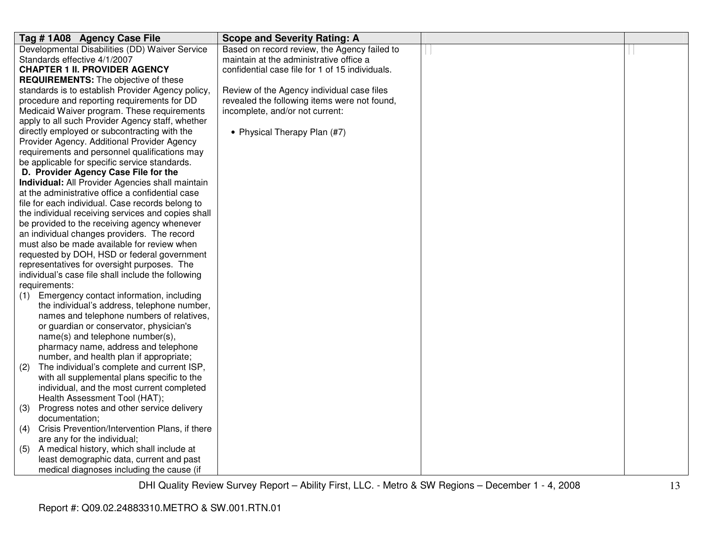|                   | Tag #1A08 Agency Case File                                                                                                                                                                                                            | <b>Scope and Severity Rating: A</b>             |  |
|-------------------|---------------------------------------------------------------------------------------------------------------------------------------------------------------------------------------------------------------------------------------|-------------------------------------------------|--|
|                   | Developmental Disabilities (DD) Waiver Service                                                                                                                                                                                        | Based on record review, the Agency failed to    |  |
|                   | Standards effective 4/1/2007                                                                                                                                                                                                          | maintain at the administrative office a         |  |
|                   | <b>CHAPTER 1 II. PROVIDER AGENCY</b>                                                                                                                                                                                                  | confidential case file for 1 of 15 individuals. |  |
|                   | <b>REQUIREMENTS:</b> The objective of these                                                                                                                                                                                           |                                                 |  |
|                   | standards is to establish Provider Agency policy,                                                                                                                                                                                     | Review of the Agency individual case files      |  |
|                   | procedure and reporting requirements for DD                                                                                                                                                                                           | revealed the following items were not found,    |  |
|                   | Medicaid Waiver program. These requirements                                                                                                                                                                                           | incomplete, and/or not current:                 |  |
|                   | apply to all such Provider Agency staff, whether                                                                                                                                                                                      |                                                 |  |
|                   | directly employed or subcontracting with the                                                                                                                                                                                          | • Physical Therapy Plan (#7)                    |  |
|                   | Provider Agency. Additional Provider Agency                                                                                                                                                                                           |                                                 |  |
|                   | requirements and personnel qualifications may                                                                                                                                                                                         |                                                 |  |
|                   | be applicable for specific service standards.                                                                                                                                                                                         |                                                 |  |
|                   | D. Provider Agency Case File for the                                                                                                                                                                                                  |                                                 |  |
|                   | Individual: All Provider Agencies shall maintain                                                                                                                                                                                      |                                                 |  |
|                   | at the administrative office a confidential case                                                                                                                                                                                      |                                                 |  |
|                   | file for each individual. Case records belong to                                                                                                                                                                                      |                                                 |  |
|                   | the individual receiving services and copies shall                                                                                                                                                                                    |                                                 |  |
|                   | be provided to the receiving agency whenever                                                                                                                                                                                          |                                                 |  |
|                   | an individual changes providers. The record                                                                                                                                                                                           |                                                 |  |
|                   | must also be made available for review when                                                                                                                                                                                           |                                                 |  |
|                   | requested by DOH, HSD or federal government                                                                                                                                                                                           |                                                 |  |
|                   | representatives for oversight purposes. The                                                                                                                                                                                           |                                                 |  |
|                   | individual's case file shall include the following                                                                                                                                                                                    |                                                 |  |
|                   | requirements:                                                                                                                                                                                                                         |                                                 |  |
| (1)               | Emergency contact information, including                                                                                                                                                                                              |                                                 |  |
|                   | the individual's address, telephone number,                                                                                                                                                                                           |                                                 |  |
|                   | names and telephone numbers of relatives,                                                                                                                                                                                             |                                                 |  |
|                   | or guardian or conservator, physician's                                                                                                                                                                                               |                                                 |  |
|                   | name(s) and telephone number(s),                                                                                                                                                                                                      |                                                 |  |
|                   | pharmacy name, address and telephone                                                                                                                                                                                                  |                                                 |  |
|                   | number, and health plan if appropriate;                                                                                                                                                                                               |                                                 |  |
| (2)               | The individual's complete and current ISP,                                                                                                                                                                                            |                                                 |  |
|                   | with all supplemental plans specific to the                                                                                                                                                                                           |                                                 |  |
|                   | individual, and the most current completed<br>Health Assessment Tool (HAT);                                                                                                                                                           |                                                 |  |
|                   |                                                                                                                                                                                                                                       |                                                 |  |
|                   |                                                                                                                                                                                                                                       |                                                 |  |
|                   |                                                                                                                                                                                                                                       |                                                 |  |
|                   |                                                                                                                                                                                                                                       |                                                 |  |
|                   |                                                                                                                                                                                                                                       |                                                 |  |
|                   |                                                                                                                                                                                                                                       |                                                 |  |
|                   | medical diagnoses including the cause (if                                                                                                                                                                                             |                                                 |  |
| (3)<br>(4)<br>(5) | Progress notes and other service delivery<br>documentation;<br>Crisis Prevention/Intervention Plans, if there<br>are any for the individual;<br>A medical history, which shall include at<br>least demographic data, current and past |                                                 |  |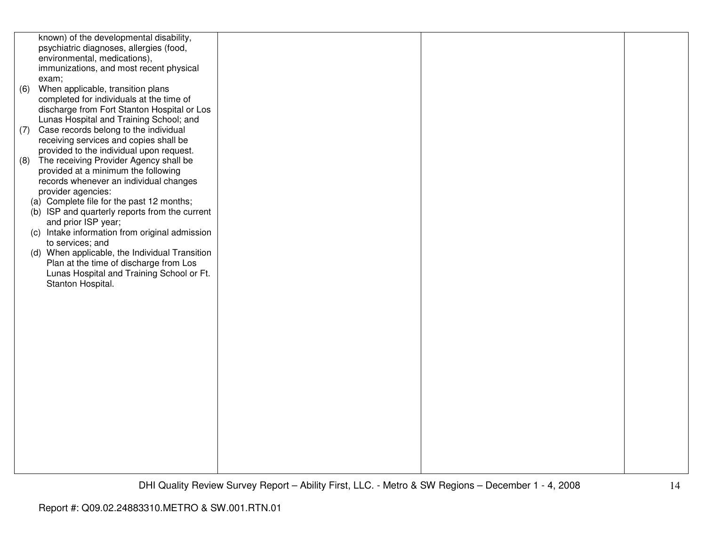|     | known) of the developmental disability,        |  |  |
|-----|------------------------------------------------|--|--|
|     | psychiatric diagnoses, allergies (food,        |  |  |
|     |                                                |  |  |
|     | environmental, medications),                   |  |  |
|     | immunizations, and most recent physical        |  |  |
|     | exam;                                          |  |  |
| (6) | When applicable, transition plans              |  |  |
|     | completed for individuals at the time of       |  |  |
|     |                                                |  |  |
|     | discharge from Fort Stanton Hospital or Los    |  |  |
|     | Lunas Hospital and Training School; and        |  |  |
| (7) | Case records belong to the individual          |  |  |
|     | receiving services and copies shall be         |  |  |
|     | provided to the individual upon request.       |  |  |
|     |                                                |  |  |
| (8) | The receiving Provider Agency shall be         |  |  |
|     | provided at a minimum the following            |  |  |
|     | records whenever an individual changes         |  |  |
|     | provider agencies:                             |  |  |
|     | (a) Complete file for the past 12 months;      |  |  |
|     | (b) ISP and quarterly reports from the current |  |  |
|     |                                                |  |  |
|     | and prior ISP year;                            |  |  |
|     | (c) Intake information from original admission |  |  |
|     | to services; and                               |  |  |
|     | (d) When applicable, the Individual Transition |  |  |
|     | Plan at the time of discharge from Los         |  |  |
|     |                                                |  |  |
|     | Lunas Hospital and Training School or Ft.      |  |  |
|     | Stanton Hospital.                              |  |  |
|     |                                                |  |  |
|     |                                                |  |  |
|     |                                                |  |  |
|     |                                                |  |  |
|     |                                                |  |  |
|     |                                                |  |  |
|     |                                                |  |  |
|     |                                                |  |  |
|     |                                                |  |  |
|     |                                                |  |  |
|     |                                                |  |  |
|     |                                                |  |  |
|     |                                                |  |  |
|     |                                                |  |  |
|     |                                                |  |  |
|     |                                                |  |  |
|     |                                                |  |  |
|     |                                                |  |  |
|     |                                                |  |  |
|     |                                                |  |  |
|     |                                                |  |  |
|     |                                                |  |  |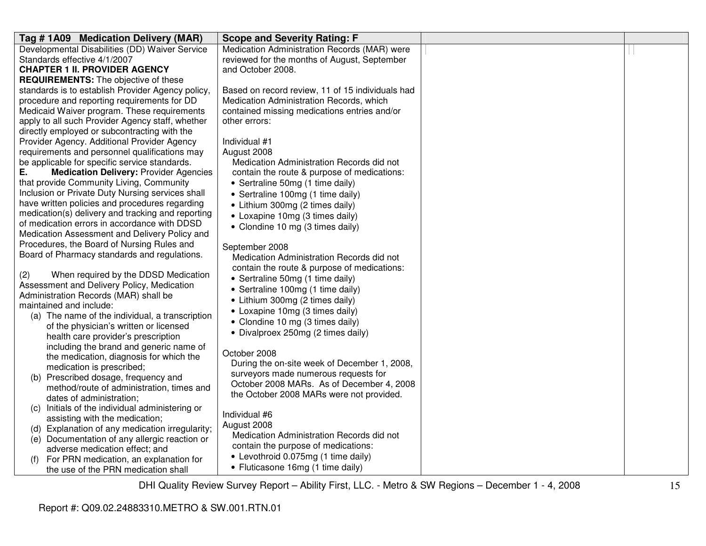| Tag #1A09 Medication Delivery (MAR)                                                        | <b>Scope and Severity Rating: F</b>              |  |
|--------------------------------------------------------------------------------------------|--------------------------------------------------|--|
| Developmental Disabilities (DD) Waiver Service                                             | Medication Administration Records (MAR) were     |  |
| Standards effective 4/1/2007                                                               | reviewed for the months of August, September     |  |
| <b>CHAPTER 1 II. PROVIDER AGENCY</b>                                                       | and October 2008.                                |  |
| <b>REQUIREMENTS:</b> The objective of these                                                |                                                  |  |
| standards is to establish Provider Agency policy,                                          | Based on record review, 11 of 15 individuals had |  |
| procedure and reporting requirements for DD                                                | Medication Administration Records, which         |  |
| Medicaid Waiver program. These requirements                                                | contained missing medications entries and/or     |  |
| apply to all such Provider Agency staff, whether                                           | other errors:                                    |  |
| directly employed or subcontracting with the                                               |                                                  |  |
| Provider Agency. Additional Provider Agency                                                | Individual #1                                    |  |
| requirements and personnel qualifications may                                              | August 2008                                      |  |
| be applicable for specific service standards.                                              | Medication Administration Records did not        |  |
| Е.<br><b>Medication Delivery: Provider Agencies</b>                                        | contain the route & purpose of medications:      |  |
| that provide Community Living, Community                                                   | • Sertraline 50mg (1 time daily)                 |  |
| Inclusion or Private Duty Nursing services shall                                           | • Sertraline 100mg (1 time daily)                |  |
| have written policies and procedures regarding                                             | • Lithium 300mg (2 times daily)                  |  |
| medication(s) delivery and tracking and reporting                                          | • Loxapine 10mg (3 times daily)                  |  |
| of medication errors in accordance with DDSD                                               | • Clondine 10 mg (3 times daily)                 |  |
| Medication Assessment and Delivery Policy and                                              |                                                  |  |
| Procedures, the Board of Nursing Rules and<br>Board of Pharmacy standards and regulations. | September 2008                                   |  |
|                                                                                            | Medication Administration Records did not        |  |
| When required by the DDSD Medication<br>(2)                                                | contain the route & purpose of medications:      |  |
| Assessment and Delivery Policy, Medication                                                 | • Sertraline 50mg (1 time daily)                 |  |
| Administration Records (MAR) shall be                                                      | • Sertraline 100mg (1 time daily)                |  |
| maintained and include:                                                                    | • Lithium 300mg (2 times daily)                  |  |
| (a) The name of the individual, a transcription                                            | • Loxapine 10mg (3 times daily)                  |  |
| of the physician's written or licensed                                                     | • Clondine 10 mg (3 times daily)                 |  |
| health care provider's prescription                                                        | • Divalproex 250mg (2 times daily)               |  |
| including the brand and generic name of                                                    |                                                  |  |
| the medication, diagnosis for which the                                                    | October 2008                                     |  |
| medication is prescribed;                                                                  | During the on-site week of December 1, 2008,     |  |
| (b) Prescribed dosage, frequency and                                                       | surveyors made numerous requests for             |  |
| method/route of administration, times and                                                  | October 2008 MARs. As of December 4, 2008        |  |
| dates of administration;                                                                   | the October 2008 MARs were not provided.         |  |
| Initials of the individual administering or<br>(C)                                         |                                                  |  |
| assisting with the medication;                                                             | Individual #6                                    |  |
| (d) Explanation of any medication irregularity;                                            | August 2008                                      |  |
| (e) Documentation of any allergic reaction or                                              | Medication Administration Records did not        |  |
| adverse medication effect; and                                                             | contain the purpose of medications:              |  |
| For PRN medication, an explanation for                                                     | • Levothroid 0.075mg (1 time daily)              |  |
| the use of the PRN medication shall                                                        | • Fluticasone 16mg (1 time daily)                |  |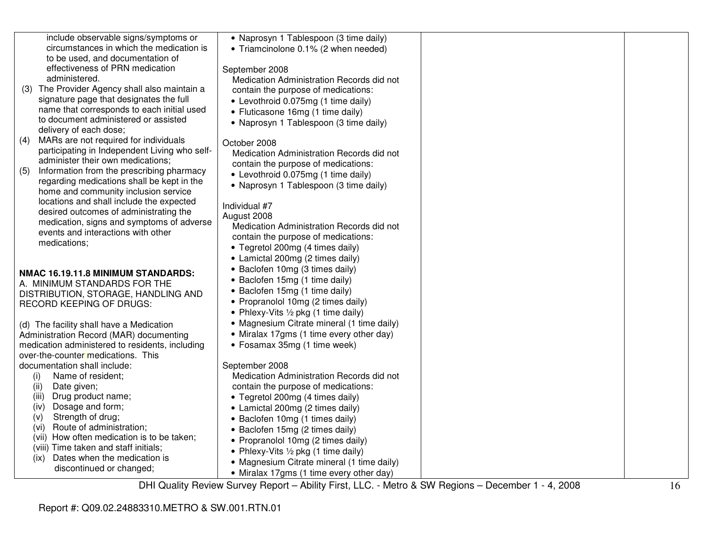|     | include observable signs/symptoms or            | • Naprosyn 1 Tablespoon (3 time daily)     |  |
|-----|-------------------------------------------------|--------------------------------------------|--|
|     | circumstances in which the medication is        | • Triamcinolone 0.1% (2 when needed)       |  |
|     | to be used, and documentation of                |                                            |  |
|     | effectiveness of PRN medication                 | September 2008                             |  |
|     | administered.                                   | Medication Administration Records did not  |  |
|     | (3) The Provider Agency shall also maintain a   | contain the purpose of medications:        |  |
|     | signature page that designates the full         | • Levothroid 0.075mg (1 time daily)        |  |
|     | name that corresponds to each initial used      | • Fluticasone 16mg (1 time daily)          |  |
|     | to document administered or assisted            | • Naprosyn 1 Tablespoon (3 time daily)     |  |
|     | delivery of each dose;                          |                                            |  |
| (4) | MARs are not required for individuals           | October 2008                               |  |
|     | participating in Independent Living who self-   | Medication Administration Records did not  |  |
|     | administer their own medications;               | contain the purpose of medications:        |  |
| (5) | Information from the prescribing pharmacy       | • Levothroid 0.075mg (1 time daily)        |  |
|     | regarding medications shall be kept in the      | • Naprosyn 1 Tablespoon (3 time daily)     |  |
|     | home and community inclusion service            |                                            |  |
|     | locations and shall include the expected        | Individual #7                              |  |
|     | desired outcomes of administrating the          | August 2008                                |  |
|     | medication, signs and symptoms of adverse       | Medication Administration Records did not  |  |
|     | events and interactions with other              | contain the purpose of medications:        |  |
|     | medications;                                    | • Tegretol 200mg (4 times daily)           |  |
|     |                                                 | • Lamictal 200mg (2 times daily)           |  |
|     | NMAC 16.19.11.8 MINIMUM STANDARDS:              | • Baclofen 10mg (3 times daily)            |  |
|     | A. MINIMUM STANDARDS FOR THE                    | • Baclofen 15mg (1 time daily)             |  |
|     | DISTRIBUTION, STORAGE, HANDLING AND             | • Baclofen 15mg (1 time daily)             |  |
|     | <b>RECORD KEEPING OF DRUGS:</b>                 | • Propranolol 10mg (2 times daily)         |  |
|     |                                                 | • Phlexy-Vits 1/2 pkg (1 time daily)       |  |
|     | (d) The facility shall have a Medication        | • Magnesium Citrate mineral (1 time daily) |  |
|     | Administration Record (MAR) documenting         | • Miralax 17gms (1 time every other day)   |  |
|     | medication administered to residents, including | • Fosamax 35mg (1 time week)               |  |
|     | over-the-counter medications. This              |                                            |  |
|     | documentation shall include:                    | September 2008                             |  |
|     | (i)<br>Name of resident;                        | Medication Administration Records did not  |  |
|     | Date given;<br>(ii)                             | contain the purpose of medications:        |  |
|     | Drug product name;<br>(iii)                     | • Tegretol 200mg (4 times daily)           |  |
|     | Dosage and form;<br>(iv)                        | • Lamictal 200mg (2 times daily)           |  |
|     | Strength of drug;<br>(V)                        | • Baclofen 10mg (1 times daily)            |  |
|     | Route of administration;<br>(vi)                | • Baclofen 15mg (2 times daily)            |  |
|     | (vii) How often medication is to be taken;      | • Propranolol 10mg (2 times daily)         |  |
|     | (viii) Time taken and staff initials;           | • Phlexy-Vits 1/2 pkg (1 time daily)       |  |
|     | Dates when the medication is<br>(ix)            | • Magnesium Citrate mineral (1 time daily) |  |
|     | discontinued or changed;                        | • Miralax 17gms (1 time every other day)   |  |
|     |                                                 |                                            |  |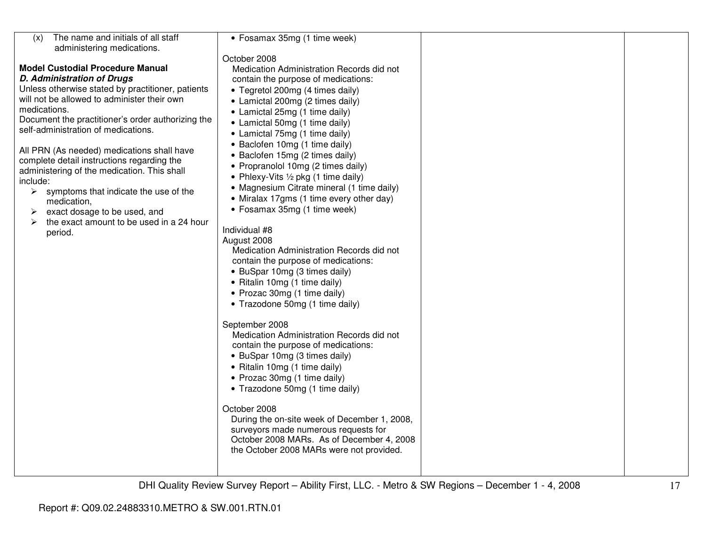| The name and initials of all staff<br>(x)<br>administering medications. | • Fosamax 35mg (1 time week)                   |  |
|-------------------------------------------------------------------------|------------------------------------------------|--|
|                                                                         | October 2008                                   |  |
| <b>Model Custodial Procedure Manual</b>                                 | Medication Administration Records did not      |  |
| <b>D. Administration of Drugs</b>                                       | contain the purpose of medications:            |  |
| Unless otherwise stated by practitioner, patients                       | • Tegretol 200mg (4 times daily)               |  |
| will not be allowed to administer their own                             |                                                |  |
| medications.                                                            | • Lamictal 200mg (2 times daily)               |  |
| Document the practitioner's order authorizing the                       | • Lamictal 25mg (1 time daily)                 |  |
| self-administration of medications.                                     | • Lamictal 50mg (1 time daily)                 |  |
|                                                                         | • Lamictal 75mg (1 time daily)                 |  |
| All PRN (As needed) medications shall have                              | • Baclofen 10mg (1 time daily)                 |  |
| complete detail instructions regarding the                              | • Baclofen 15mg (2 times daily)                |  |
| administering of the medication. This shall                             | • Propranolol 10mg (2 times daily)             |  |
| include:                                                                | • Phlexy-Vits $\frac{1}{2}$ pkg (1 time daily) |  |
| $\triangleright$ symptoms that indicate the use of the                  | • Magnesium Citrate mineral (1 time daily)     |  |
| medication,                                                             | • Miralax 17gms (1 time every other day)       |  |
| exact dosage to be used, and<br>➤                                       | • Fosamax 35mg (1 time week)                   |  |
| the exact amount to be used in a 24 hour                                |                                                |  |
| period.                                                                 | Individual #8                                  |  |
|                                                                         | August 2008                                    |  |
|                                                                         | Medication Administration Records did not      |  |
|                                                                         | contain the purpose of medications:            |  |
|                                                                         | • BuSpar 10mg (3 times daily)                  |  |
|                                                                         | • Ritalin 10mg (1 time daily)                  |  |
|                                                                         | • Prozac 30mg (1 time daily)                   |  |
|                                                                         | • Trazodone 50mg (1 time daily)                |  |
|                                                                         |                                                |  |
|                                                                         | September 2008                                 |  |
|                                                                         | Medication Administration Records did not      |  |
|                                                                         | contain the purpose of medications:            |  |
|                                                                         | • BuSpar 10mg (3 times daily)                  |  |
|                                                                         |                                                |  |
|                                                                         | • Ritalin 10mg (1 time daily)                  |  |
|                                                                         | • Prozac 30mg (1 time daily)                   |  |
|                                                                         | • Trazodone 50mg (1 time daily)                |  |
|                                                                         |                                                |  |
|                                                                         | October 2008                                   |  |
|                                                                         | During the on-site week of December 1, 2008,   |  |
|                                                                         | surveyors made numerous requests for           |  |
|                                                                         | October 2008 MARs. As of December 4, 2008      |  |
|                                                                         | the October 2008 MARs were not provided.       |  |
|                                                                         |                                                |  |
|                                                                         |                                                |  |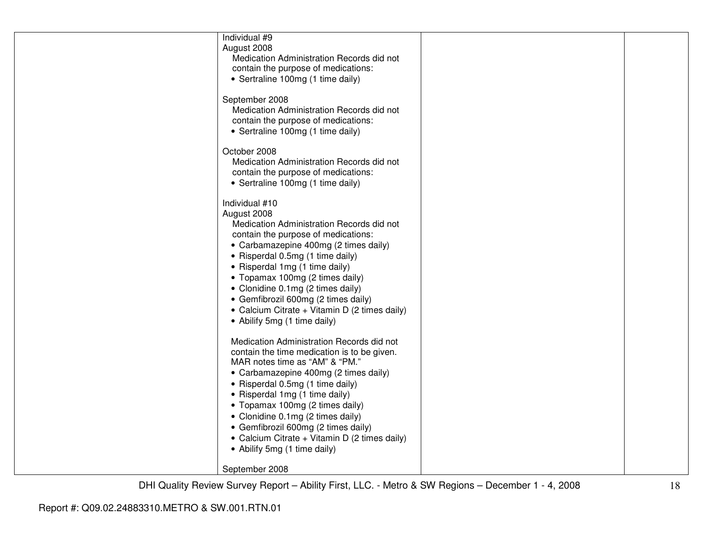| Individual #9<br>August 2008<br>Medication Administration Records did not<br>contain the purpose of medications:<br>• Sertraline 100mg (1 time daily)                                                                                                                                                                                                                                                                                     |  |
|-------------------------------------------------------------------------------------------------------------------------------------------------------------------------------------------------------------------------------------------------------------------------------------------------------------------------------------------------------------------------------------------------------------------------------------------|--|
| September 2008<br>Medication Administration Records did not<br>contain the purpose of medications:<br>• Sertraline 100mg (1 time daily)                                                                                                                                                                                                                                                                                                   |  |
| October 2008<br>Medication Administration Records did not<br>contain the purpose of medications:<br>• Sertraline 100mg (1 time daily)                                                                                                                                                                                                                                                                                                     |  |
| Individual #10<br>August 2008<br>Medication Administration Records did not<br>contain the purpose of medications:<br>• Carbamazepine 400mg (2 times daily)<br>• Risperdal 0.5mg (1 time daily)<br>• Risperdal 1mg (1 time daily)<br>• Topamax 100mg (2 times daily)<br>• Clonidine 0.1mg (2 times daily)<br>• Gemfibrozil 600mg (2 times daily)<br>• Calcium Citrate + Vitamin D (2 times daily)<br>• Abilify 5mg (1 time daily)          |  |
| Medication Administration Records did not<br>contain the time medication is to be given.<br>MAR notes time as "AM" & "PM."<br>• Carbamazepine 400mg (2 times daily)<br>• Risperdal 0.5mg (1 time daily)<br>• Risperdal 1mg (1 time daily)<br>• Topamax 100mg (2 times daily)<br>• Clonidine 0.1mg (2 times daily)<br>• Gemfibrozil 600mg (2 times daily)<br>• Calcium Citrate + Vitamin D (2 times daily)<br>• Abilify 5mg (1 time daily) |  |
| September 2008                                                                                                                                                                                                                                                                                                                                                                                                                            |  |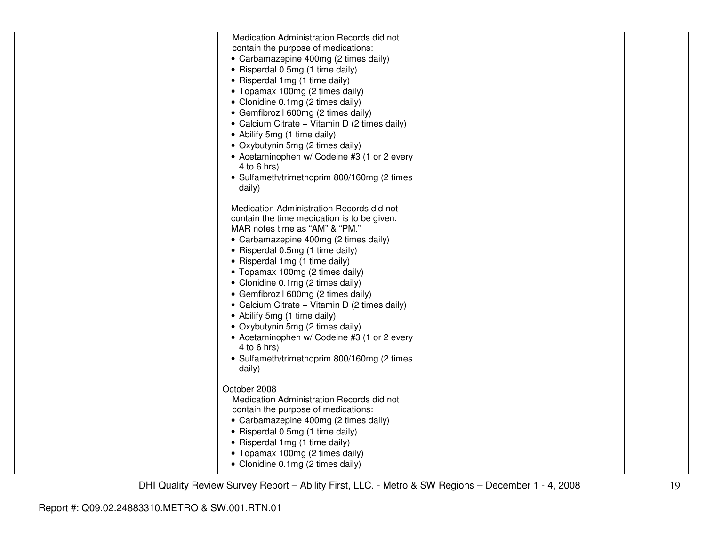| contain the purpose of medications:<br>• Carbamazepine 400mg (2 times daily)<br>• Risperdal 0.5mg (1 time daily)<br>• Risperdal 1mg (1 time daily)<br>• Topamax 100mg (2 times daily)<br>• Clonidine 0.1mg (2 times daily)<br>• Gemfibrozil 600mg (2 times daily)<br>• Calcium Citrate + Vitamin D (2 times daily)<br>• Abilify 5mg (1 time daily)<br>• Oxybutynin 5mg (2 times daily)<br>• Acetaminophen w/ Codeine #3 (1 or 2 every<br>$4$ to 6 hrs)<br>• Sulfameth/trimethoprim 800/160mg (2 times<br>daily)<br>Medication Administration Records did not<br>contain the time medication is to be given.<br>MAR notes time as "AM" & "PM."<br>• Carbamazepine 400mg (2 times daily)<br>• Risperdal 0.5mg (1 time daily)<br>• Risperdal 1mg (1 time daily)<br>• Topamax 100mg (2 times daily)<br>• Clonidine 0.1mg (2 times daily)<br>• Gemfibrozil 600mg (2 times daily)<br>• Calcium Citrate + Vitamin D (2 times daily)<br>• Abilify 5mg (1 time daily)<br>• Oxybutynin 5mg (2 times daily)<br>• Acetaminophen w/ Codeine #3 (1 or 2 every<br>$4$ to 6 hrs)<br>• Sulfameth/trimethoprim 800/160mg (2 times<br>daily)<br>October 2008<br>Medication Administration Records did not<br>contain the purpose of medications:<br>• Carbamazepine 400mg (2 times daily)<br>• Risperdal 0.5mg (1 time daily)<br>• Risperdal 1mg (1 time daily)<br>• Topamax 100mg (2 times daily)<br>• Clonidine 0.1mg (2 times daily) | Medication Administration Records did not |  |
|----------------------------------------------------------------------------------------------------------------------------------------------------------------------------------------------------------------------------------------------------------------------------------------------------------------------------------------------------------------------------------------------------------------------------------------------------------------------------------------------------------------------------------------------------------------------------------------------------------------------------------------------------------------------------------------------------------------------------------------------------------------------------------------------------------------------------------------------------------------------------------------------------------------------------------------------------------------------------------------------------------------------------------------------------------------------------------------------------------------------------------------------------------------------------------------------------------------------------------------------------------------------------------------------------------------------------------------------------------------------------------------------------------------------|-------------------------------------------|--|
|                                                                                                                                                                                                                                                                                                                                                                                                                                                                                                                                                                                                                                                                                                                                                                                                                                                                                                                                                                                                                                                                                                                                                                                                                                                                                                                                                                                                                      |                                           |  |
|                                                                                                                                                                                                                                                                                                                                                                                                                                                                                                                                                                                                                                                                                                                                                                                                                                                                                                                                                                                                                                                                                                                                                                                                                                                                                                                                                                                                                      |                                           |  |
|                                                                                                                                                                                                                                                                                                                                                                                                                                                                                                                                                                                                                                                                                                                                                                                                                                                                                                                                                                                                                                                                                                                                                                                                                                                                                                                                                                                                                      |                                           |  |
|                                                                                                                                                                                                                                                                                                                                                                                                                                                                                                                                                                                                                                                                                                                                                                                                                                                                                                                                                                                                                                                                                                                                                                                                                                                                                                                                                                                                                      |                                           |  |
|                                                                                                                                                                                                                                                                                                                                                                                                                                                                                                                                                                                                                                                                                                                                                                                                                                                                                                                                                                                                                                                                                                                                                                                                                                                                                                                                                                                                                      |                                           |  |
|                                                                                                                                                                                                                                                                                                                                                                                                                                                                                                                                                                                                                                                                                                                                                                                                                                                                                                                                                                                                                                                                                                                                                                                                                                                                                                                                                                                                                      |                                           |  |
|                                                                                                                                                                                                                                                                                                                                                                                                                                                                                                                                                                                                                                                                                                                                                                                                                                                                                                                                                                                                                                                                                                                                                                                                                                                                                                                                                                                                                      |                                           |  |
|                                                                                                                                                                                                                                                                                                                                                                                                                                                                                                                                                                                                                                                                                                                                                                                                                                                                                                                                                                                                                                                                                                                                                                                                                                                                                                                                                                                                                      |                                           |  |
|                                                                                                                                                                                                                                                                                                                                                                                                                                                                                                                                                                                                                                                                                                                                                                                                                                                                                                                                                                                                                                                                                                                                                                                                                                                                                                                                                                                                                      |                                           |  |
|                                                                                                                                                                                                                                                                                                                                                                                                                                                                                                                                                                                                                                                                                                                                                                                                                                                                                                                                                                                                                                                                                                                                                                                                                                                                                                                                                                                                                      |                                           |  |
|                                                                                                                                                                                                                                                                                                                                                                                                                                                                                                                                                                                                                                                                                                                                                                                                                                                                                                                                                                                                                                                                                                                                                                                                                                                                                                                                                                                                                      |                                           |  |
|                                                                                                                                                                                                                                                                                                                                                                                                                                                                                                                                                                                                                                                                                                                                                                                                                                                                                                                                                                                                                                                                                                                                                                                                                                                                                                                                                                                                                      |                                           |  |
|                                                                                                                                                                                                                                                                                                                                                                                                                                                                                                                                                                                                                                                                                                                                                                                                                                                                                                                                                                                                                                                                                                                                                                                                                                                                                                                                                                                                                      |                                           |  |
|                                                                                                                                                                                                                                                                                                                                                                                                                                                                                                                                                                                                                                                                                                                                                                                                                                                                                                                                                                                                                                                                                                                                                                                                                                                                                                                                                                                                                      |                                           |  |
|                                                                                                                                                                                                                                                                                                                                                                                                                                                                                                                                                                                                                                                                                                                                                                                                                                                                                                                                                                                                                                                                                                                                                                                                                                                                                                                                                                                                                      |                                           |  |
|                                                                                                                                                                                                                                                                                                                                                                                                                                                                                                                                                                                                                                                                                                                                                                                                                                                                                                                                                                                                                                                                                                                                                                                                                                                                                                                                                                                                                      |                                           |  |
|                                                                                                                                                                                                                                                                                                                                                                                                                                                                                                                                                                                                                                                                                                                                                                                                                                                                                                                                                                                                                                                                                                                                                                                                                                                                                                                                                                                                                      |                                           |  |
|                                                                                                                                                                                                                                                                                                                                                                                                                                                                                                                                                                                                                                                                                                                                                                                                                                                                                                                                                                                                                                                                                                                                                                                                                                                                                                                                                                                                                      |                                           |  |
|                                                                                                                                                                                                                                                                                                                                                                                                                                                                                                                                                                                                                                                                                                                                                                                                                                                                                                                                                                                                                                                                                                                                                                                                                                                                                                                                                                                                                      |                                           |  |
|                                                                                                                                                                                                                                                                                                                                                                                                                                                                                                                                                                                                                                                                                                                                                                                                                                                                                                                                                                                                                                                                                                                                                                                                                                                                                                                                                                                                                      |                                           |  |
|                                                                                                                                                                                                                                                                                                                                                                                                                                                                                                                                                                                                                                                                                                                                                                                                                                                                                                                                                                                                                                                                                                                                                                                                                                                                                                                                                                                                                      |                                           |  |
|                                                                                                                                                                                                                                                                                                                                                                                                                                                                                                                                                                                                                                                                                                                                                                                                                                                                                                                                                                                                                                                                                                                                                                                                                                                                                                                                                                                                                      |                                           |  |
|                                                                                                                                                                                                                                                                                                                                                                                                                                                                                                                                                                                                                                                                                                                                                                                                                                                                                                                                                                                                                                                                                                                                                                                                                                                                                                                                                                                                                      |                                           |  |
|                                                                                                                                                                                                                                                                                                                                                                                                                                                                                                                                                                                                                                                                                                                                                                                                                                                                                                                                                                                                                                                                                                                                                                                                                                                                                                                                                                                                                      |                                           |  |
|                                                                                                                                                                                                                                                                                                                                                                                                                                                                                                                                                                                                                                                                                                                                                                                                                                                                                                                                                                                                                                                                                                                                                                                                                                                                                                                                                                                                                      |                                           |  |
|                                                                                                                                                                                                                                                                                                                                                                                                                                                                                                                                                                                                                                                                                                                                                                                                                                                                                                                                                                                                                                                                                                                                                                                                                                                                                                                                                                                                                      |                                           |  |
|                                                                                                                                                                                                                                                                                                                                                                                                                                                                                                                                                                                                                                                                                                                                                                                                                                                                                                                                                                                                                                                                                                                                                                                                                                                                                                                                                                                                                      |                                           |  |
|                                                                                                                                                                                                                                                                                                                                                                                                                                                                                                                                                                                                                                                                                                                                                                                                                                                                                                                                                                                                                                                                                                                                                                                                                                                                                                                                                                                                                      |                                           |  |
|                                                                                                                                                                                                                                                                                                                                                                                                                                                                                                                                                                                                                                                                                                                                                                                                                                                                                                                                                                                                                                                                                                                                                                                                                                                                                                                                                                                                                      |                                           |  |
|                                                                                                                                                                                                                                                                                                                                                                                                                                                                                                                                                                                                                                                                                                                                                                                                                                                                                                                                                                                                                                                                                                                                                                                                                                                                                                                                                                                                                      |                                           |  |
|                                                                                                                                                                                                                                                                                                                                                                                                                                                                                                                                                                                                                                                                                                                                                                                                                                                                                                                                                                                                                                                                                                                                                                                                                                                                                                                                                                                                                      |                                           |  |
|                                                                                                                                                                                                                                                                                                                                                                                                                                                                                                                                                                                                                                                                                                                                                                                                                                                                                                                                                                                                                                                                                                                                                                                                                                                                                                                                                                                                                      |                                           |  |
|                                                                                                                                                                                                                                                                                                                                                                                                                                                                                                                                                                                                                                                                                                                                                                                                                                                                                                                                                                                                                                                                                                                                                                                                                                                                                                                                                                                                                      |                                           |  |
|                                                                                                                                                                                                                                                                                                                                                                                                                                                                                                                                                                                                                                                                                                                                                                                                                                                                                                                                                                                                                                                                                                                                                                                                                                                                                                                                                                                                                      |                                           |  |
|                                                                                                                                                                                                                                                                                                                                                                                                                                                                                                                                                                                                                                                                                                                                                                                                                                                                                                                                                                                                                                                                                                                                                                                                                                                                                                                                                                                                                      |                                           |  |
|                                                                                                                                                                                                                                                                                                                                                                                                                                                                                                                                                                                                                                                                                                                                                                                                                                                                                                                                                                                                                                                                                                                                                                                                                                                                                                                                                                                                                      |                                           |  |
|                                                                                                                                                                                                                                                                                                                                                                                                                                                                                                                                                                                                                                                                                                                                                                                                                                                                                                                                                                                                                                                                                                                                                                                                                                                                                                                                                                                                                      |                                           |  |
|                                                                                                                                                                                                                                                                                                                                                                                                                                                                                                                                                                                                                                                                                                                                                                                                                                                                                                                                                                                                                                                                                                                                                                                                                                                                                                                                                                                                                      |                                           |  |
|                                                                                                                                                                                                                                                                                                                                                                                                                                                                                                                                                                                                                                                                                                                                                                                                                                                                                                                                                                                                                                                                                                                                                                                                                                                                                                                                                                                                                      |                                           |  |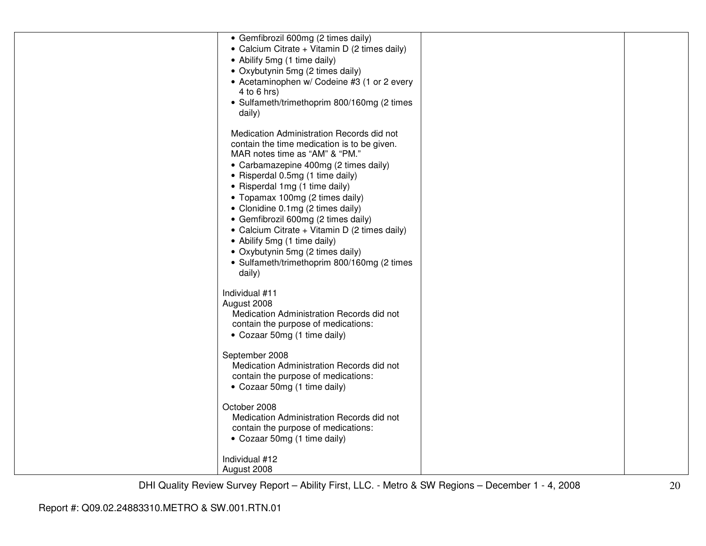| • Gemfibrozil 600mg (2 times daily)<br>• Calcium Citrate + Vitamin D (2 times daily)<br>• Abilify 5mg (1 time daily)<br>• Oxybutynin 5mg (2 times daily)<br>• Acetaminophen w/ Codeine #3 (1 or 2 every<br>4 to 6 hrs)<br>• Sulfameth/trimethoprim 800/160mg (2 times<br>daily)                                                                                                                                                                                                                                                        |  |
|----------------------------------------------------------------------------------------------------------------------------------------------------------------------------------------------------------------------------------------------------------------------------------------------------------------------------------------------------------------------------------------------------------------------------------------------------------------------------------------------------------------------------------------|--|
| Medication Administration Records did not<br>contain the time medication is to be given.<br>MAR notes time as "AM" & "PM."<br>• Carbamazepine 400mg (2 times daily)<br>• Risperdal 0.5mg (1 time daily)<br>• Risperdal 1mg (1 time daily)<br>• Topamax 100mg (2 times daily)<br>• Clonidine 0.1mg (2 times daily)<br>• Gemfibrozil 600mg (2 times daily)<br>• Calcium Citrate + Vitamin D (2 times daily)<br>• Abilify 5mg (1 time daily)<br>• Oxybutynin 5mg (2 times daily)<br>• Sulfameth/trimethoprim 800/160mg (2 times<br>daily) |  |
| Individual #11<br>August 2008<br>Medication Administration Records did not<br>contain the purpose of medications:<br>• Cozaar 50mg (1 time daily)                                                                                                                                                                                                                                                                                                                                                                                      |  |
| September 2008<br>Medication Administration Records did not<br>contain the purpose of medications:<br>• Cozaar 50mg (1 time daily)                                                                                                                                                                                                                                                                                                                                                                                                     |  |
| October 2008<br>Medication Administration Records did not<br>contain the purpose of medications:<br>• Cozaar 50mg (1 time daily)                                                                                                                                                                                                                                                                                                                                                                                                       |  |
| Individual #12<br>August 2008                                                                                                                                                                                                                                                                                                                                                                                                                                                                                                          |  |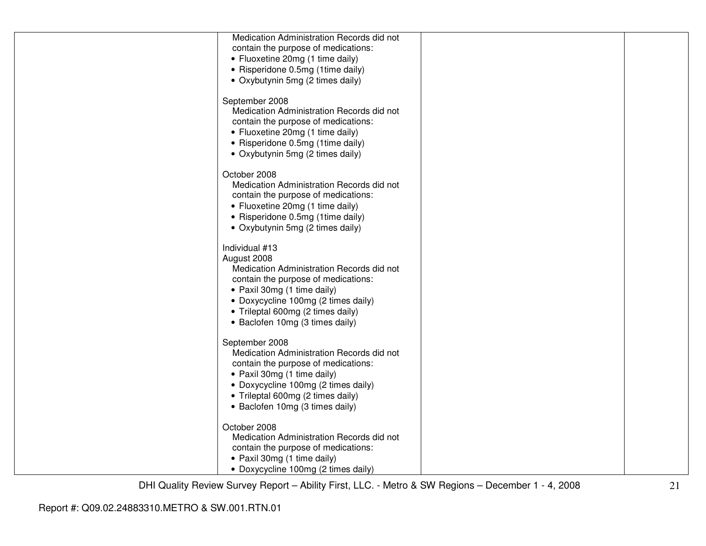| Medication Administration Records did not |  |
|-------------------------------------------|--|
| contain the purpose of medications:       |  |
| • Fluoxetine 20mg (1 time daily)          |  |
| • Risperidone 0.5mg (1time daily)         |  |
| • Oxybutynin 5mg (2 times daily)          |  |
|                                           |  |
| September 2008                            |  |
| Medication Administration Records did not |  |
| contain the purpose of medications:       |  |
| • Fluoxetine 20mg (1 time daily)          |  |
|                                           |  |
| • Risperidone 0.5mg (1time daily)         |  |
| • Oxybutynin 5mg (2 times daily)          |  |
|                                           |  |
| October 2008                              |  |
| Medication Administration Records did not |  |
| contain the purpose of medications:       |  |
| • Fluoxetine 20mg (1 time daily)          |  |
| • Risperidone 0.5mg (1time daily)         |  |
| • Oxybutynin 5mg (2 times daily)          |  |
|                                           |  |
| Individual #13                            |  |
| August 2008                               |  |
| Medication Administration Records did not |  |
| contain the purpose of medications:       |  |
| • Paxil 30mg (1 time daily)               |  |
| • Doxycycline 100mg (2 times daily)       |  |
| • Trileptal 600mg (2 times daily)         |  |
| • Baclofen 10mg (3 times daily)           |  |
|                                           |  |
| September 2008                            |  |
| Medication Administration Records did not |  |
| contain the purpose of medications:       |  |
| • Paxil 30mg (1 time daily)               |  |
| • Doxycycline 100mg (2 times daily)       |  |
| • Trileptal 600mg (2 times daily)         |  |
| • Baclofen 10mg (3 times daily)           |  |
|                                           |  |
| October 2008                              |  |
| Medication Administration Records did not |  |
| contain the purpose of medications:       |  |
| • Paxil 30mg (1 time daily)               |  |
| • Doxycycline 100mg (2 times daily)       |  |
|                                           |  |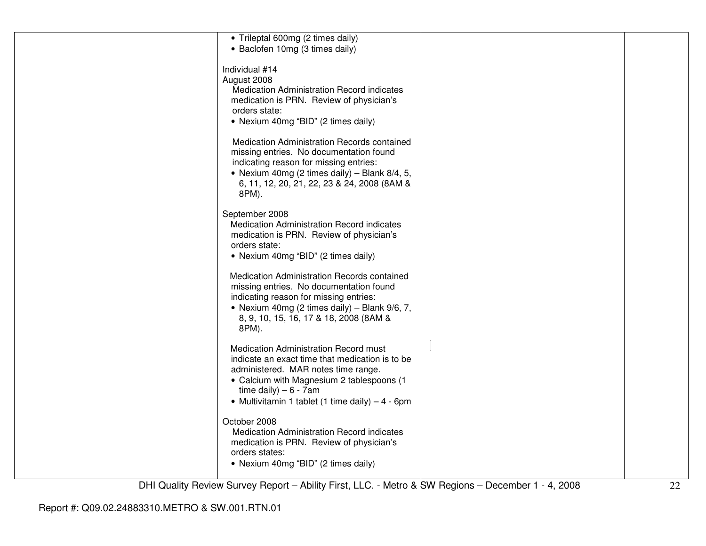| • Trileptal 600mg (2 times daily)<br>• Baclofen 10mg (3 times daily)                                                                                                                                                                                          |  |
|---------------------------------------------------------------------------------------------------------------------------------------------------------------------------------------------------------------------------------------------------------------|--|
| Individual #14<br>August 2008<br>Medication Administration Record indicates<br>medication is PRN. Review of physician's<br>orders state:<br>• Nexium 40mg "BID" (2 times daily)                                                                               |  |
| Medication Administration Records contained<br>missing entries. No documentation found<br>indicating reason for missing entries:<br>• Nexium 40mg (2 times daily) – Blank $8/4$ , 5,<br>6, 11, 12, 20, 21, 22, 23 & 24, 2008 (8AM &<br>8PM).                  |  |
| September 2008<br><b>Medication Administration Record indicates</b><br>medication is PRN. Review of physician's<br>orders state:<br>• Nexium 40mg "BID" (2 times daily)                                                                                       |  |
| Medication Administration Records contained<br>missing entries. No documentation found<br>indicating reason for missing entries:<br>• Nexium 40mg (2 times daily) – Blank $9/6$ , 7,<br>8, 9, 10, 15, 16, 17 & 18, 2008 (8AM &<br>8PM).                       |  |
| Medication Administration Record must<br>indicate an exact time that medication is to be<br>administered. MAR notes time range.<br>• Calcium with Magnesium 2 tablespoons (1<br>time daily) $-6 - 7$ am<br>• Multivitamin 1 tablet (1 time daily) $-4 - 6$ pm |  |
| October 2008<br>Medication Administration Record indicates<br>medication is PRN. Review of physician's<br>orders states:<br>• Nexium 40mg "BID" (2 times daily)                                                                                               |  |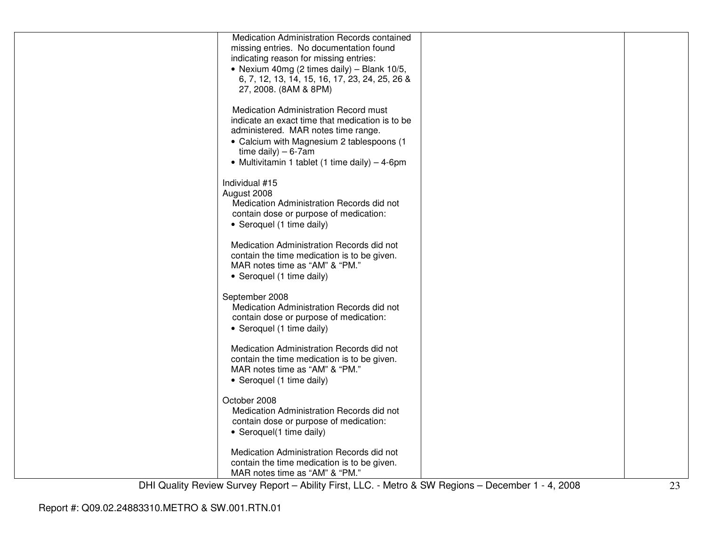| Medication Administration Records contained<br>missing entries. No documentation found<br>indicating reason for missing entries:                        |  |
|---------------------------------------------------------------------------------------------------------------------------------------------------------|--|
| • Nexium 40mg (2 times daily) – Blank 10/5,<br>6, 7, 12, 13, 14, 15, 16, 17, 23, 24, 25, 26 &<br>27, 2008. (8AM & 8PM)                                  |  |
| Medication Administration Record must                                                                                                                   |  |
| indicate an exact time that medication is to be<br>administered. MAR notes time range.                                                                  |  |
| • Calcium with Magnesium 2 tablespoons (1<br>time daily) $-6-7$ am<br>• Multivitamin 1 tablet (1 time daily) – 4-6pm                                    |  |
| Individual #15<br>August 2008                                                                                                                           |  |
| Medication Administration Records did not<br>contain dose or purpose of medication:                                                                     |  |
| • Seroquel (1 time daily)<br>Medication Administration Records did not                                                                                  |  |
| contain the time medication is to be given.<br>MAR notes time as "AM" & "PM."<br>• Seroquel (1 time daily)                                              |  |
| September 2008<br>Medication Administration Records did not<br>contain dose or purpose of medication:<br>• Seroquel (1 time daily)                      |  |
| Medication Administration Records did not<br>contain the time medication is to be given.<br>MAR notes time as "AM" & "PM."<br>• Seroquel (1 time daily) |  |
| October 2008                                                                                                                                            |  |
| Medication Administration Records did not<br>contain dose or purpose of medication:<br>• Seroquel(1 time daily)                                         |  |
| Medication Administration Records did not                                                                                                               |  |
| contain the time medication is to be given.<br>MAR notes time as "AM" & "PM."                                                                           |  |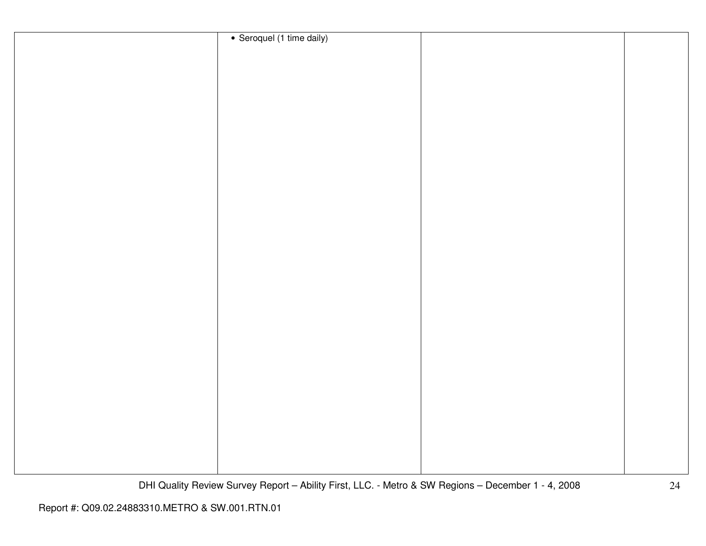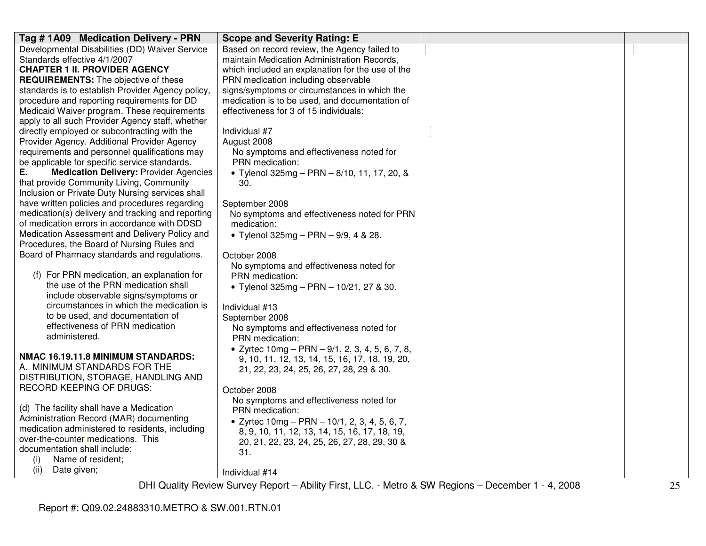| Tag #1A09 Medication Delivery - PRN                                                   | <b>Scope and Severity Rating: E</b>                |  |
|---------------------------------------------------------------------------------------|----------------------------------------------------|--|
| Developmental Disabilities (DD) Waiver Service                                        | Based on record review, the Agency failed to       |  |
| Standards effective 4/1/2007                                                          | maintain Medication Administration Records,        |  |
| <b>CHAPTER 1 II. PROVIDER AGENCY</b>                                                  | which included an explanation for the use of the   |  |
| <b>REQUIREMENTS:</b> The objective of these                                           | PRN medication including observable                |  |
| standards is to establish Provider Agency policy,                                     | signs/symptoms or circumstances in which the       |  |
| procedure and reporting requirements for DD                                           | medication is to be used, and documentation of     |  |
| Medicaid Waiver program. These requirements                                           | effectiveness for 3 of 15 individuals:             |  |
| apply to all such Provider Agency staff, whether                                      |                                                    |  |
| directly employed or subcontracting with the                                          | Individual #7                                      |  |
| Provider Agency. Additional Provider Agency                                           | August 2008                                        |  |
| requirements and personnel qualifications may                                         | No symptoms and effectiveness noted for            |  |
| be applicable for specific service standards.                                         | PRN medication:                                    |  |
| <b>Medication Delivery: Provider Agencies</b><br>Е.                                   | • Tylenol $325mg - PRN - 8/10$ , 11, 17, 20, &     |  |
| that provide Community Living, Community                                              | 30.                                                |  |
| Inclusion or Private Duty Nursing services shall                                      |                                                    |  |
| have written policies and procedures regarding                                        | September 2008                                     |  |
| medication(s) delivery and tracking and reporting                                     | No symptoms and effectiveness noted for PRN        |  |
| of medication errors in accordance with DDSD                                          | medication:                                        |  |
| Medication Assessment and Delivery Policy and                                         | • Tylenol 325mg - PRN - 9/9, 4 & 28.               |  |
| Procedures, the Board of Nursing Rules and                                            |                                                    |  |
| Board of Pharmacy standards and regulations.                                          | October 2008                                       |  |
|                                                                                       | No symptoms and effectiveness noted for            |  |
| (f) For PRN medication, an explanation for                                            | PRN medication:                                    |  |
| the use of the PRN medication shall                                                   | • Tylenol 325mg - PRN - 10/21, 27 & 30.            |  |
| include observable signs/symptoms or                                                  |                                                    |  |
| circumstances in which the medication is                                              | Individual #13                                     |  |
| to be used, and documentation of                                                      | September 2008                                     |  |
| effectiveness of PRN medication                                                       | No symptoms and effectiveness noted for            |  |
| administered.                                                                         | PRN medication:                                    |  |
|                                                                                       | • Zyrtec $10mg - PRN - 9/1$ , 2, 3, 4, 5, 6, 7, 8, |  |
| NMAC 16.19.11.8 MINIMUM STANDARDS:                                                    | 9, 10, 11, 12, 13, 14, 15, 16, 17, 18, 19, 20,     |  |
| A. MINIMUM STANDARDS FOR THE                                                          | 21, 22, 23, 24, 25, 26, 27, 28, 29 & 30.           |  |
| DISTRIBUTION, STORAGE, HANDLING AND                                                   |                                                    |  |
| <b>RECORD KEEPING OF DRUGS:</b>                                                       | October 2008                                       |  |
|                                                                                       | No symptoms and effectiveness noted for            |  |
| (d) The facility shall have a Medication                                              | PRN medication:                                    |  |
| Administration Record (MAR) documenting                                               | • Zyrtec $10mg - PRN - 10/1, 2, 3, 4, 5, 6, 7,$    |  |
| medication administered to residents, including<br>over-the-counter medications. This | 8, 9, 10, 11, 12, 13, 14, 15, 16, 17, 18, 19,      |  |
| documentation shall include:                                                          | 20, 21, 22, 23, 24, 25, 26, 27, 28, 29, 30 &       |  |
|                                                                                       | 31.                                                |  |
| (i)<br>Name of resident;                                                              |                                                    |  |
| (ii)<br>Date given;                                                                   | Individual #14                                     |  |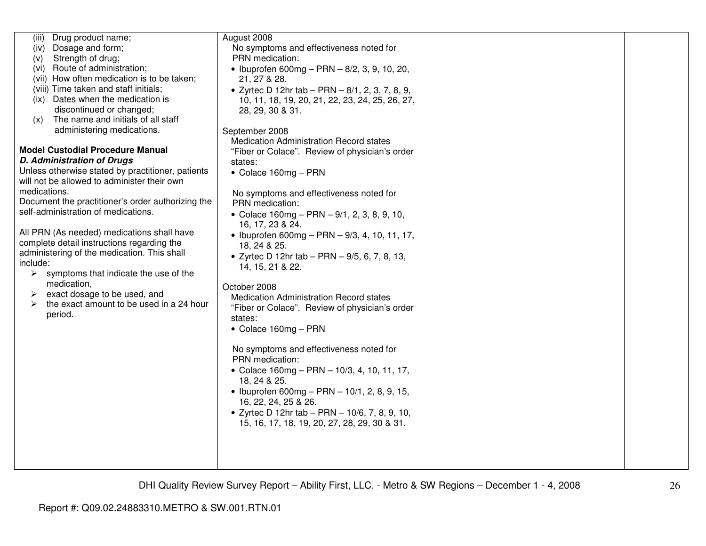| Drug product name;<br>(iii)                            | August 2008                                                |  |
|--------------------------------------------------------|------------------------------------------------------------|--|
| Dosage and form;<br>(iv)                               | No symptoms and effectiveness noted for                    |  |
| Strength of drug;<br>(v)                               | PRN medication:                                            |  |
| Route of administration;<br>(vi)                       | • Ibuprofen 600mg - PRN $-$ 8/2, 3, 9, 10, 20,             |  |
| (vii) How often medication is to be taken;             | 21, 27 & 28.                                               |  |
| (viii) Time taken and staff initials;                  | • Zyrtec D 12hr tab - PRN - 8/1, 2, 3, 7, 8, 9,            |  |
| Dates when the medication is<br>(ix)                   | 10, 11, 18, 19, 20, 21, 22, 23, 24, 25, 26, 27,            |  |
| discontinued or changed;                               | 28, 29, 30 & 31.                                           |  |
| The name and initials of all staff<br>(x)              |                                                            |  |
| administering medications.                             | September 2008                                             |  |
|                                                        | <b>Medication Administration Record states</b>             |  |
| <b>Model Custodial Procedure Manual</b>                | "Fiber or Colace". Review of physician's order             |  |
| <b>D. Administration of Drugs</b>                      | states:                                                    |  |
| Unless otherwise stated by practitioner, patients      | $\bullet$ Colace 160mg - PRN                               |  |
| will not be allowed to administer their own            |                                                            |  |
| medications.                                           |                                                            |  |
| Document the practitioner's order authorizing the      | No symptoms and effectiveness noted for<br>PRN medication: |  |
| self-administration of medications.                    |                                                            |  |
|                                                        | • Colace 160mg - PRN - 9/1, 2, 3, 8, 9, 10,                |  |
| All PRN (As needed) medications shall have             | 16, 17, 23 & 24.                                           |  |
| complete detail instructions regarding the             | • Ibuprofen 600mg - PRN $-$ 9/3, 4, 10, 11, 17,            |  |
| administering of the medication. This shall            | 18, 24 & 25.                                               |  |
| include:                                               | • Zyrtec D 12hr tab - PRN - $9/5$ , 6, 7, 8, 13,           |  |
|                                                        | 14, 15, 21 & 22.                                           |  |
| $\triangleright$ symptoms that indicate the use of the |                                                            |  |
| medication,                                            | October 2008                                               |  |
| exact dosage to be used, and                           | Medication Administration Record states                    |  |
| the exact amount to be used in a 24 hour<br>➤          | "Fiber or Colace". Review of physician's order             |  |
| period.                                                | states:                                                    |  |
|                                                        | • Colace 160mg - PRN                                       |  |
|                                                        |                                                            |  |
|                                                        | No symptoms and effectiveness noted for                    |  |
|                                                        | PRN medication:                                            |  |
|                                                        | • Colace $160mg - PRN - 10/3, 4, 10, 11, 17,$              |  |
|                                                        | 18, 24 & 25.                                               |  |
|                                                        | • Ibuprofen 600mg - PRN - $10/1$ , 2, 8, 9, 15,            |  |
|                                                        | 16, 22, 24, 25 & 26.                                       |  |
|                                                        | • Zyrtec D 12hr tab - PRN - 10/6, 7, 8, 9, 10,             |  |
|                                                        | 15, 16, 17, 18, 19, 20, 27, 28, 29, 30 & 31.               |  |
|                                                        |                                                            |  |
|                                                        |                                                            |  |
|                                                        |                                                            |  |
|                                                        |                                                            |  |
|                                                        |                                                            |  |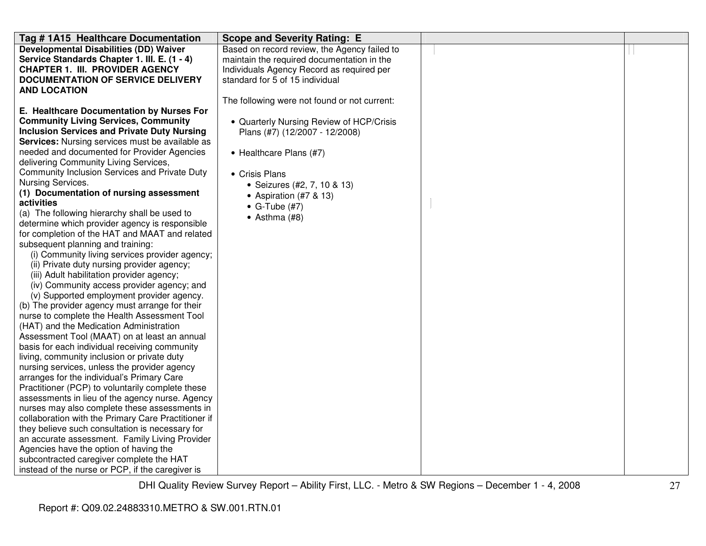| Tag # 1A15 Healthcare Documentation                                                     | <b>Scope and Severity Rating: E</b>          |  |
|-----------------------------------------------------------------------------------------|----------------------------------------------|--|
| <b>Developmental Disabilities (DD) Waiver</b>                                           | Based on record review, the Agency failed to |  |
| Service Standards Chapter 1. III. E. (1 - 4)                                            | maintain the required documentation in the   |  |
| <b>CHAPTER 1. III. PROVIDER AGENCY</b>                                                  | Individuals Agency Record as required per    |  |
| <b>DOCUMENTATION OF SERVICE DELIVERY</b>                                                | standard for 5 of 15 individual              |  |
| <b>AND LOCATION</b>                                                                     |                                              |  |
|                                                                                         | The following were not found or not current: |  |
| E. Healthcare Documentation by Nurses For                                               |                                              |  |
| <b>Community Living Services, Community</b>                                             | • Quarterly Nursing Review of HCP/Crisis     |  |
| <b>Inclusion Services and Private Duty Nursing</b>                                      | Plans (#7) (12/2007 - 12/2008)               |  |
| <b>Services:</b> Nursing services must be available as                                  |                                              |  |
| needed and documented for Provider Agencies                                             | • Healthcare Plans (#7)                      |  |
| delivering Community Living Services,                                                   |                                              |  |
| Community Inclusion Services and Private Duty                                           | • Crisis Plans                               |  |
| Nursing Services.                                                                       | • Seizures (#2, 7, 10 & 13)                  |  |
| (1) Documentation of nursing assessment                                                 | • Aspiration (#7 & 13)                       |  |
| activities                                                                              | $\bullet$ G-Tube (#7)                        |  |
| (a) The following hierarchy shall be used to                                            | $\bullet$ Asthma (#8)                        |  |
| determine which provider agency is responsible                                          |                                              |  |
| for completion of the HAT and MAAT and related                                          |                                              |  |
| subsequent planning and training:                                                       |                                              |  |
| (i) Community living services provider agency;                                          |                                              |  |
| (ii) Private duty nursing provider agency;<br>(iii) Adult habilitation provider agency; |                                              |  |
| (iv) Community access provider agency; and                                              |                                              |  |
| (v) Supported employment provider agency.                                               |                                              |  |
| (b) The provider agency must arrange for their                                          |                                              |  |
| nurse to complete the Health Assessment Tool                                            |                                              |  |
| (HAT) and the Medication Administration                                                 |                                              |  |
| Assessment Tool (MAAT) on at least an annual                                            |                                              |  |
| basis for each individual receiving community                                           |                                              |  |
| living, community inclusion or private duty                                             |                                              |  |
| nursing services, unless the provider agency                                            |                                              |  |
| arranges for the individual's Primary Care                                              |                                              |  |
| Practitioner (PCP) to voluntarily complete these                                        |                                              |  |
| assessments in lieu of the agency nurse. Agency                                         |                                              |  |
| nurses may also complete these assessments in                                           |                                              |  |
| collaboration with the Primary Care Practitioner if                                     |                                              |  |
| they believe such consultation is necessary for                                         |                                              |  |
| an accurate assessment. Family Living Provider                                          |                                              |  |
| Agencies have the option of having the                                                  |                                              |  |
| subcontracted caregiver complete the HAT                                                |                                              |  |
| instead of the nurse or PCP, if the caregiver is                                        |                                              |  |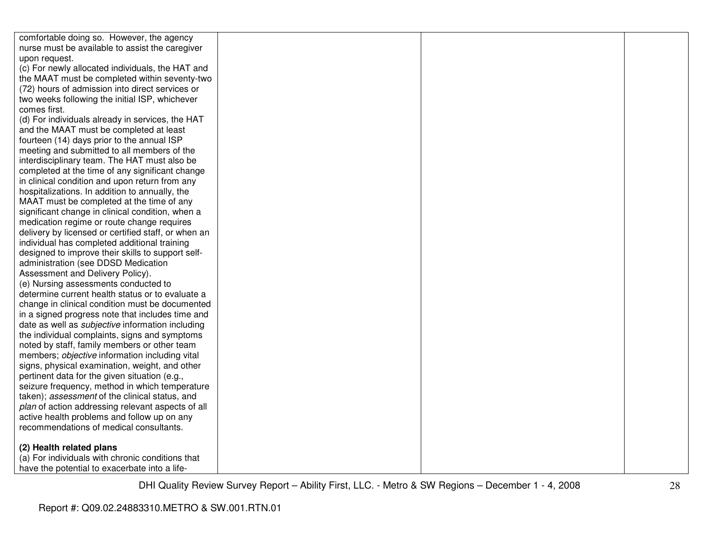| comfortable doing so. However, the agency               |  |  |
|---------------------------------------------------------|--|--|
| nurse must be available to assist the caregiver         |  |  |
| upon request.                                           |  |  |
| (c) For newly allocated individuals, the HAT and        |  |  |
| the MAAT must be completed within seventy-two           |  |  |
| (72) hours of admission into direct services or         |  |  |
| two weeks following the initial ISP, whichever          |  |  |
| comes first.                                            |  |  |
| (d) For individuals already in services, the HAT        |  |  |
| and the MAAT must be completed at least                 |  |  |
| fourteen (14) days prior to the annual ISP              |  |  |
| meeting and submitted to all members of the             |  |  |
| interdisciplinary team. The HAT must also be            |  |  |
| completed at the time of any significant change         |  |  |
| in clinical condition and upon return from any          |  |  |
| hospitalizations. In addition to annually, the          |  |  |
| MAAT must be completed at the time of any               |  |  |
| significant change in clinical condition, when a        |  |  |
| medication regime or route change requires              |  |  |
| delivery by licensed or certified staff, or when an     |  |  |
| individual has completed additional training            |  |  |
| designed to improve their skills to support self-       |  |  |
| administration (see DDSD Medication                     |  |  |
| Assessment and Delivery Policy).                        |  |  |
| (e) Nursing assessments conducted to                    |  |  |
| determine current health status or to evaluate a        |  |  |
| change in clinical condition must be documented         |  |  |
| in a signed progress note that includes time and        |  |  |
| date as well as <i>subjective</i> information including |  |  |
| the individual complaints, signs and symptoms           |  |  |
| noted by staff, family members or other team            |  |  |
| members; objective information including vital          |  |  |
| signs, physical examination, weight, and other          |  |  |
| pertinent data for the given situation (e.g.,           |  |  |
| seizure frequency, method in which temperature          |  |  |
| taken); assessment of the clinical status, and          |  |  |
| plan of action addressing relevant aspects of all       |  |  |
| active health problems and follow up on any             |  |  |
| recommendations of medical consultants.                 |  |  |
| (2) Health related plans                                |  |  |
| (a) For individuals with chronic conditions that        |  |  |
| have the potential to exacerbate into a life-           |  |  |
|                                                         |  |  |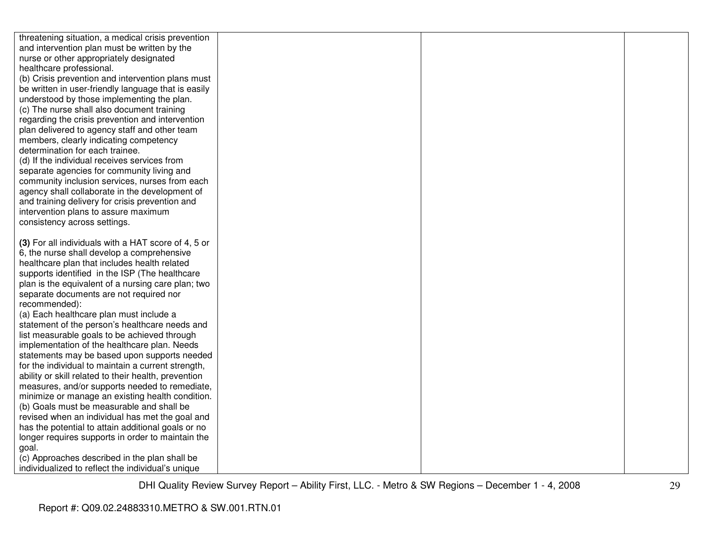| threatening situation, a medical crisis prevention                                        |  |  |
|-------------------------------------------------------------------------------------------|--|--|
| and intervention plan must be written by the                                              |  |  |
| nurse or other appropriately designated                                                   |  |  |
| healthcare professional.                                                                  |  |  |
| (b) Crisis prevention and intervention plans must                                         |  |  |
| be written in user-friendly language that is easily                                       |  |  |
| understood by those implementing the plan.                                                |  |  |
| (c) The nurse shall also document training                                                |  |  |
| regarding the crisis prevention and intervention                                          |  |  |
| plan delivered to agency staff and other team                                             |  |  |
| members, clearly indicating competency                                                    |  |  |
| determination for each trainee.                                                           |  |  |
| (d) If the individual receives services from                                              |  |  |
| separate agencies for community living and                                                |  |  |
| community inclusion services, nurses from each                                            |  |  |
| agency shall collaborate in the development of                                            |  |  |
| and training delivery for crisis prevention and                                           |  |  |
| intervention plans to assure maximum                                                      |  |  |
| consistency across settings.                                                              |  |  |
|                                                                                           |  |  |
| (3) For all individuals with a HAT score of 4, 5 or                                       |  |  |
| 6, the nurse shall develop a comprehensive                                                |  |  |
| healthcare plan that includes health related                                              |  |  |
| supports identified in the ISP (The healthcare                                            |  |  |
| plan is the equivalent of a nursing care plan; two                                        |  |  |
| separate documents are not required nor                                                   |  |  |
| recommended):                                                                             |  |  |
| (a) Each healthcare plan must include a<br>statement of the person's healthcare needs and |  |  |
| list measurable goals to be achieved through                                              |  |  |
| implementation of the healthcare plan. Needs                                              |  |  |
| statements may be based upon supports needed                                              |  |  |
| for the individual to maintain a current strength,                                        |  |  |
| ability or skill related to their health, prevention                                      |  |  |
| measures, and/or supports needed to remediate,                                            |  |  |
| minimize or manage an existing health condition.                                          |  |  |
| (b) Goals must be measurable and shall be                                                 |  |  |
| revised when an individual has met the goal and                                           |  |  |
| has the potential to attain additional goals or no                                        |  |  |
| longer requires supports in order to maintain the                                         |  |  |
| goal.                                                                                     |  |  |
| (c) Approaches described in the plan shall be                                             |  |  |
| individualized to reflect the individual's unique                                         |  |  |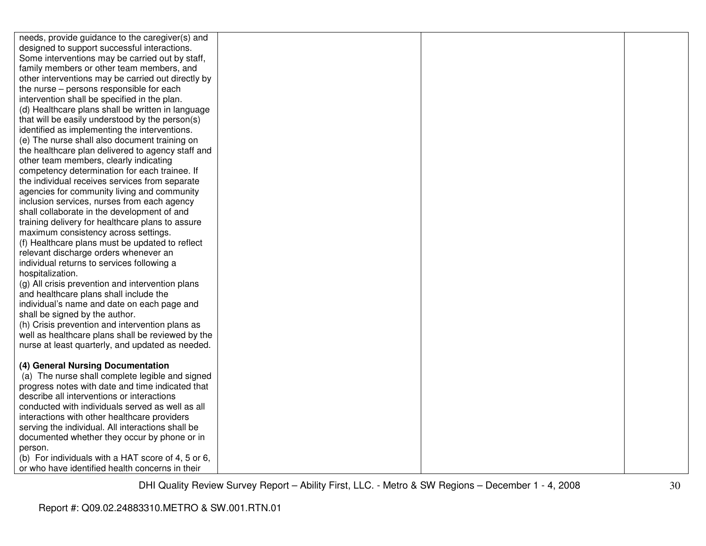| needs, provide guidance to the caregiver(s) and                                                   |  |  |
|---------------------------------------------------------------------------------------------------|--|--|
| designed to support successful interactions.                                                      |  |  |
| Some interventions may be carried out by staff,                                                   |  |  |
| family members or other team members, and                                                         |  |  |
| other interventions may be carried out directly by                                                |  |  |
| the nurse – persons responsible for each                                                          |  |  |
| intervention shall be specified in the plan.                                                      |  |  |
| (d) Healthcare plans shall be written in language                                                 |  |  |
| that will be easily understood by the person(s)                                                   |  |  |
| identified as implementing the interventions.                                                     |  |  |
| (e) The nurse shall also document training on                                                     |  |  |
| the healthcare plan delivered to agency staff and                                                 |  |  |
| other team members, clearly indicating                                                            |  |  |
| competency determination for each trainee. If                                                     |  |  |
| the individual receives services from separate                                                    |  |  |
| agencies for community living and community                                                       |  |  |
| inclusion services, nurses from each agency                                                       |  |  |
| shall collaborate in the development of and                                                       |  |  |
| training delivery for healthcare plans to assure                                                  |  |  |
| maximum consistency across settings.                                                              |  |  |
| (f) Healthcare plans must be updated to reflect                                                   |  |  |
| relevant discharge orders whenever an                                                             |  |  |
| individual returns to services following a                                                        |  |  |
| hospitalization.                                                                                  |  |  |
| (g) All crisis prevention and intervention plans                                                  |  |  |
| and healthcare plans shall include the                                                            |  |  |
| individual's name and date on each page and                                                       |  |  |
| shall be signed by the author.                                                                    |  |  |
| (h) Crisis prevention and intervention plans as                                                   |  |  |
| well as healthcare plans shall be reviewed by the                                                 |  |  |
| nurse at least quarterly, and updated as needed.                                                  |  |  |
|                                                                                                   |  |  |
| (4) General Nursing Documentation                                                                 |  |  |
| (a) The nurse shall complete legible and signed                                                   |  |  |
| progress notes with date and time indicated that<br>describe all interventions or interactions    |  |  |
| conducted with individuals served as well as all                                                  |  |  |
|                                                                                                   |  |  |
| interactions with other healthcare providers                                                      |  |  |
| serving the individual. All interactions shall be<br>documented whether they occur by phone or in |  |  |
| person.                                                                                           |  |  |
| (b) For individuals with a HAT score of 4, 5 or 6,                                                |  |  |
| or who have identified health concerns in their                                                   |  |  |
|                                                                                                   |  |  |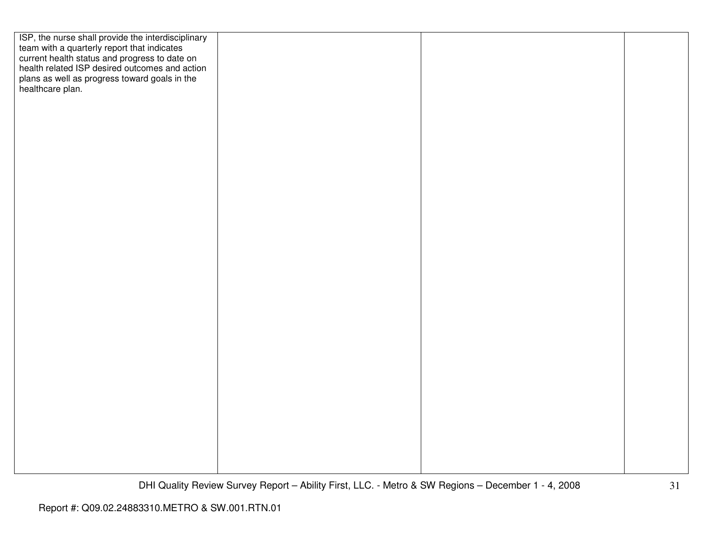| ISP, the nurse shall provide the interdisciplinary<br>team with a quarterly report that indicates<br>current health status and progress to date on<br>health related ISP desired outcomes and action |  |  |
|------------------------------------------------------------------------------------------------------------------------------------------------------------------------------------------------------|--|--|
|                                                                                                                                                                                                      |  |  |
|                                                                                                                                                                                                      |  |  |
|                                                                                                                                                                                                      |  |  |
| plans as well as progress toward goals in the healthcare plan.                                                                                                                                       |  |  |
|                                                                                                                                                                                                      |  |  |
|                                                                                                                                                                                                      |  |  |
|                                                                                                                                                                                                      |  |  |
|                                                                                                                                                                                                      |  |  |
|                                                                                                                                                                                                      |  |  |
|                                                                                                                                                                                                      |  |  |
|                                                                                                                                                                                                      |  |  |
|                                                                                                                                                                                                      |  |  |
|                                                                                                                                                                                                      |  |  |
|                                                                                                                                                                                                      |  |  |
|                                                                                                                                                                                                      |  |  |
|                                                                                                                                                                                                      |  |  |
|                                                                                                                                                                                                      |  |  |
|                                                                                                                                                                                                      |  |  |
|                                                                                                                                                                                                      |  |  |
|                                                                                                                                                                                                      |  |  |
|                                                                                                                                                                                                      |  |  |
|                                                                                                                                                                                                      |  |  |
|                                                                                                                                                                                                      |  |  |
|                                                                                                                                                                                                      |  |  |
|                                                                                                                                                                                                      |  |  |
|                                                                                                                                                                                                      |  |  |
|                                                                                                                                                                                                      |  |  |
|                                                                                                                                                                                                      |  |  |
|                                                                                                                                                                                                      |  |  |
|                                                                                                                                                                                                      |  |  |
|                                                                                                                                                                                                      |  |  |
|                                                                                                                                                                                                      |  |  |
|                                                                                                                                                                                                      |  |  |
|                                                                                                                                                                                                      |  |  |
|                                                                                                                                                                                                      |  |  |
|                                                                                                                                                                                                      |  |  |
|                                                                                                                                                                                                      |  |  |
|                                                                                                                                                                                                      |  |  |
|                                                                                                                                                                                                      |  |  |
|                                                                                                                                                                                                      |  |  |
|                                                                                                                                                                                                      |  |  |
|                                                                                                                                                                                                      |  |  |
|                                                                                                                                                                                                      |  |  |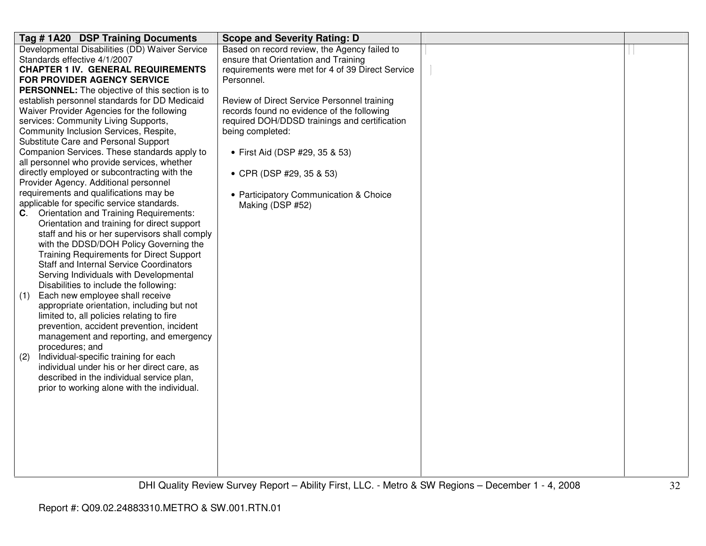| Tag #1A20 DSP Training Documents                                                            | <b>Scope and Severity Rating: D</b>                        |  |
|---------------------------------------------------------------------------------------------|------------------------------------------------------------|--|
| Developmental Disabilities (DD) Waiver Service                                              | Based on record review, the Agency failed to               |  |
| Standards effective 4/1/2007                                                                | ensure that Orientation and Training                       |  |
| <b>CHAPTER 1 IV. GENERAL REQUIREMENTS</b>                                                   | requirements were met for 4 of 39 Direct Service           |  |
| <b>FOR PROVIDER AGENCY SERVICE</b>                                                          | Personnel.                                                 |  |
| <b>PERSONNEL:</b> The objective of this section is to                                       |                                                            |  |
| establish personnel standards for DD Medicaid                                               | Review of Direct Service Personnel training                |  |
| Waiver Provider Agencies for the following                                                  | records found no evidence of the following                 |  |
| services: Community Living Supports,                                                        | required DOH/DDSD trainings and certification              |  |
| Community Inclusion Services, Respite,                                                      | being completed:                                           |  |
| Substitute Care and Personal Support                                                        |                                                            |  |
| Companion Services. These standards apply to<br>all personnel who provide services, whether | • First Aid (DSP #29, 35 & 53)                             |  |
| directly employed or subcontracting with the                                                |                                                            |  |
| Provider Agency. Additional personnel                                                       | • CPR (DSP #29, 35 & 53)                                   |  |
| requirements and qualifications may be                                                      |                                                            |  |
| applicable for specific service standards.                                                  | • Participatory Communication & Choice<br>Making (DSP #52) |  |
| Orientation and Training Requirements:<br>C.                                                |                                                            |  |
| Orientation and training for direct support                                                 |                                                            |  |
| staff and his or her supervisors shall comply                                               |                                                            |  |
| with the DDSD/DOH Policy Governing the                                                      |                                                            |  |
| <b>Training Requirements for Direct Support</b>                                             |                                                            |  |
| <b>Staff and Internal Service Coordinators</b>                                              |                                                            |  |
| Serving Individuals with Developmental                                                      |                                                            |  |
| Disabilities to include the following:                                                      |                                                            |  |
| Each new employee shall receive<br>(1)                                                      |                                                            |  |
| appropriate orientation, including but not                                                  |                                                            |  |
| limited to, all policies relating to fire                                                   |                                                            |  |
| prevention, accident prevention, incident                                                   |                                                            |  |
| management and reporting, and emergency                                                     |                                                            |  |
| procedures; and                                                                             |                                                            |  |
| Individual-specific training for each<br>(2)                                                |                                                            |  |
| individual under his or her direct care, as                                                 |                                                            |  |
| described in the individual service plan,                                                   |                                                            |  |
| prior to working alone with the individual.                                                 |                                                            |  |
|                                                                                             |                                                            |  |
|                                                                                             |                                                            |  |
|                                                                                             |                                                            |  |
|                                                                                             |                                                            |  |
|                                                                                             |                                                            |  |
|                                                                                             |                                                            |  |
|                                                                                             |                                                            |  |
|                                                                                             |                                                            |  |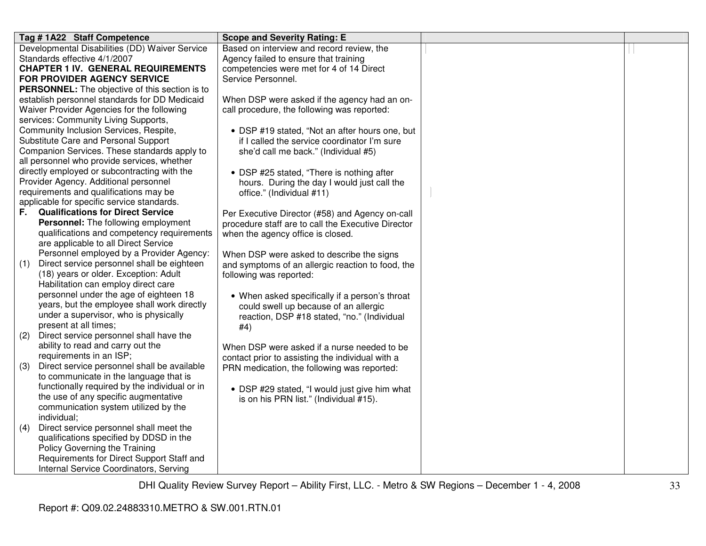| Tag #1A22 Staff Competence                            | <b>Scope and Severity Rating: E</b>                |  |
|-------------------------------------------------------|----------------------------------------------------|--|
| Developmental Disabilities (DD) Waiver Service        | Based on interview and record review, the          |  |
| Standards effective 4/1/2007                          | Agency failed to ensure that training              |  |
| <b>CHAPTER 1 IV. GENERAL REQUIREMENTS</b>             | competencies were met for 4 of 14 Direct           |  |
| <b>FOR PROVIDER AGENCY SERVICE</b>                    | Service Personnel.                                 |  |
| <b>PERSONNEL:</b> The objective of this section is to |                                                    |  |
| establish personnel standards for DD Medicaid         | When DSP were asked if the agency had an on-       |  |
| Waiver Provider Agencies for the following            | call procedure, the following was reported:        |  |
| services: Community Living Supports,                  |                                                    |  |
| Community Inclusion Services, Respite,                | • DSP #19 stated, "Not an after hours one, but     |  |
| Substitute Care and Personal Support                  | if I called the service coordinator I'm sure       |  |
| Companion Services. These standards apply to          | she'd call me back." (Individual #5)               |  |
| all personnel who provide services, whether           |                                                    |  |
| directly employed or subcontracting with the          | • DSP #25 stated, "There is nothing after          |  |
| Provider Agency. Additional personnel                 | hours. During the day I would just call the        |  |
| requirements and qualifications may be                | office." (Individual #11)                          |  |
| applicable for specific service standards.            |                                                    |  |
| <b>Qualifications for Direct Service</b><br>F.        | Per Executive Director (#58) and Agency on-call    |  |
| Personnel: The following employment                   | procedure staff are to call the Executive Director |  |
| qualifications and competency requirements            | when the agency office is closed.                  |  |
| are applicable to all Direct Service                  |                                                    |  |
| Personnel employed by a Provider Agency:              | When DSP were asked to describe the signs          |  |
| Direct service personnel shall be eighteen<br>(1)     | and symptoms of an allergic reaction to food, the  |  |
| (18) years or older. Exception: Adult                 | following was reported:                            |  |
| Habilitation can employ direct care                   |                                                    |  |
| personnel under the age of eighteen 18                | • When asked specifically if a person's throat     |  |
| years, but the employee shall work directly           | could swell up because of an allergic              |  |
| under a supervisor, who is physically                 | reaction, DSP #18 stated, "no." (Individual        |  |
| present at all times;                                 | #4)                                                |  |
| Direct service personnel shall have the<br>(2)        |                                                    |  |
| ability to read and carry out the                     | When DSP were asked if a nurse needed to be        |  |
| requirements in an ISP;                               | contact prior to assisting the individual with a   |  |
| Direct service personnel shall be available<br>(3)    | PRN medication, the following was reported:        |  |
| to communicate in the language that is                |                                                    |  |
| functionally required by the individual or in         | • DSP #29 stated, "I would just give him what      |  |
| the use of any specific augmentative                  | is on his PRN list." (Individual #15).             |  |
| communication system utilized by the                  |                                                    |  |
| individual;                                           |                                                    |  |
| Direct service personnel shall meet the<br>(4)        |                                                    |  |
| qualifications specified by DDSD in the               |                                                    |  |
| Policy Governing the Training                         |                                                    |  |
| Requirements for Direct Support Staff and             |                                                    |  |
| Internal Service Coordinators, Serving                |                                                    |  |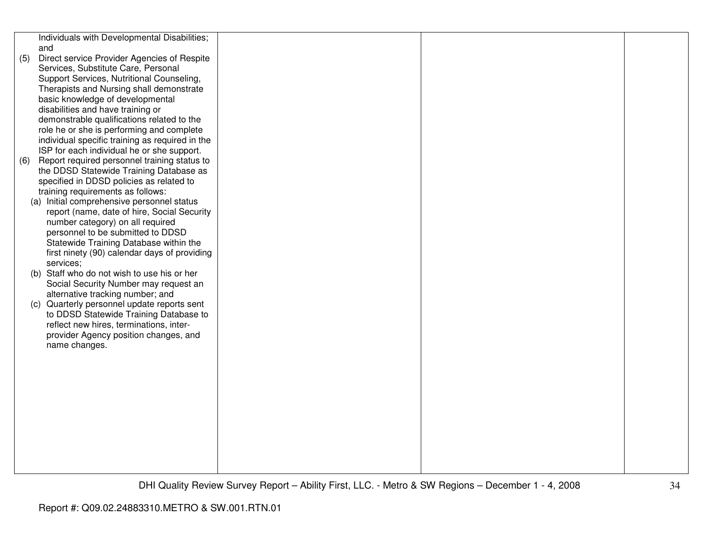|     | Individuals with Developmental Disabilities;    |  |  |
|-----|-------------------------------------------------|--|--|
|     | and                                             |  |  |
| (5) | Direct service Provider Agencies of Respite     |  |  |
|     | Services, Substitute Care, Personal             |  |  |
|     | Support Services, Nutritional Counseling,       |  |  |
|     | Therapists and Nursing shall demonstrate        |  |  |
|     | basic knowledge of developmental                |  |  |
|     | disabilities and have training or               |  |  |
|     | demonstrable qualifications related to the      |  |  |
|     | role he or she is performing and complete       |  |  |
|     | individual specific training as required in the |  |  |
|     | ISP for each individual he or she support.      |  |  |
| (6) | Report required personnel training status to    |  |  |
|     | the DDSD Statewide Training Database as         |  |  |
|     | specified in DDSD policies as related to        |  |  |
|     | training requirements as follows:               |  |  |
|     | (a) Initial comprehensive personnel status      |  |  |
|     | report (name, date of hire, Social Security     |  |  |
|     | number category) on all required                |  |  |
|     | personnel to be submitted to DDSD               |  |  |
|     | Statewide Training Database within the          |  |  |
|     | first ninety (90) calendar days of providing    |  |  |
|     | services;                                       |  |  |
|     | (b) Staff who do not wish to use his or her     |  |  |
|     | Social Security Number may request an           |  |  |
|     | alternative tracking number; and                |  |  |
|     | (c) Quarterly personnel update reports sent     |  |  |
|     | to DDSD Statewide Training Database to          |  |  |
|     | reflect new hires, terminations, inter-         |  |  |
|     | provider Agency position changes, and           |  |  |
|     | name changes.                                   |  |  |
|     |                                                 |  |  |
|     |                                                 |  |  |
|     |                                                 |  |  |
|     |                                                 |  |  |
|     |                                                 |  |  |
|     |                                                 |  |  |
|     |                                                 |  |  |
|     |                                                 |  |  |
|     |                                                 |  |  |
|     |                                                 |  |  |
|     |                                                 |  |  |
|     |                                                 |  |  |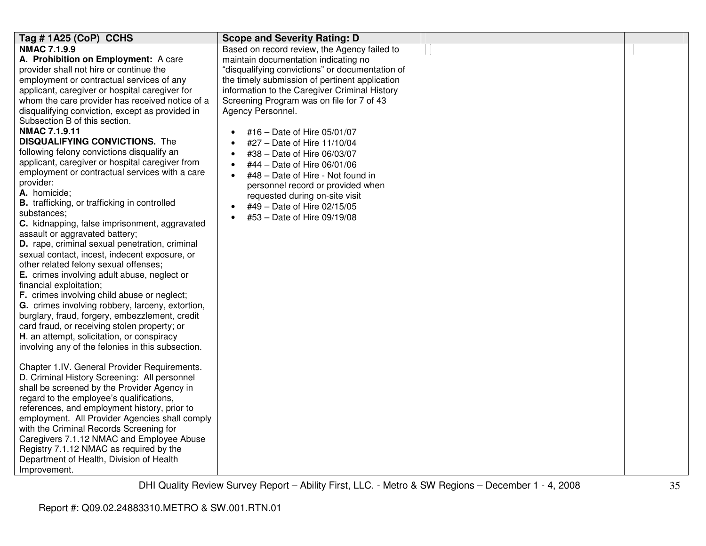| Tag #1A25 (CoP) CCHS                              | <b>Scope and Severity Rating: D</b>             |  |
|---------------------------------------------------|-------------------------------------------------|--|
| <b>NMAC 7.1.9.9</b>                               | Based on record review, the Agency failed to    |  |
| A. Prohibition on Employment: A care              | maintain documentation indicating no            |  |
| provider shall not hire or continue the           | "disqualifying convictions" or documentation of |  |
| employment or contractual services of any         | the timely submission of pertinent application  |  |
| applicant, caregiver or hospital caregiver for    | information to the Caregiver Criminal History   |  |
| whom the care provider has received notice of a   | Screening Program was on file for 7 of 43       |  |
| disqualifying conviction, except as provided in   | Agency Personnel.                               |  |
| Subsection B of this section.                     |                                                 |  |
| <b>NMAC 7.1.9.11</b>                              | #16 - Date of Hire 05/01/07                     |  |
| <b>DISQUALIFYING CONVICTIONS.</b> The             | #27 - Date of Hire 11/10/04                     |  |
| following felony convictions disqualify an        | #38 - Date of Hire 06/03/07                     |  |
| applicant, caregiver or hospital caregiver from   | #44 - Date of Hire 06/01/06<br>$\bullet$        |  |
| employment or contractual services with a care    | #48 - Date of Hire - Not found in<br>$\bullet$  |  |
| provider:                                         | personnel record or provided when               |  |
| A. homicide;                                      | requested during on-site visit                  |  |
| B. trafficking, or trafficking in controlled      | #49 - Date of Hire 02/15/05                     |  |
| substances:                                       | #53 - Date of Hire 09/19/08                     |  |
| C. kidnapping, false imprisonment, aggravated     |                                                 |  |
| assault or aggravated battery;                    |                                                 |  |
| D. rape, criminal sexual penetration, criminal    |                                                 |  |
| sexual contact, incest, indecent exposure, or     |                                                 |  |
| other related felony sexual offenses;             |                                                 |  |
| E. crimes involving adult abuse, neglect or       |                                                 |  |
| financial exploitation;                           |                                                 |  |
| F. crimes involving child abuse or neglect;       |                                                 |  |
| G. crimes involving robbery, larceny, extortion,  |                                                 |  |
| burglary, fraud, forgery, embezzlement, credit    |                                                 |  |
| card fraud, or receiving stolen property; or      |                                                 |  |
| H. an attempt, solicitation, or conspiracy        |                                                 |  |
| involving any of the felonies in this subsection. |                                                 |  |
|                                                   |                                                 |  |
| Chapter 1.IV. General Provider Requirements.      |                                                 |  |
| D. Criminal History Screening: All personnel      |                                                 |  |
| shall be screened by the Provider Agency in       |                                                 |  |
| regard to the employee's qualifications,          |                                                 |  |
| references, and employment history, prior to      |                                                 |  |
| employment. All Provider Agencies shall comply    |                                                 |  |
| with the Criminal Records Screening for           |                                                 |  |
| Caregivers 7.1.12 NMAC and Employee Abuse         |                                                 |  |
| Registry 7.1.12 NMAC as required by the           |                                                 |  |
| Department of Health, Division of Health          |                                                 |  |
| Improvement.                                      |                                                 |  |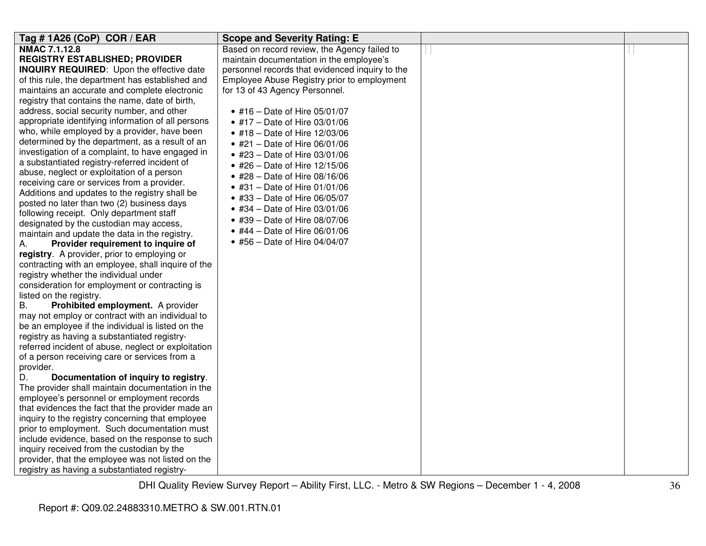| Tag #1A26 (CoP) COR / EAR                           | <b>Scope and Severity Rating: E</b>             |  |
|-----------------------------------------------------|-------------------------------------------------|--|
| NMAC 7.1.12.8                                       | Based on record review, the Agency failed to    |  |
| <b>REGISTRY ESTABLISHED; PROVIDER</b>               | maintain documentation in the employee's        |  |
| <b>INQUIRY REQUIRED:</b> Upon the effective date    | personnel records that evidenced inquiry to the |  |
| of this rule, the department has established and    | Employee Abuse Registry prior to employment     |  |
| maintains an accurate and complete electronic       | for 13 of 43 Agency Personnel.                  |  |
| registry that contains the name, date of birth,     |                                                 |  |
| address, social security number, and other          | • #16 - Date of Hire 05/01/07                   |  |
| appropriate identifying information of all persons  | • #17 - Date of Hire 03/01/06                   |  |
| who, while employed by a provider, have been        | • #18 – Date of Hire $12/03/06$                 |  |
| determined by the department, as a result of an     | • #21 – Date of Hire $06/01/06$                 |  |
| investigation of a complaint, to have engaged in    | • #23 - Date of Hire 03/01/06                   |  |
| a substantiated registry-referred incident of       | • #26 - Date of Hire 12/15/06                   |  |
| abuse, neglect or exploitation of a person          | • #28 – Date of Hire $08/16/06$                 |  |
| receiving care or services from a provider.         | • #31 – Date of Hire $01/01/06$                 |  |
| Additions and updates to the registry shall be      | • #33 - Date of Hire 06/05/07                   |  |
| posted no later than two (2) business days          | • #34 – Date of Hire $03/01/06$                 |  |
| following receipt. Only department staff            |                                                 |  |
| designated by the custodian may access,             | • #39 - Date of Hire 08/07/06                   |  |
| maintain and update the data in the registry.       | • #44 – Date of Hire $06/01/06$                 |  |
| Provider requirement to inquire of<br>А.            | • #56 - Date of Hire 04/04/07                   |  |
| registry. A provider, prior to employing or         |                                                 |  |
| contracting with an employee, shall inquire of the  |                                                 |  |
| registry whether the individual under               |                                                 |  |
| consideration for employment or contracting is      |                                                 |  |
| listed on the registry.                             |                                                 |  |
| <b>B.</b><br>Prohibited employment. A provider      |                                                 |  |
| may not employ or contract with an individual to    |                                                 |  |
| be an employee if the individual is listed on the   |                                                 |  |
| registry as having a substantiated registry-        |                                                 |  |
| referred incident of abuse, neglect or exploitation |                                                 |  |
| of a person receiving care or services from a       |                                                 |  |
| provider.                                           |                                                 |  |
| D.<br>Documentation of inquiry to registry.         |                                                 |  |
| The provider shall maintain documentation in the    |                                                 |  |
| employee's personnel or employment records          |                                                 |  |
| that evidences the fact that the provider made an   |                                                 |  |
| inquiry to the registry concerning that employee    |                                                 |  |
| prior to employment. Such documentation must        |                                                 |  |
| include evidence, based on the response to such     |                                                 |  |
| inquiry received from the custodian by the          |                                                 |  |
| provider, that the employee was not listed on the   |                                                 |  |
| registry as having a substantiated registry-        |                                                 |  |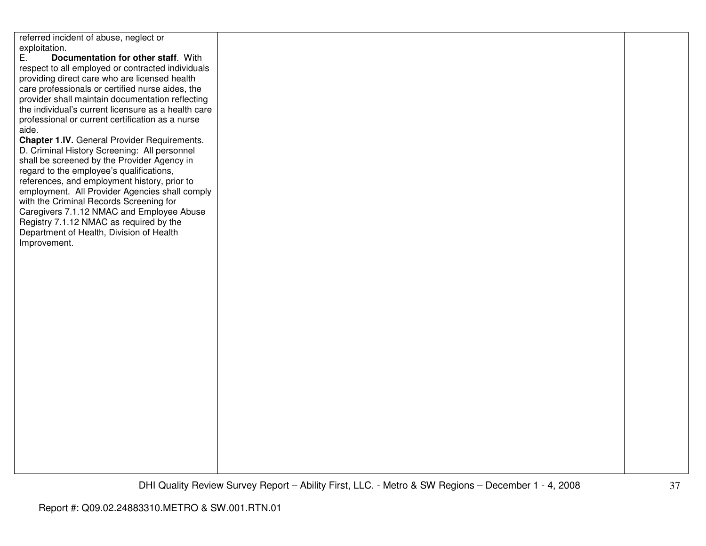referred incident of abuse, neglect or exploitation.<br>E. Doc E. **Documentation for other staff**. With respect to all employed or contracted individuals providing direct care who are licensed health care professionals or certified nurse aides, the provider shall maintain documentation reflecting the individual's current licensure as a health careprofessional or current certification as a nurse aide. **Chapter 1.IV.** General Provider Requirements. D. Criminal History Screening: All personnel shall be screened by the Provider Agency in regard to the employee's qualifications, references, and employment history, prior to employment. All Provider Agencies shall comply with the Criminal Records Screening for Caregivers 7.1.12 NMAC and Employee Abuse Registry 7.1.12 NMAC as required by the Department of Health, Division of Health Improvement.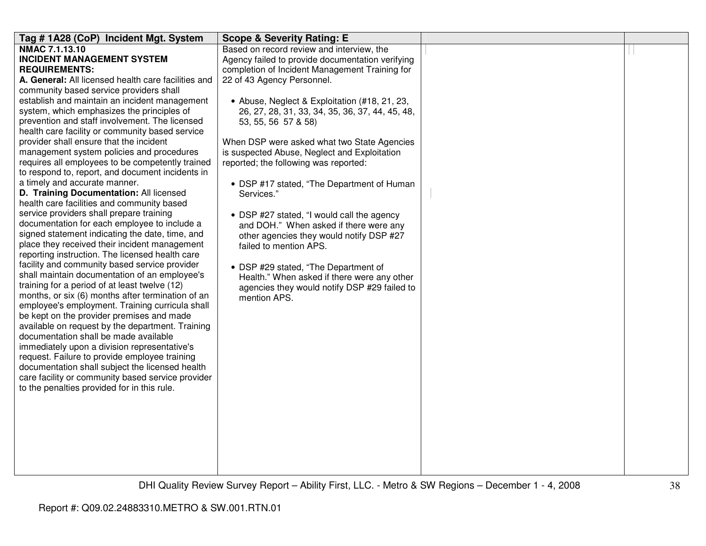| Tag #1A28 (CoP) Incident Mgt. System                                                  | <b>Scope &amp; Severity Rating: E</b>                              |  |
|---------------------------------------------------------------------------------------|--------------------------------------------------------------------|--|
| NMAC 7.1.13.10                                                                        | Based on record review and interview, the                          |  |
| <b>INCIDENT MANAGEMENT SYSTEM</b>                                                     | Agency failed to provide documentation verifying                   |  |
| <b>REQUIREMENTS:</b>                                                                  | completion of Incident Management Training for                     |  |
| A. General: All licensed health care facilities and                                   | 22 of 43 Agency Personnel.                                         |  |
| community based service providers shall                                               |                                                                    |  |
| establish and maintain an incident management                                         | • Abuse, Neglect & Exploitation (#18, 21, 23,                      |  |
| system, which emphasizes the principles of                                            | 26, 27, 28, 31, 33, 34, 35, 36, 37, 44, 45, 48,                    |  |
| prevention and staff involvement. The licensed                                        | 53, 55, 56 57 & 58)                                                |  |
| health care facility or community based service                                       |                                                                    |  |
| provider shall ensure that the incident                                               | When DSP were asked what two State Agencies                        |  |
| management system policies and procedures                                             | is suspected Abuse, Neglect and Exploitation                       |  |
| requires all employees to be competently trained                                      | reported; the following was reported:                              |  |
| to respond to, report, and document incidents in                                      |                                                                    |  |
| a timely and accurate manner.                                                         | • DSP #17 stated, "The Department of Human                         |  |
| D. Training Documentation: All licensed<br>health care facilities and community based | Services."                                                         |  |
| service providers shall prepare training                                              |                                                                    |  |
| documentation for each employee to include a                                          | • DSP #27 stated, "I would call the agency                         |  |
| signed statement indicating the date, time, and                                       | and DOH." When asked if there were any                             |  |
| place they received their incident management                                         | other agencies they would notify DSP #27<br>failed to mention APS. |  |
| reporting instruction. The licensed health care                                       |                                                                    |  |
| facility and community based service provider                                         | • DSP #29 stated, "The Department of                               |  |
| shall maintain documentation of an employee's                                         | Health." When asked if there were any other                        |  |
| training for a period of at least twelve (12)                                         | agencies they would notify DSP #29 failed to                       |  |
| months, or six (6) months after termination of an                                     | mention APS.                                                       |  |
| employee's employment. Training curricula shall                                       |                                                                    |  |
| be kept on the provider premises and made                                             |                                                                    |  |
| available on request by the department. Training                                      |                                                                    |  |
| documentation shall be made available                                                 |                                                                    |  |
| immediately upon a division representative's                                          |                                                                    |  |
| request. Failure to provide employee training                                         |                                                                    |  |
| documentation shall subject the licensed health                                       |                                                                    |  |
| care facility or community based service provider                                     |                                                                    |  |
| to the penalties provided for in this rule.                                           |                                                                    |  |
|                                                                                       |                                                                    |  |
|                                                                                       |                                                                    |  |
|                                                                                       |                                                                    |  |
|                                                                                       |                                                                    |  |
|                                                                                       |                                                                    |  |
|                                                                                       |                                                                    |  |
|                                                                                       |                                                                    |  |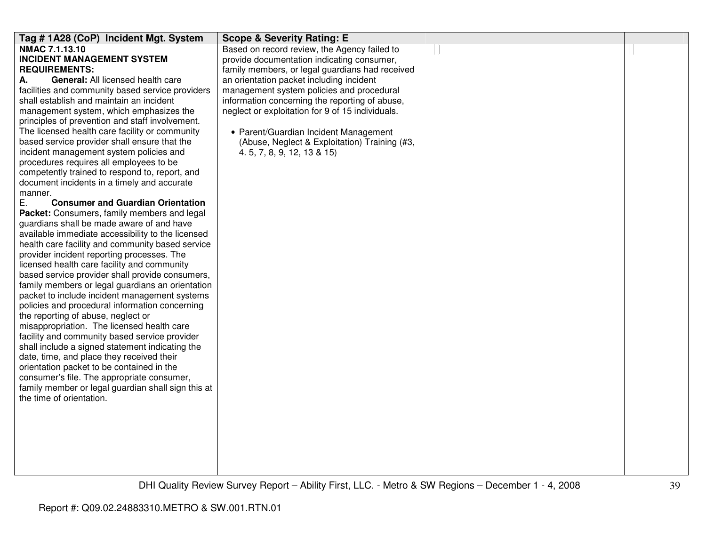| Tag #1A28 (CoP) Incident Mgt. System                      | <b>Scope &amp; Severity Rating: E</b>            |  |
|-----------------------------------------------------------|--------------------------------------------------|--|
| NMAC 7.1.13.10                                            | Based on record review, the Agency failed to     |  |
| <b>INCIDENT MANAGEMENT SYSTEM</b>                         | provide documentation indicating consumer,       |  |
| <b>REQUIREMENTS:</b>                                      | family members, or legal guardians had received  |  |
| <b>General: All licensed health care</b><br>А.            | an orientation packet including incident         |  |
| facilities and community based service providers          | management system policies and procedural        |  |
| shall establish and maintain an incident                  | information concerning the reporting of abuse,   |  |
| management system, which emphasizes the                   | neglect or exploitation for 9 of 15 individuals. |  |
| principles of prevention and staff involvement.           |                                                  |  |
| The licensed health care facility or community            | • Parent/Guardian Incident Management            |  |
| based service provider shall ensure that the              | (Abuse, Neglect & Exploitation) Training (#3,    |  |
| incident management system policies and                   | 4. 5, 7, 8, 9, 12, 13 & 15)                      |  |
| procedures requires all employees to be                   |                                                  |  |
| competently trained to respond to, report, and            |                                                  |  |
| document incidents in a timely and accurate               |                                                  |  |
| manner.<br><b>Consumer and Guardian Orientation</b><br>Е. |                                                  |  |
| Packet: Consumers, family members and legal               |                                                  |  |
| guardians shall be made aware of and have                 |                                                  |  |
| available immediate accessibility to the licensed         |                                                  |  |
| health care facility and community based service          |                                                  |  |
| provider incident reporting processes. The                |                                                  |  |
| licensed health care facility and community               |                                                  |  |
| based service provider shall provide consumers,           |                                                  |  |
| family members or legal guardians an orientation          |                                                  |  |
| packet to include incident management systems             |                                                  |  |
| policies and procedural information concerning            |                                                  |  |
| the reporting of abuse, neglect or                        |                                                  |  |
| misappropriation. The licensed health care                |                                                  |  |
| facility and community based service provider             |                                                  |  |
| shall include a signed statement indicating the           |                                                  |  |
| date, time, and place they received their                 |                                                  |  |
| orientation packet to be contained in the                 |                                                  |  |
| consumer's file. The appropriate consumer,                |                                                  |  |
| family member or legal guardian shall sign this at        |                                                  |  |
| the time of orientation.                                  |                                                  |  |
|                                                           |                                                  |  |
|                                                           |                                                  |  |
|                                                           |                                                  |  |
|                                                           |                                                  |  |
|                                                           |                                                  |  |
|                                                           |                                                  |  |
|                                                           |                                                  |  |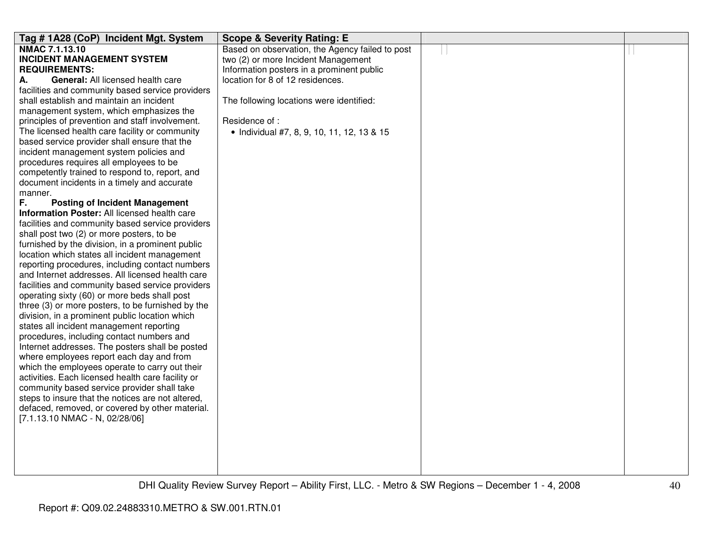| Tag #1A28 (CoP) Incident Mgt. System              | <b>Scope &amp; Severity Rating: E</b>           |  |
|---------------------------------------------------|-------------------------------------------------|--|
| <b>NMAC 7.1.13.10</b>                             | Based on observation, the Agency failed to post |  |
| <b>INCIDENT MANAGEMENT SYSTEM</b>                 | two (2) or more Incident Management             |  |
| <b>REQUIREMENTS:</b>                              | Information posters in a prominent public       |  |
| General: All licensed health care<br>А.           | location for 8 of 12 residences.                |  |
| facilities and community based service providers  |                                                 |  |
| shall establish and maintain an incident          | The following locations were identified:        |  |
| management system, which emphasizes the           |                                                 |  |
| principles of prevention and staff involvement.   | Residence of :                                  |  |
| The licensed health care facility or community    | • Individual #7, 8, 9, 10, 11, 12, 13 & 15      |  |
| based service provider shall ensure that the      |                                                 |  |
| incident management system policies and           |                                                 |  |
| procedures requires all employees to be           |                                                 |  |
| competently trained to respond to, report, and    |                                                 |  |
| document incidents in a timely and accurate       |                                                 |  |
| manner.                                           |                                                 |  |
| F.<br><b>Posting of Incident Management</b>       |                                                 |  |
| Information Poster: All licensed health care      |                                                 |  |
| facilities and community based service providers  |                                                 |  |
| shall post two (2) or more posters, to be         |                                                 |  |
| furnished by the division, in a prominent public  |                                                 |  |
| location which states all incident management     |                                                 |  |
| reporting procedures, including contact numbers   |                                                 |  |
| and Internet addresses. All licensed health care  |                                                 |  |
| facilities and community based service providers  |                                                 |  |
| operating sixty (60) or more beds shall post      |                                                 |  |
| three (3) or more posters, to be furnished by the |                                                 |  |
| division, in a prominent public location which    |                                                 |  |
| states all incident management reporting          |                                                 |  |
| procedures, including contact numbers and         |                                                 |  |
| Internet addresses. The posters shall be posted   |                                                 |  |
| where employees report each day and from          |                                                 |  |
| which the employees operate to carry out their    |                                                 |  |
| activities. Each licensed health care facility or |                                                 |  |
| community based service provider shall take       |                                                 |  |
| steps to insure that the notices are not altered, |                                                 |  |
| defaced, removed, or covered by other material.   |                                                 |  |
| [7.1.13.10 NMAC - N, 02/28/06]                    |                                                 |  |
|                                                   |                                                 |  |
|                                                   |                                                 |  |
|                                                   |                                                 |  |
|                                                   |                                                 |  |
|                                                   |                                                 |  |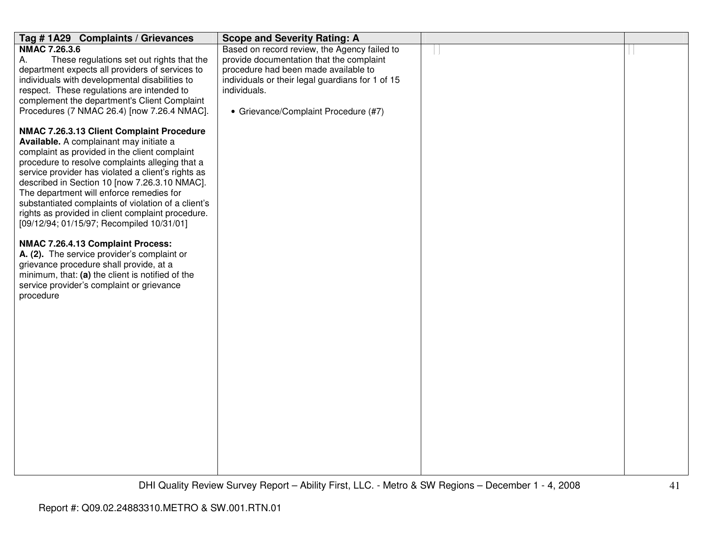| Tag #1A29 Complaints / Grievances                                                                                                                                                       | <b>Scope and Severity Rating: A</b>                                                      |  |
|-----------------------------------------------------------------------------------------------------------------------------------------------------------------------------------------|------------------------------------------------------------------------------------------|--|
| <b>NMAC 7.26.3.6</b>                                                                                                                                                                    | Based on record review, the Agency failed to                                             |  |
| These regulations set out rights that the<br>А.                                                                                                                                         | provide documentation that the complaint                                                 |  |
| department expects all providers of services to<br>individuals with developmental disabilities to                                                                                       | procedure had been made available to<br>individuals or their legal guardians for 1 of 15 |  |
| respect. These regulations are intended to                                                                                                                                              | individuals.                                                                             |  |
| complement the department's Client Complaint                                                                                                                                            |                                                                                          |  |
| Procedures (7 NMAC 26.4) [now 7.26.4 NMAC].                                                                                                                                             | • Grievance/Complaint Procedure (#7)                                                     |  |
| NMAC 7.26.3.13 Client Complaint Procedure<br>Available. A complainant may initiate a                                                                                                    |                                                                                          |  |
| complaint as provided in the client complaint<br>procedure to resolve complaints alleging that a                                                                                        |                                                                                          |  |
| service provider has violated a client's rights as<br>described in Section 10 [now 7.26.3.10 NMAC].                                                                                     |                                                                                          |  |
| The department will enforce remedies for<br>substantiated complaints of violation of a client's                                                                                         |                                                                                          |  |
| rights as provided in client complaint procedure.<br>[09/12/94; 01/15/97; Recompiled 10/31/01]                                                                                          |                                                                                          |  |
| NMAC 7.26.4.13 Complaint Process:                                                                                                                                                       |                                                                                          |  |
| A. (2). The service provider's complaint or<br>grievance procedure shall provide, at a<br>minimum, that: (a) the client is notified of the<br>service provider's complaint or grievance |                                                                                          |  |
| procedure                                                                                                                                                                               |                                                                                          |  |
|                                                                                                                                                                                         |                                                                                          |  |
|                                                                                                                                                                                         |                                                                                          |  |
|                                                                                                                                                                                         |                                                                                          |  |
|                                                                                                                                                                                         |                                                                                          |  |
|                                                                                                                                                                                         |                                                                                          |  |
|                                                                                                                                                                                         |                                                                                          |  |
|                                                                                                                                                                                         |                                                                                          |  |
|                                                                                                                                                                                         |                                                                                          |  |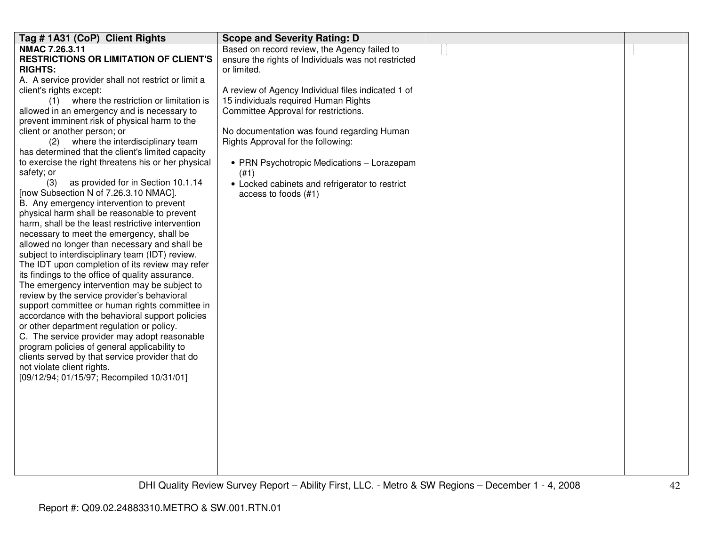| NMAC 7.26.3.11<br>Based on record review, the Agency failed to<br><b>RESTRICTIONS OR LIMITATION OF CLIENT'S</b><br>ensure the rights of Individuals was not restricted<br><b>RIGHTS:</b><br>or limited.<br>A. A service provider shall not restrict or limit a<br>client's rights except:<br>A review of Agency Individual files indicated 1 of<br>(1) where the restriction or limitation is<br>15 individuals required Human Rights<br>allowed in an emergency and is necessary to<br>Committee Approval for restrictions.<br>prevent imminent risk of physical harm to the |
|-------------------------------------------------------------------------------------------------------------------------------------------------------------------------------------------------------------------------------------------------------------------------------------------------------------------------------------------------------------------------------------------------------------------------------------------------------------------------------------------------------------------------------------------------------------------------------|
|                                                                                                                                                                                                                                                                                                                                                                                                                                                                                                                                                                               |
|                                                                                                                                                                                                                                                                                                                                                                                                                                                                                                                                                                               |
|                                                                                                                                                                                                                                                                                                                                                                                                                                                                                                                                                                               |
|                                                                                                                                                                                                                                                                                                                                                                                                                                                                                                                                                                               |
|                                                                                                                                                                                                                                                                                                                                                                                                                                                                                                                                                                               |
|                                                                                                                                                                                                                                                                                                                                                                                                                                                                                                                                                                               |
|                                                                                                                                                                                                                                                                                                                                                                                                                                                                                                                                                                               |
|                                                                                                                                                                                                                                                                                                                                                                                                                                                                                                                                                                               |
| client or another person; or<br>No documentation was found regarding Human                                                                                                                                                                                                                                                                                                                                                                                                                                                                                                    |
| (2) where the interdisciplinary team<br>Rights Approval for the following:                                                                                                                                                                                                                                                                                                                                                                                                                                                                                                    |
| has determined that the client's limited capacity                                                                                                                                                                                                                                                                                                                                                                                                                                                                                                                             |
| to exercise the right threatens his or her physical<br>• PRN Psychotropic Medications - Lorazepam                                                                                                                                                                                                                                                                                                                                                                                                                                                                             |
| safety; or<br>(#1)                                                                                                                                                                                                                                                                                                                                                                                                                                                                                                                                                            |
| as provided for in Section 10.1.14<br>(3)<br>• Locked cabinets and refrigerator to restrict                                                                                                                                                                                                                                                                                                                                                                                                                                                                                   |
| [now Subsection N of 7.26.3.10 NMAC].<br>access to foods (#1)                                                                                                                                                                                                                                                                                                                                                                                                                                                                                                                 |
| B. Any emergency intervention to prevent                                                                                                                                                                                                                                                                                                                                                                                                                                                                                                                                      |
| physical harm shall be reasonable to prevent                                                                                                                                                                                                                                                                                                                                                                                                                                                                                                                                  |
| harm, shall be the least restrictive intervention                                                                                                                                                                                                                                                                                                                                                                                                                                                                                                                             |
| necessary to meet the emergency, shall be                                                                                                                                                                                                                                                                                                                                                                                                                                                                                                                                     |
| allowed no longer than necessary and shall be                                                                                                                                                                                                                                                                                                                                                                                                                                                                                                                                 |
| subject to interdisciplinary team (IDT) review.                                                                                                                                                                                                                                                                                                                                                                                                                                                                                                                               |
| The IDT upon completion of its review may refer                                                                                                                                                                                                                                                                                                                                                                                                                                                                                                                               |
| its findings to the office of quality assurance.                                                                                                                                                                                                                                                                                                                                                                                                                                                                                                                              |
| The emergency intervention may be subject to                                                                                                                                                                                                                                                                                                                                                                                                                                                                                                                                  |
| review by the service provider's behavioral                                                                                                                                                                                                                                                                                                                                                                                                                                                                                                                                   |
| support committee or human rights committee in                                                                                                                                                                                                                                                                                                                                                                                                                                                                                                                                |
| accordance with the behavioral support policies                                                                                                                                                                                                                                                                                                                                                                                                                                                                                                                               |
| or other department regulation or policy.                                                                                                                                                                                                                                                                                                                                                                                                                                                                                                                                     |
| C. The service provider may adopt reasonable                                                                                                                                                                                                                                                                                                                                                                                                                                                                                                                                  |
| program policies of general applicability to                                                                                                                                                                                                                                                                                                                                                                                                                                                                                                                                  |
| clients served by that service provider that do                                                                                                                                                                                                                                                                                                                                                                                                                                                                                                                               |
| not violate client rights.                                                                                                                                                                                                                                                                                                                                                                                                                                                                                                                                                    |
| [09/12/94; 01/15/97; Recompiled 10/31/01]                                                                                                                                                                                                                                                                                                                                                                                                                                                                                                                                     |
|                                                                                                                                                                                                                                                                                                                                                                                                                                                                                                                                                                               |
|                                                                                                                                                                                                                                                                                                                                                                                                                                                                                                                                                                               |
|                                                                                                                                                                                                                                                                                                                                                                                                                                                                                                                                                                               |
|                                                                                                                                                                                                                                                                                                                                                                                                                                                                                                                                                                               |
|                                                                                                                                                                                                                                                                                                                                                                                                                                                                                                                                                                               |
|                                                                                                                                                                                                                                                                                                                                                                                                                                                                                                                                                                               |
|                                                                                                                                                                                                                                                                                                                                                                                                                                                                                                                                                                               |
|                                                                                                                                                                                                                                                                                                                                                                                                                                                                                                                                                                               |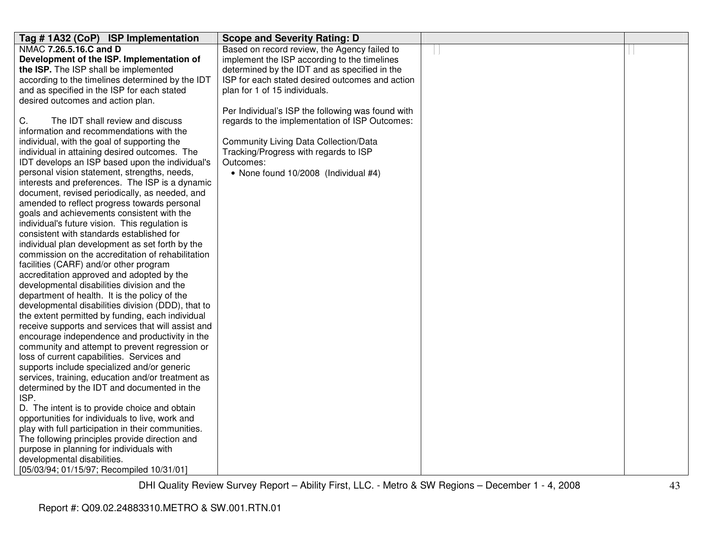| Tag #1A32 (CoP) ISP Implementation                                      | <b>Scope and Severity Rating: D</b>               |  |
|-------------------------------------------------------------------------|---------------------------------------------------|--|
| NMAC 7.26.5.16.C and D                                                  | Based on record review, the Agency failed to      |  |
| Development of the ISP. Implementation of                               | implement the ISP according to the timelines      |  |
| the ISP. The ISP shall be implemented                                   | determined by the IDT and as specified in the     |  |
| according to the timelines determined by the IDT                        | ISP for each stated desired outcomes and action   |  |
| and as specified in the ISP for each stated                             | plan for 1 of 15 individuals.                     |  |
| desired outcomes and action plan.                                       |                                                   |  |
|                                                                         | Per Individual's ISP the following was found with |  |
| C.<br>The IDT shall review and discuss                                  | regards to the implementation of ISP Outcomes:    |  |
| information and recommendations with the                                |                                                   |  |
| individual, with the goal of supporting the                             | <b>Community Living Data Collection/Data</b>      |  |
| individual in attaining desired outcomes. The                           | Tracking/Progress with regards to ISP             |  |
| IDT develops an ISP based upon the individual's                         | Outcomes:                                         |  |
| personal vision statement, strengths, needs,                            | • None found 10/2008 (Individual #4)              |  |
| interests and preferences. The ISP is a dynamic                         |                                                   |  |
| document, revised periodically, as needed, and                          |                                                   |  |
| amended to reflect progress towards personal                            |                                                   |  |
| goals and achievements consistent with the                              |                                                   |  |
| individual's future vision. This regulation is                          |                                                   |  |
| consistent with standards established for                               |                                                   |  |
| individual plan development as set forth by the                         |                                                   |  |
| commission on the accreditation of rehabilitation                       |                                                   |  |
| facilities (CARF) and/or other program                                  |                                                   |  |
| accreditation approved and adopted by the                               |                                                   |  |
| developmental disabilities division and the                             |                                                   |  |
| department of health. It is the policy of the                           |                                                   |  |
| developmental disabilities division (DDD), that to                      |                                                   |  |
| the extent permitted by funding, each individual                        |                                                   |  |
| receive supports and services that will assist and                      |                                                   |  |
| encourage independence and productivity in the                          |                                                   |  |
| community and attempt to prevent regression or                          |                                                   |  |
| loss of current capabilities. Services and                              |                                                   |  |
| supports include specialized and/or generic                             |                                                   |  |
| services, training, education and/or treatment as                       |                                                   |  |
| determined by the IDT and documented in the                             |                                                   |  |
| ISP.                                                                    |                                                   |  |
| D. The intent is to provide choice and obtain                           |                                                   |  |
| opportunities for individuals to live, work and                         |                                                   |  |
| play with full participation in their communities.                      |                                                   |  |
| The following principles provide direction and                          |                                                   |  |
| purpose in planning for individuals with<br>developmental disabilities. |                                                   |  |
|                                                                         |                                                   |  |
| [05/03/94; 01/15/97; Recompiled 10/31/01]                               |                                                   |  |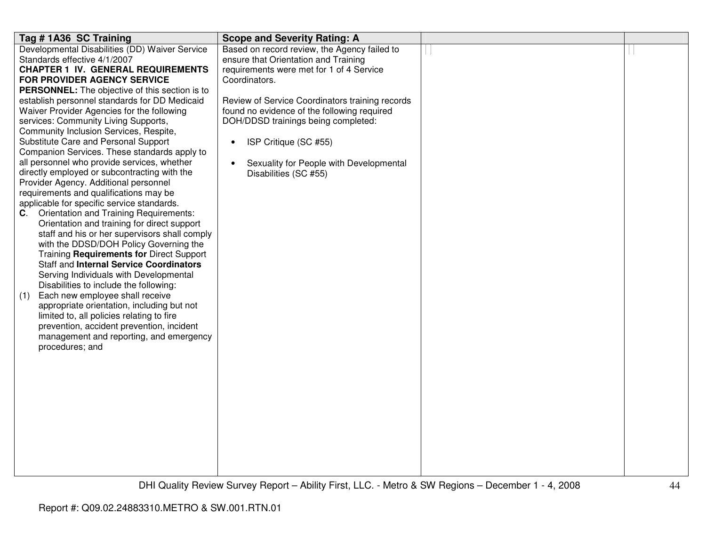| Tag #1A36 SC Training                                 | <b>Scope and Severity Rating: A</b>             |  |
|-------------------------------------------------------|-------------------------------------------------|--|
| Developmental Disabilities (DD) Waiver Service        | Based on record review, the Agency failed to    |  |
| Standards effective 4/1/2007                          | ensure that Orientation and Training            |  |
| <b>CHAPTER 1 IV. GENERAL REQUIREMENTS</b>             | requirements were met for 1 of 4 Service        |  |
| FOR PROVIDER AGENCY SERVICE                           | Coordinators.                                   |  |
| <b>PERSONNEL:</b> The objective of this section is to |                                                 |  |
| establish personnel standards for DD Medicaid         | Review of Service Coordinators training records |  |
| Waiver Provider Agencies for the following            | found no evidence of the following required     |  |
| services: Community Living Supports,                  | DOH/DDSD trainings being completed:             |  |
| Community Inclusion Services, Respite,                |                                                 |  |
| Substitute Care and Personal Support                  | ISP Critique (SC #55)<br>$\bullet$              |  |
| Companion Services. These standards apply to          |                                                 |  |
| all personnel who provide services, whether           | Sexuality for People with Developmental         |  |
| directly employed or subcontracting with the          | Disabilities (SC #55)                           |  |
| Provider Agency. Additional personnel                 |                                                 |  |
| requirements and qualifications may be                |                                                 |  |
| applicable for specific service standards.            |                                                 |  |
| <b>Orientation and Training Requirements:</b><br>C.   |                                                 |  |
| Orientation and training for direct support           |                                                 |  |
| staff and his or her supervisors shall comply         |                                                 |  |
| with the DDSD/DOH Policy Governing the                |                                                 |  |
| Training Requirements for Direct Support              |                                                 |  |
| <b>Staff and Internal Service Coordinators</b>        |                                                 |  |
| Serving Individuals with Developmental                |                                                 |  |
| Disabilities to include the following:                |                                                 |  |
| Each new employee shall receive<br>(1)                |                                                 |  |
| appropriate orientation, including but not            |                                                 |  |
| limited to, all policies relating to fire             |                                                 |  |
| prevention, accident prevention, incident             |                                                 |  |
| management and reporting, and emergency               |                                                 |  |
| procedures; and                                       |                                                 |  |
|                                                       |                                                 |  |
|                                                       |                                                 |  |
|                                                       |                                                 |  |
|                                                       |                                                 |  |
|                                                       |                                                 |  |
|                                                       |                                                 |  |
|                                                       |                                                 |  |
|                                                       |                                                 |  |
|                                                       |                                                 |  |
|                                                       |                                                 |  |
|                                                       |                                                 |  |
|                                                       |                                                 |  |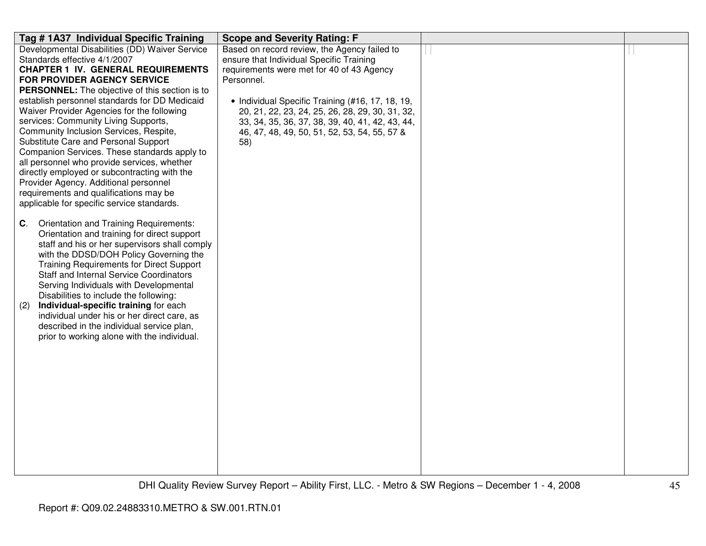| Tag # 1A37 Individual Specific Training                                         | <b>Scope and Severity Rating: F</b>              |  |
|---------------------------------------------------------------------------------|--------------------------------------------------|--|
| Developmental Disabilities (DD) Waiver Service                                  | Based on record review, the Agency failed to     |  |
| Standards effective 4/1/2007                                                    | ensure that Individual Specific Training         |  |
| <b>CHAPTER 1 IV. GENERAL REQUIREMENTS</b>                                       | requirements were met for 40 of 43 Agency        |  |
| <b>FOR PROVIDER AGENCY SERVICE</b>                                              | Personnel.                                       |  |
| PERSONNEL: The objective of this section is to                                  |                                                  |  |
| establish personnel standards for DD Medicaid                                   | • Individual Specific Training (#16, 17, 18, 19, |  |
| Waiver Provider Agencies for the following                                      | 20, 21, 22, 23, 24, 25, 26, 28, 29, 30, 31, 32,  |  |
| services: Community Living Supports,                                            | 33, 34, 35, 36, 37, 38, 39, 40, 41, 42, 43, 44,  |  |
| Community Inclusion Services, Respite,                                          | 46, 47, 48, 49, 50, 51, 52, 53, 54, 55, 57 &     |  |
| Substitute Care and Personal Support                                            | 58)                                              |  |
| Companion Services. These standards apply to                                    |                                                  |  |
| all personnel who provide services, whether                                     |                                                  |  |
| directly employed or subcontracting with the                                    |                                                  |  |
| Provider Agency. Additional personnel<br>requirements and qualifications may be |                                                  |  |
| applicable for specific service standards.                                      |                                                  |  |
|                                                                                 |                                                  |  |
| Orientation and Training Requirements:<br>C.                                    |                                                  |  |
| Orientation and training for direct support                                     |                                                  |  |
| staff and his or her supervisors shall comply                                   |                                                  |  |
| with the DDSD/DOH Policy Governing the                                          |                                                  |  |
| <b>Training Requirements for Direct Support</b>                                 |                                                  |  |
| <b>Staff and Internal Service Coordinators</b>                                  |                                                  |  |
| Serving Individuals with Developmental                                          |                                                  |  |
| Disabilities to include the following:                                          |                                                  |  |
| Individual-specific training for each<br>(2)                                    |                                                  |  |
| individual under his or her direct care, as                                     |                                                  |  |
| described in the individual service plan,                                       |                                                  |  |
| prior to working alone with the individual.                                     |                                                  |  |
|                                                                                 |                                                  |  |
|                                                                                 |                                                  |  |
|                                                                                 |                                                  |  |
|                                                                                 |                                                  |  |
|                                                                                 |                                                  |  |
|                                                                                 |                                                  |  |
|                                                                                 |                                                  |  |
|                                                                                 |                                                  |  |
|                                                                                 |                                                  |  |
|                                                                                 |                                                  |  |
|                                                                                 |                                                  |  |
|                                                                                 |                                                  |  |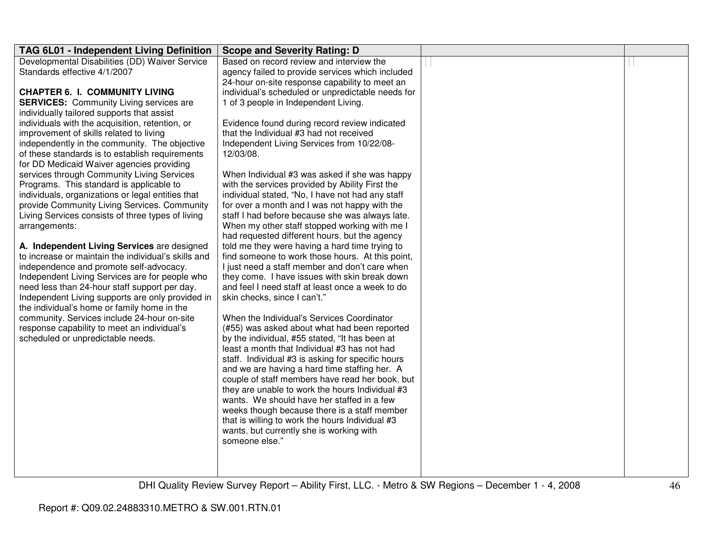| TAG 6L01 - Independent Living Definition                                                     | <b>Scope and Severity Rating: D</b>                        |  |
|----------------------------------------------------------------------------------------------|------------------------------------------------------------|--|
| Developmental Disabilities (DD) Waiver Service                                               | Based on record review and interview the                   |  |
| Standards effective 4/1/2007                                                                 | agency failed to provide services which included           |  |
|                                                                                              | 24-hour on-site response capability to meet an             |  |
| <b>CHAPTER 6. I. COMMUNITY LIVING</b>                                                        | individual's scheduled or unpredictable needs for          |  |
| <b>SERVICES:</b> Community Living services are                                               | 1 of 3 people in Independent Living.                       |  |
| individually tailored supports that assist                                                   |                                                            |  |
| individuals with the acquisition, retention, or                                              | Evidence found during record review indicated              |  |
| improvement of skills related to living                                                      | that the Individual #3 had not received                    |  |
| independently in the community. The objective                                                | Independent Living Services from 10/22/08-<br>12/03/08.    |  |
| of these standards is to establish requirements<br>for DD Medicaid Waiver agencies providing |                                                            |  |
| services through Community Living Services                                                   | When Individual #3 was asked if she was happy              |  |
| Programs. This standard is applicable to                                                     | with the services provided by Ability First the            |  |
| individuals, organizations or legal entities that                                            | individual stated, "No, I have not had any staff           |  |
| provide Community Living Services. Community                                                 | for over a month and I was not happy with the              |  |
| Living Services consists of three types of living                                            | staff I had before because she was always late.            |  |
| arrangements:                                                                                | When my other staff stopped working with me I              |  |
|                                                                                              | had requested different hours, but the agency              |  |
| A. Independent Living Services are designed                                                  | told me they were having a hard time trying to             |  |
| to increase or maintain the individual's skills and                                          | find someone to work those hours. At this point,           |  |
| independence and promote self-advocacy.                                                      | I just need a staff member and don't care when             |  |
| Independent Living Services are for people who                                               | they come. I have issues with skin break down              |  |
| need less than 24-hour staff support per day.                                                | and feel I need staff at least once a week to do           |  |
| Independent Living supports are only provided in                                             | skin checks, since I can't."                               |  |
| the individual's home or family home in the                                                  |                                                            |  |
| community. Services include 24-hour on-site                                                  | When the Individual's Services Coordinator                 |  |
| response capability to meet an individual's                                                  | (#55) was asked about what had been reported               |  |
| scheduled or unpredictable needs.                                                            | by the individual, #55 stated, "It has been at             |  |
|                                                                                              | least a month that Individual #3 has not had               |  |
|                                                                                              | staff. Individual #3 is asking for specific hours          |  |
|                                                                                              | and we are having a hard time staffing her. A              |  |
|                                                                                              | couple of staff members have read her book, but            |  |
|                                                                                              | they are unable to work the hours Individual #3            |  |
|                                                                                              | wants. We should have her staffed in a few                 |  |
|                                                                                              | weeks though because there is a staff member               |  |
|                                                                                              | that is willing to work the hours Individual #3            |  |
|                                                                                              | wants, but currently she is working with<br>someone else." |  |
|                                                                                              |                                                            |  |
|                                                                                              |                                                            |  |
|                                                                                              |                                                            |  |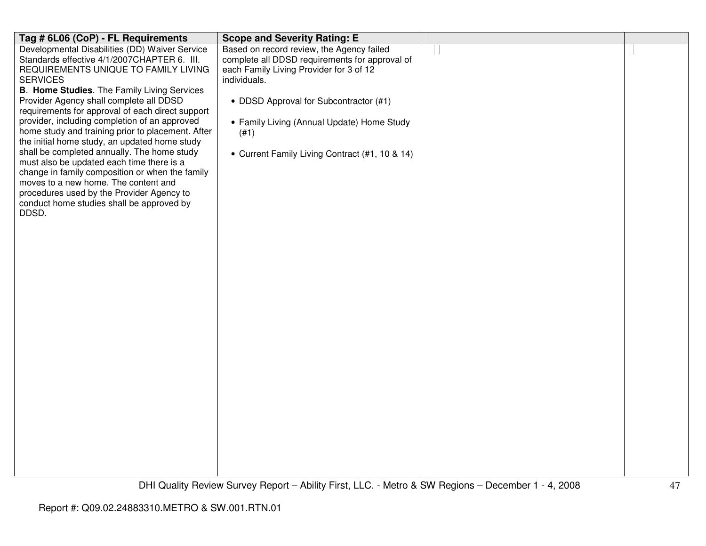| Tag # 6L06 (CoP) - FL Requirements                                                           | <b>Scope and Severity Rating: E</b>            |  |
|----------------------------------------------------------------------------------------------|------------------------------------------------|--|
| Developmental Disabilities (DD) Waiver Service                                               | Based on record review, the Agency failed      |  |
| Standards effective 4/1/2007CHAPTER 6. III.                                                  | complete all DDSD requirements for approval of |  |
| REQUIREMENTS UNIQUE TO FAMILY LIVING                                                         | each Family Living Provider for 3 of 12        |  |
| <b>SERVICES</b><br>B. Home Studies. The Family Living Services                               | individuals.                                   |  |
| Provider Agency shall complete all DDSD                                                      | • DDSD Approval for Subcontractor (#1)         |  |
| requirements for approval of each direct support                                             |                                                |  |
| provider, including completion of an approved                                                | • Family Living (Annual Update) Home Study     |  |
| home study and training prior to placement. After                                            | (#1)                                           |  |
| the initial home study, an updated home study                                                |                                                |  |
| shall be completed annually. The home study                                                  | • Current Family Living Contract (#1, 10 & 14) |  |
| must also be updated each time there is a<br>change in family composition or when the family |                                                |  |
| moves to a new home. The content and                                                         |                                                |  |
| procedures used by the Provider Agency to                                                    |                                                |  |
| conduct home studies shall be approved by                                                    |                                                |  |
| DDSD.                                                                                        |                                                |  |
|                                                                                              |                                                |  |
|                                                                                              |                                                |  |
|                                                                                              |                                                |  |
|                                                                                              |                                                |  |
|                                                                                              |                                                |  |
|                                                                                              |                                                |  |
|                                                                                              |                                                |  |
|                                                                                              |                                                |  |
|                                                                                              |                                                |  |
|                                                                                              |                                                |  |
|                                                                                              |                                                |  |
|                                                                                              |                                                |  |
|                                                                                              |                                                |  |
|                                                                                              |                                                |  |
|                                                                                              |                                                |  |
|                                                                                              |                                                |  |
|                                                                                              |                                                |  |
|                                                                                              |                                                |  |
|                                                                                              |                                                |  |
|                                                                                              |                                                |  |
|                                                                                              |                                                |  |
|                                                                                              |                                                |  |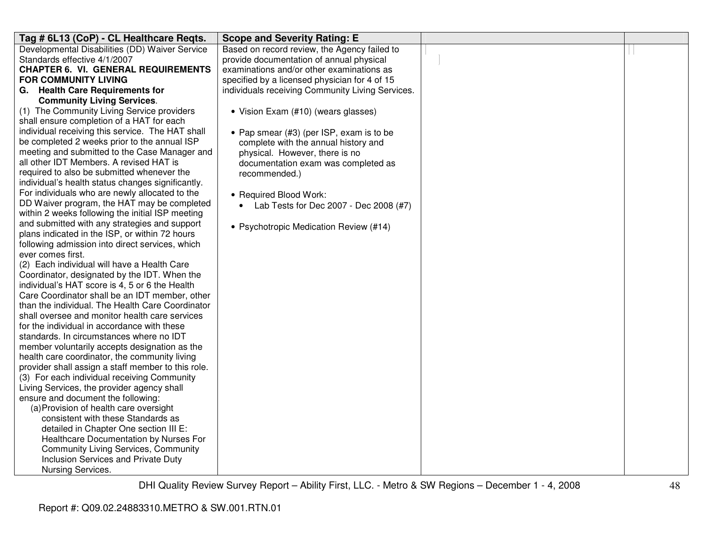| Tag # 6L13 (CoP) - CL Healthcare Reqts.                              | <b>Scope and Severity Rating: E</b>              |  |
|----------------------------------------------------------------------|--------------------------------------------------|--|
| Developmental Disabilities (DD) Waiver Service                       | Based on record review, the Agency failed to     |  |
| Standards effective 4/1/2007                                         | provide documentation of annual physical         |  |
| <b>CHAPTER 6. VI. GENERAL REQUIREMENTS</b>                           | examinations and/or other examinations as        |  |
| <b>FOR COMMUNITY LIVING</b>                                          | specified by a licensed physician for 4 of 15    |  |
| G. Health Care Requirements for                                      | individuals receiving Community Living Services. |  |
| <b>Community Living Services.</b>                                    |                                                  |  |
| (1) The Community Living Service providers                           | • Vision Exam (#10) (wears glasses)              |  |
| shall ensure completion of a HAT for each                            |                                                  |  |
| individual receiving this service. The HAT shall                     | • Pap smear (#3) (per ISP, exam is to be         |  |
| be completed 2 weeks prior to the annual ISP                         | complete with the annual history and             |  |
| meeting and submitted to the Case Manager and                        | physical. However, there is no                   |  |
| all other IDT Members. A revised HAT is                              | documentation exam was completed as              |  |
| required to also be submitted whenever the                           | recommended.)                                    |  |
| individual's health status changes significantly.                    |                                                  |  |
| For individuals who are newly allocated to the                       | • Required Blood Work:                           |  |
| DD Waiver program, the HAT may be completed                          | • Lab Tests for Dec 2007 - Dec 2008 (#7)         |  |
| within 2 weeks following the initial ISP meeting                     |                                                  |  |
| and submitted with any strategies and support                        | • Psychotropic Medication Review (#14)           |  |
| plans indicated in the ISP, or within 72 hours                       |                                                  |  |
| following admission into direct services, which<br>ever comes first. |                                                  |  |
| (2) Each individual will have a Health Care                          |                                                  |  |
| Coordinator, designated by the IDT. When the                         |                                                  |  |
| individual's HAT score is 4, 5 or 6 the Health                       |                                                  |  |
| Care Coordinator shall be an IDT member, other                       |                                                  |  |
| than the individual. The Health Care Coordinator                     |                                                  |  |
| shall oversee and monitor health care services                       |                                                  |  |
| for the individual in accordance with these                          |                                                  |  |
| standards. In circumstances where no IDT                             |                                                  |  |
| member voluntarily accepts designation as the                        |                                                  |  |
| health care coordinator, the community living                        |                                                  |  |
| provider shall assign a staff member to this role.                   |                                                  |  |
| (3) For each individual receiving Community                          |                                                  |  |
| Living Services, the provider agency shall                           |                                                  |  |
| ensure and document the following:                                   |                                                  |  |
| (a) Provision of health care oversight                               |                                                  |  |
| consistent with these Standards as                                   |                                                  |  |
| detailed in Chapter One section III E:                               |                                                  |  |
| Healthcare Documentation by Nurses For                               |                                                  |  |
| <b>Community Living Services, Community</b>                          |                                                  |  |
| Inclusion Services and Private Duty                                  |                                                  |  |
| Nursing Services.                                                    |                                                  |  |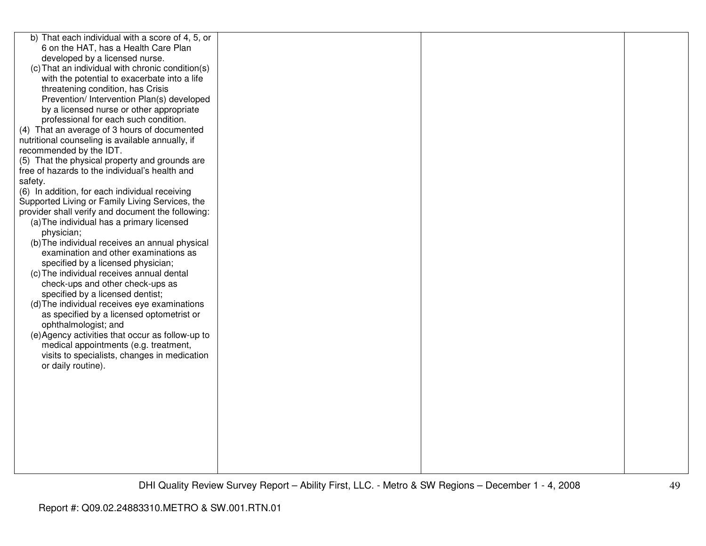| b) That each individual with a score of 4, 5, or  |  |  |
|---------------------------------------------------|--|--|
| 6 on the HAT, has a Health Care Plan              |  |  |
| developed by a licensed nurse.                    |  |  |
| (c) That an individual with chronic condition(s)  |  |  |
| with the potential to exacerbate into a life      |  |  |
| threatening condition, has Crisis                 |  |  |
| Prevention/ Intervention Plan(s) developed        |  |  |
| by a licensed nurse or other appropriate          |  |  |
| professional for each such condition.             |  |  |
| (4) That an average of 3 hours of documented      |  |  |
| nutritional counseling is available annually, if  |  |  |
| recommended by the IDT.                           |  |  |
| (5) That the physical property and grounds are    |  |  |
| free of hazards to the individual's health and    |  |  |
| safety.                                           |  |  |
| (6) In addition, for each individual receiving    |  |  |
| Supported Living or Family Living Services, the   |  |  |
| provider shall verify and document the following: |  |  |
| (a) The individual has a primary licensed         |  |  |
| physician;                                        |  |  |
| (b) The individual receives an annual physical    |  |  |
| examination and other examinations as             |  |  |
| specified by a licensed physician;                |  |  |
| (c) The individual receives annual dental         |  |  |
| check-ups and other check-ups as                  |  |  |
| specified by a licensed dentist;                  |  |  |
| (d) The individual receives eye examinations      |  |  |
| as specified by a licensed optometrist or         |  |  |
| ophthalmologist; and                              |  |  |
| (e) Agency activities that occur as follow-up to  |  |  |
| medical appointments (e.g. treatment,             |  |  |
| visits to specialists, changes in medication      |  |  |
| or daily routine).                                |  |  |
|                                                   |  |  |
|                                                   |  |  |
|                                                   |  |  |
|                                                   |  |  |
|                                                   |  |  |
|                                                   |  |  |
|                                                   |  |  |
|                                                   |  |  |
|                                                   |  |  |
|                                                   |  |  |
|                                                   |  |  |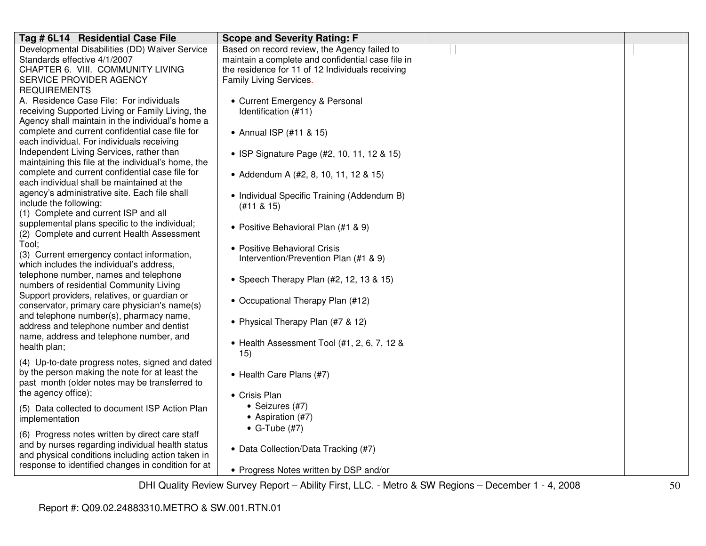| Developmental Disabilities (DD) Waiver Service<br>Based on record review, the Agency failed to<br>Standards effective 4/1/2007<br>maintain a complete and confidential case file in<br>CHAPTER 6. VIII. COMMUNITY LIVING<br>the residence for 11 of 12 Individuals receiving<br>Family Living Services.<br>SERVICE PROVIDER AGENCY<br><b>REQUIREMENTS</b><br>A. Residence Case File: For individuals<br>• Current Emergency & Personal<br>receiving Supported Living or Family Living, the<br>Identification (#11)<br>Agency shall maintain in the individual's home a<br>complete and current confidential case file for<br>• Annual ISP (#11 & 15)<br>each individual. For individuals receiving<br>Independent Living Services, rather than<br>• ISP Signature Page (#2, 10, 11, 12 & 15)<br>maintaining this file at the individual's home, the<br>complete and current confidential case file for | Tag # 6L14 Residential Case File | <b>Scope and Severity Rating: F</b>   |  |
|--------------------------------------------------------------------------------------------------------------------------------------------------------------------------------------------------------------------------------------------------------------------------------------------------------------------------------------------------------------------------------------------------------------------------------------------------------------------------------------------------------------------------------------------------------------------------------------------------------------------------------------------------------------------------------------------------------------------------------------------------------------------------------------------------------------------------------------------------------------------------------------------------------|----------------------------------|---------------------------------------|--|
|                                                                                                                                                                                                                                                                                                                                                                                                                                                                                                                                                                                                                                                                                                                                                                                                                                                                                                        |                                  |                                       |  |
|                                                                                                                                                                                                                                                                                                                                                                                                                                                                                                                                                                                                                                                                                                                                                                                                                                                                                                        |                                  |                                       |  |
|                                                                                                                                                                                                                                                                                                                                                                                                                                                                                                                                                                                                                                                                                                                                                                                                                                                                                                        |                                  |                                       |  |
|                                                                                                                                                                                                                                                                                                                                                                                                                                                                                                                                                                                                                                                                                                                                                                                                                                                                                                        |                                  |                                       |  |
|                                                                                                                                                                                                                                                                                                                                                                                                                                                                                                                                                                                                                                                                                                                                                                                                                                                                                                        |                                  |                                       |  |
|                                                                                                                                                                                                                                                                                                                                                                                                                                                                                                                                                                                                                                                                                                                                                                                                                                                                                                        |                                  |                                       |  |
|                                                                                                                                                                                                                                                                                                                                                                                                                                                                                                                                                                                                                                                                                                                                                                                                                                                                                                        |                                  |                                       |  |
|                                                                                                                                                                                                                                                                                                                                                                                                                                                                                                                                                                                                                                                                                                                                                                                                                                                                                                        |                                  |                                       |  |
|                                                                                                                                                                                                                                                                                                                                                                                                                                                                                                                                                                                                                                                                                                                                                                                                                                                                                                        |                                  |                                       |  |
|                                                                                                                                                                                                                                                                                                                                                                                                                                                                                                                                                                                                                                                                                                                                                                                                                                                                                                        |                                  |                                       |  |
|                                                                                                                                                                                                                                                                                                                                                                                                                                                                                                                                                                                                                                                                                                                                                                                                                                                                                                        |                                  |                                       |  |
|                                                                                                                                                                                                                                                                                                                                                                                                                                                                                                                                                                                                                                                                                                                                                                                                                                                                                                        |                                  |                                       |  |
|                                                                                                                                                                                                                                                                                                                                                                                                                                                                                                                                                                                                                                                                                                                                                                                                                                                                                                        |                                  | • Addendum A (#2, 8, 10, 11, 12 & 15) |  |
| each individual shall be maintained at the                                                                                                                                                                                                                                                                                                                                                                                                                                                                                                                                                                                                                                                                                                                                                                                                                                                             |                                  |                                       |  |
| agency's administrative site. Each file shall<br>• Individual Specific Training (Addendum B)                                                                                                                                                                                                                                                                                                                                                                                                                                                                                                                                                                                                                                                                                                                                                                                                           |                                  |                                       |  |
| include the following:<br>$(#11 \& 15)$                                                                                                                                                                                                                                                                                                                                                                                                                                                                                                                                                                                                                                                                                                                                                                                                                                                                |                                  |                                       |  |
| (1) Complete and current ISP and all                                                                                                                                                                                                                                                                                                                                                                                                                                                                                                                                                                                                                                                                                                                                                                                                                                                                   |                                  |                                       |  |
| supplemental plans specific to the individual;<br>• Positive Behavioral Plan (#1 & 9)                                                                                                                                                                                                                                                                                                                                                                                                                                                                                                                                                                                                                                                                                                                                                                                                                  |                                  |                                       |  |
| (2) Complete and current Health Assessment                                                                                                                                                                                                                                                                                                                                                                                                                                                                                                                                                                                                                                                                                                                                                                                                                                                             |                                  |                                       |  |
| Tool;<br>• Positive Behavioral Crisis                                                                                                                                                                                                                                                                                                                                                                                                                                                                                                                                                                                                                                                                                                                                                                                                                                                                  |                                  |                                       |  |
| (3) Current emergency contact information,<br>Intervention/Prevention Plan (#1 & 9)                                                                                                                                                                                                                                                                                                                                                                                                                                                                                                                                                                                                                                                                                                                                                                                                                    |                                  |                                       |  |
| which includes the individual's address,                                                                                                                                                                                                                                                                                                                                                                                                                                                                                                                                                                                                                                                                                                                                                                                                                                                               |                                  |                                       |  |
| telephone number, names and telephone<br>• Speech Therapy Plan (#2, 12, 13 & 15)                                                                                                                                                                                                                                                                                                                                                                                                                                                                                                                                                                                                                                                                                                                                                                                                                       |                                  |                                       |  |
| numbers of residential Community Living                                                                                                                                                                                                                                                                                                                                                                                                                                                                                                                                                                                                                                                                                                                                                                                                                                                                |                                  |                                       |  |
| Support providers, relatives, or guardian or<br>• Occupational Therapy Plan (#12)                                                                                                                                                                                                                                                                                                                                                                                                                                                                                                                                                                                                                                                                                                                                                                                                                      |                                  |                                       |  |
| conservator, primary care physician's name(s)                                                                                                                                                                                                                                                                                                                                                                                                                                                                                                                                                                                                                                                                                                                                                                                                                                                          |                                  |                                       |  |
| and telephone number(s), pharmacy name,<br>• Physical Therapy Plan (#7 & 12)                                                                                                                                                                                                                                                                                                                                                                                                                                                                                                                                                                                                                                                                                                                                                                                                                           |                                  |                                       |  |
| address and telephone number and dentist                                                                                                                                                                                                                                                                                                                                                                                                                                                                                                                                                                                                                                                                                                                                                                                                                                                               |                                  |                                       |  |
| name, address and telephone number, and<br>• Health Assessment Tool (#1, 2, 6, 7, 12 &                                                                                                                                                                                                                                                                                                                                                                                                                                                                                                                                                                                                                                                                                                                                                                                                                 |                                  |                                       |  |
| health plan;<br>15)                                                                                                                                                                                                                                                                                                                                                                                                                                                                                                                                                                                                                                                                                                                                                                                                                                                                                    |                                  |                                       |  |
| (4) Up-to-date progress notes, signed and dated                                                                                                                                                                                                                                                                                                                                                                                                                                                                                                                                                                                                                                                                                                                                                                                                                                                        |                                  |                                       |  |
| by the person making the note for at least the<br>• Health Care Plans (#7)                                                                                                                                                                                                                                                                                                                                                                                                                                                                                                                                                                                                                                                                                                                                                                                                                             |                                  |                                       |  |
| past month (older notes may be transferred to                                                                                                                                                                                                                                                                                                                                                                                                                                                                                                                                                                                                                                                                                                                                                                                                                                                          |                                  |                                       |  |
| the agency office);<br>• Crisis Plan                                                                                                                                                                                                                                                                                                                                                                                                                                                                                                                                                                                                                                                                                                                                                                                                                                                                   |                                  |                                       |  |
| • Seizures (#7)<br>(5) Data collected to document ISP Action Plan                                                                                                                                                                                                                                                                                                                                                                                                                                                                                                                                                                                                                                                                                                                                                                                                                                      |                                  |                                       |  |
| • Aspiration (#7)<br>implementation                                                                                                                                                                                                                                                                                                                                                                                                                                                                                                                                                                                                                                                                                                                                                                                                                                                                    |                                  |                                       |  |
| $\bullet$ G-Tube (#7)                                                                                                                                                                                                                                                                                                                                                                                                                                                                                                                                                                                                                                                                                                                                                                                                                                                                                  |                                  |                                       |  |
| (6) Progress notes written by direct care staff                                                                                                                                                                                                                                                                                                                                                                                                                                                                                                                                                                                                                                                                                                                                                                                                                                                        |                                  |                                       |  |
| and by nurses regarding individual health status<br>• Data Collection/Data Tracking (#7)                                                                                                                                                                                                                                                                                                                                                                                                                                                                                                                                                                                                                                                                                                                                                                                                               |                                  |                                       |  |
| and physical conditions including action taken in                                                                                                                                                                                                                                                                                                                                                                                                                                                                                                                                                                                                                                                                                                                                                                                                                                                      |                                  |                                       |  |
| response to identified changes in condition for at<br>• Progress Notes written by DSP and/or                                                                                                                                                                                                                                                                                                                                                                                                                                                                                                                                                                                                                                                                                                                                                                                                           |                                  |                                       |  |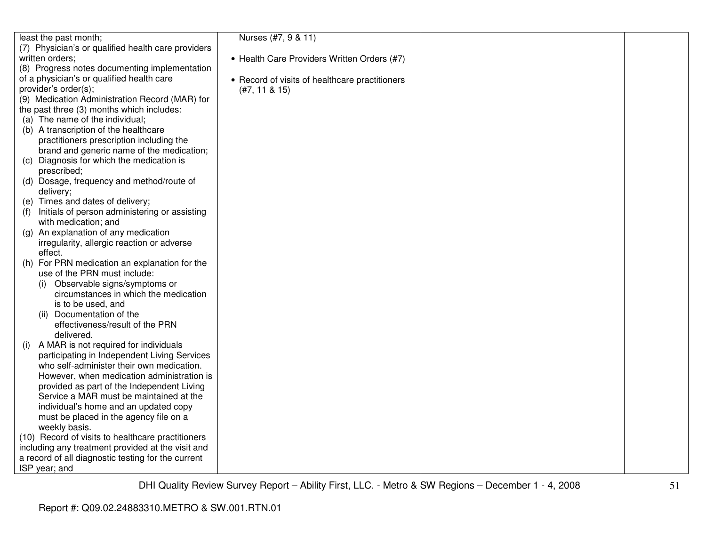| Nurses (#7, 9 & 11)<br>least the past month;<br>(7) Physician's or qualified health care providers<br>written orders;<br>• Health Care Providers Written Orders (#7)<br>(8) Progress notes documenting implementation<br>of a physician's or qualified health care<br>• Record of visits of healthcare practitioners<br>provider's order(s);<br>$(#7, 11 \& 15)$<br>(9) Medication Administration Record (MAR) for<br>the past three (3) months which includes:<br>(a) The name of the individual;<br>(b) A transcription of the healthcare<br>practitioners prescription including the<br>brand and generic name of the medication;<br>Diagnosis for which the medication is<br>(C)<br>prescribed;<br>(d) Dosage, frequency and method/route of<br>delivery;<br>(e) Times and dates of delivery;<br>Initials of person administering or assisting<br>(f)<br>with medication; and<br>An explanation of any medication<br>(a)<br>irregularity, allergic reaction or adverse<br>effect.<br>For PRN medication an explanation for the<br>(h)<br>use of the PRN must include:<br>Observable signs/symptoms or<br>(i)<br>circumstances in which the medication<br>is to be used, and<br>(ii) Documentation of the<br>effectiveness/result of the PRN<br>delivered.<br>A MAR is not required for individuals<br>(i)<br>participating in Independent Living Services<br>who self-administer their own medication.<br>However, when medication administration is<br>provided as part of the Independent Living<br>Service a MAR must be maintained at the<br>individual's home and an updated copy<br>must be placed in the agency file on a<br>weekly basis.<br>(10) Record of visits to healthcare practitioners<br>including any treatment provided at the visit and<br>a record of all diagnostic testing for the current<br>ISP year; and |  |  |
|----------------------------------------------------------------------------------------------------------------------------------------------------------------------------------------------------------------------------------------------------------------------------------------------------------------------------------------------------------------------------------------------------------------------------------------------------------------------------------------------------------------------------------------------------------------------------------------------------------------------------------------------------------------------------------------------------------------------------------------------------------------------------------------------------------------------------------------------------------------------------------------------------------------------------------------------------------------------------------------------------------------------------------------------------------------------------------------------------------------------------------------------------------------------------------------------------------------------------------------------------------------------------------------------------------------------------------------------------------------------------------------------------------------------------------------------------------------------------------------------------------------------------------------------------------------------------------------------------------------------------------------------------------------------------------------------------------------------------------------------------------------------------------------------------------------------------------------|--|--|
|                                                                                                                                                                                                                                                                                                                                                                                                                                                                                                                                                                                                                                                                                                                                                                                                                                                                                                                                                                                                                                                                                                                                                                                                                                                                                                                                                                                                                                                                                                                                                                                                                                                                                                                                                                                                                                        |  |  |
|                                                                                                                                                                                                                                                                                                                                                                                                                                                                                                                                                                                                                                                                                                                                                                                                                                                                                                                                                                                                                                                                                                                                                                                                                                                                                                                                                                                                                                                                                                                                                                                                                                                                                                                                                                                                                                        |  |  |
|                                                                                                                                                                                                                                                                                                                                                                                                                                                                                                                                                                                                                                                                                                                                                                                                                                                                                                                                                                                                                                                                                                                                                                                                                                                                                                                                                                                                                                                                                                                                                                                                                                                                                                                                                                                                                                        |  |  |
|                                                                                                                                                                                                                                                                                                                                                                                                                                                                                                                                                                                                                                                                                                                                                                                                                                                                                                                                                                                                                                                                                                                                                                                                                                                                                                                                                                                                                                                                                                                                                                                                                                                                                                                                                                                                                                        |  |  |
|                                                                                                                                                                                                                                                                                                                                                                                                                                                                                                                                                                                                                                                                                                                                                                                                                                                                                                                                                                                                                                                                                                                                                                                                                                                                                                                                                                                                                                                                                                                                                                                                                                                                                                                                                                                                                                        |  |  |
|                                                                                                                                                                                                                                                                                                                                                                                                                                                                                                                                                                                                                                                                                                                                                                                                                                                                                                                                                                                                                                                                                                                                                                                                                                                                                                                                                                                                                                                                                                                                                                                                                                                                                                                                                                                                                                        |  |  |
|                                                                                                                                                                                                                                                                                                                                                                                                                                                                                                                                                                                                                                                                                                                                                                                                                                                                                                                                                                                                                                                                                                                                                                                                                                                                                                                                                                                                                                                                                                                                                                                                                                                                                                                                                                                                                                        |  |  |
|                                                                                                                                                                                                                                                                                                                                                                                                                                                                                                                                                                                                                                                                                                                                                                                                                                                                                                                                                                                                                                                                                                                                                                                                                                                                                                                                                                                                                                                                                                                                                                                                                                                                                                                                                                                                                                        |  |  |
|                                                                                                                                                                                                                                                                                                                                                                                                                                                                                                                                                                                                                                                                                                                                                                                                                                                                                                                                                                                                                                                                                                                                                                                                                                                                                                                                                                                                                                                                                                                                                                                                                                                                                                                                                                                                                                        |  |  |
|                                                                                                                                                                                                                                                                                                                                                                                                                                                                                                                                                                                                                                                                                                                                                                                                                                                                                                                                                                                                                                                                                                                                                                                                                                                                                                                                                                                                                                                                                                                                                                                                                                                                                                                                                                                                                                        |  |  |
|                                                                                                                                                                                                                                                                                                                                                                                                                                                                                                                                                                                                                                                                                                                                                                                                                                                                                                                                                                                                                                                                                                                                                                                                                                                                                                                                                                                                                                                                                                                                                                                                                                                                                                                                                                                                                                        |  |  |
|                                                                                                                                                                                                                                                                                                                                                                                                                                                                                                                                                                                                                                                                                                                                                                                                                                                                                                                                                                                                                                                                                                                                                                                                                                                                                                                                                                                                                                                                                                                                                                                                                                                                                                                                                                                                                                        |  |  |
|                                                                                                                                                                                                                                                                                                                                                                                                                                                                                                                                                                                                                                                                                                                                                                                                                                                                                                                                                                                                                                                                                                                                                                                                                                                                                                                                                                                                                                                                                                                                                                                                                                                                                                                                                                                                                                        |  |  |
|                                                                                                                                                                                                                                                                                                                                                                                                                                                                                                                                                                                                                                                                                                                                                                                                                                                                                                                                                                                                                                                                                                                                                                                                                                                                                                                                                                                                                                                                                                                                                                                                                                                                                                                                                                                                                                        |  |  |
|                                                                                                                                                                                                                                                                                                                                                                                                                                                                                                                                                                                                                                                                                                                                                                                                                                                                                                                                                                                                                                                                                                                                                                                                                                                                                                                                                                                                                                                                                                                                                                                                                                                                                                                                                                                                                                        |  |  |
|                                                                                                                                                                                                                                                                                                                                                                                                                                                                                                                                                                                                                                                                                                                                                                                                                                                                                                                                                                                                                                                                                                                                                                                                                                                                                                                                                                                                                                                                                                                                                                                                                                                                                                                                                                                                                                        |  |  |
|                                                                                                                                                                                                                                                                                                                                                                                                                                                                                                                                                                                                                                                                                                                                                                                                                                                                                                                                                                                                                                                                                                                                                                                                                                                                                                                                                                                                                                                                                                                                                                                                                                                                                                                                                                                                                                        |  |  |
|                                                                                                                                                                                                                                                                                                                                                                                                                                                                                                                                                                                                                                                                                                                                                                                                                                                                                                                                                                                                                                                                                                                                                                                                                                                                                                                                                                                                                                                                                                                                                                                                                                                                                                                                                                                                                                        |  |  |
|                                                                                                                                                                                                                                                                                                                                                                                                                                                                                                                                                                                                                                                                                                                                                                                                                                                                                                                                                                                                                                                                                                                                                                                                                                                                                                                                                                                                                                                                                                                                                                                                                                                                                                                                                                                                                                        |  |  |
|                                                                                                                                                                                                                                                                                                                                                                                                                                                                                                                                                                                                                                                                                                                                                                                                                                                                                                                                                                                                                                                                                                                                                                                                                                                                                                                                                                                                                                                                                                                                                                                                                                                                                                                                                                                                                                        |  |  |
|                                                                                                                                                                                                                                                                                                                                                                                                                                                                                                                                                                                                                                                                                                                                                                                                                                                                                                                                                                                                                                                                                                                                                                                                                                                                                                                                                                                                                                                                                                                                                                                                                                                                                                                                                                                                                                        |  |  |
|                                                                                                                                                                                                                                                                                                                                                                                                                                                                                                                                                                                                                                                                                                                                                                                                                                                                                                                                                                                                                                                                                                                                                                                                                                                                                                                                                                                                                                                                                                                                                                                                                                                                                                                                                                                                                                        |  |  |
|                                                                                                                                                                                                                                                                                                                                                                                                                                                                                                                                                                                                                                                                                                                                                                                                                                                                                                                                                                                                                                                                                                                                                                                                                                                                                                                                                                                                                                                                                                                                                                                                                                                                                                                                                                                                                                        |  |  |
|                                                                                                                                                                                                                                                                                                                                                                                                                                                                                                                                                                                                                                                                                                                                                                                                                                                                                                                                                                                                                                                                                                                                                                                                                                                                                                                                                                                                                                                                                                                                                                                                                                                                                                                                                                                                                                        |  |  |
|                                                                                                                                                                                                                                                                                                                                                                                                                                                                                                                                                                                                                                                                                                                                                                                                                                                                                                                                                                                                                                                                                                                                                                                                                                                                                                                                                                                                                                                                                                                                                                                                                                                                                                                                                                                                                                        |  |  |
|                                                                                                                                                                                                                                                                                                                                                                                                                                                                                                                                                                                                                                                                                                                                                                                                                                                                                                                                                                                                                                                                                                                                                                                                                                                                                                                                                                                                                                                                                                                                                                                                                                                                                                                                                                                                                                        |  |  |
|                                                                                                                                                                                                                                                                                                                                                                                                                                                                                                                                                                                                                                                                                                                                                                                                                                                                                                                                                                                                                                                                                                                                                                                                                                                                                                                                                                                                                                                                                                                                                                                                                                                                                                                                                                                                                                        |  |  |
|                                                                                                                                                                                                                                                                                                                                                                                                                                                                                                                                                                                                                                                                                                                                                                                                                                                                                                                                                                                                                                                                                                                                                                                                                                                                                                                                                                                                                                                                                                                                                                                                                                                                                                                                                                                                                                        |  |  |
|                                                                                                                                                                                                                                                                                                                                                                                                                                                                                                                                                                                                                                                                                                                                                                                                                                                                                                                                                                                                                                                                                                                                                                                                                                                                                                                                                                                                                                                                                                                                                                                                                                                                                                                                                                                                                                        |  |  |
|                                                                                                                                                                                                                                                                                                                                                                                                                                                                                                                                                                                                                                                                                                                                                                                                                                                                                                                                                                                                                                                                                                                                                                                                                                                                                                                                                                                                                                                                                                                                                                                                                                                                                                                                                                                                                                        |  |  |
|                                                                                                                                                                                                                                                                                                                                                                                                                                                                                                                                                                                                                                                                                                                                                                                                                                                                                                                                                                                                                                                                                                                                                                                                                                                                                                                                                                                                                                                                                                                                                                                                                                                                                                                                                                                                                                        |  |  |
|                                                                                                                                                                                                                                                                                                                                                                                                                                                                                                                                                                                                                                                                                                                                                                                                                                                                                                                                                                                                                                                                                                                                                                                                                                                                                                                                                                                                                                                                                                                                                                                                                                                                                                                                                                                                                                        |  |  |
|                                                                                                                                                                                                                                                                                                                                                                                                                                                                                                                                                                                                                                                                                                                                                                                                                                                                                                                                                                                                                                                                                                                                                                                                                                                                                                                                                                                                                                                                                                                                                                                                                                                                                                                                                                                                                                        |  |  |
|                                                                                                                                                                                                                                                                                                                                                                                                                                                                                                                                                                                                                                                                                                                                                                                                                                                                                                                                                                                                                                                                                                                                                                                                                                                                                                                                                                                                                                                                                                                                                                                                                                                                                                                                                                                                                                        |  |  |
|                                                                                                                                                                                                                                                                                                                                                                                                                                                                                                                                                                                                                                                                                                                                                                                                                                                                                                                                                                                                                                                                                                                                                                                                                                                                                                                                                                                                                                                                                                                                                                                                                                                                                                                                                                                                                                        |  |  |
|                                                                                                                                                                                                                                                                                                                                                                                                                                                                                                                                                                                                                                                                                                                                                                                                                                                                                                                                                                                                                                                                                                                                                                                                                                                                                                                                                                                                                                                                                                                                                                                                                                                                                                                                                                                                                                        |  |  |
|                                                                                                                                                                                                                                                                                                                                                                                                                                                                                                                                                                                                                                                                                                                                                                                                                                                                                                                                                                                                                                                                                                                                                                                                                                                                                                                                                                                                                                                                                                                                                                                                                                                                                                                                                                                                                                        |  |  |
|                                                                                                                                                                                                                                                                                                                                                                                                                                                                                                                                                                                                                                                                                                                                                                                                                                                                                                                                                                                                                                                                                                                                                                                                                                                                                                                                                                                                                                                                                                                                                                                                                                                                                                                                                                                                                                        |  |  |
|                                                                                                                                                                                                                                                                                                                                                                                                                                                                                                                                                                                                                                                                                                                                                                                                                                                                                                                                                                                                                                                                                                                                                                                                                                                                                                                                                                                                                                                                                                                                                                                                                                                                                                                                                                                                                                        |  |  |
|                                                                                                                                                                                                                                                                                                                                                                                                                                                                                                                                                                                                                                                                                                                                                                                                                                                                                                                                                                                                                                                                                                                                                                                                                                                                                                                                                                                                                                                                                                                                                                                                                                                                                                                                                                                                                                        |  |  |
|                                                                                                                                                                                                                                                                                                                                                                                                                                                                                                                                                                                                                                                                                                                                                                                                                                                                                                                                                                                                                                                                                                                                                                                                                                                                                                                                                                                                                                                                                                                                                                                                                                                                                                                                                                                                                                        |  |  |
|                                                                                                                                                                                                                                                                                                                                                                                                                                                                                                                                                                                                                                                                                                                                                                                                                                                                                                                                                                                                                                                                                                                                                                                                                                                                                                                                                                                                                                                                                                                                                                                                                                                                                                                                                                                                                                        |  |  |
|                                                                                                                                                                                                                                                                                                                                                                                                                                                                                                                                                                                                                                                                                                                                                                                                                                                                                                                                                                                                                                                                                                                                                                                                                                                                                                                                                                                                                                                                                                                                                                                                                                                                                                                                                                                                                                        |  |  |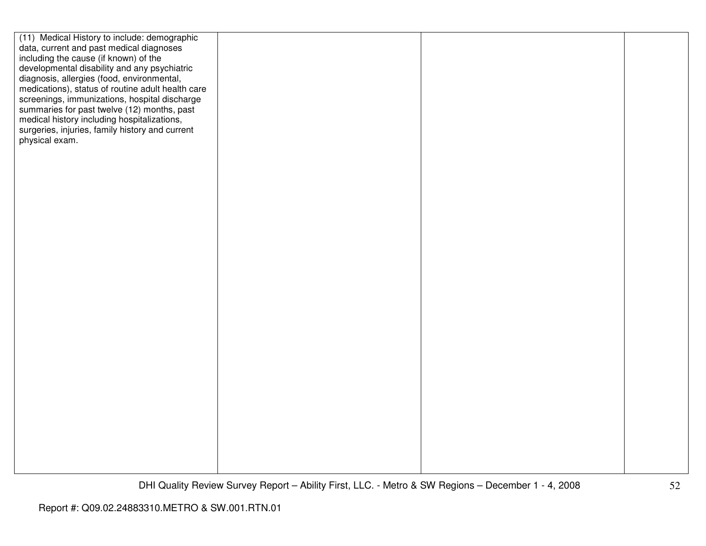| (11) Medical History to include: demographic      |  |  |
|---------------------------------------------------|--|--|
| data, current and past medical diagnoses          |  |  |
| including the cause (if known) of the             |  |  |
| developmental disability and any psychiatric      |  |  |
| diagnosis, allergies (food, environmental,        |  |  |
| medications), status of routine adult health care |  |  |
| screenings, immunizations, hospital discharge     |  |  |
| summaries for past twelve (12) months, past       |  |  |
| medical history including hospitalizations,       |  |  |
| surgeries, injuries, family history and current   |  |  |
| physical exam.                                    |  |  |
|                                                   |  |  |
|                                                   |  |  |
|                                                   |  |  |
|                                                   |  |  |
|                                                   |  |  |
|                                                   |  |  |
|                                                   |  |  |
|                                                   |  |  |
|                                                   |  |  |
|                                                   |  |  |
|                                                   |  |  |
|                                                   |  |  |
|                                                   |  |  |
|                                                   |  |  |
|                                                   |  |  |
|                                                   |  |  |
|                                                   |  |  |
|                                                   |  |  |
|                                                   |  |  |
|                                                   |  |  |
|                                                   |  |  |
|                                                   |  |  |
|                                                   |  |  |
|                                                   |  |  |
|                                                   |  |  |
|                                                   |  |  |
|                                                   |  |  |
|                                                   |  |  |
|                                                   |  |  |
|                                                   |  |  |
|                                                   |  |  |
|                                                   |  |  |
|                                                   |  |  |
|                                                   |  |  |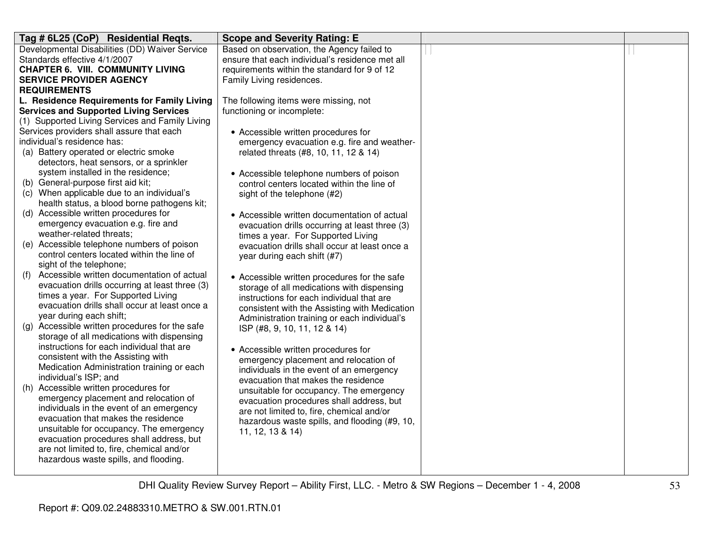| Tag # 6L25 (CoP) Residential Reqts.                                                          | <b>Scope and Severity Rating: E</b>             |  |
|----------------------------------------------------------------------------------------------|-------------------------------------------------|--|
| Developmental Disabilities (DD) Waiver Service                                               | Based on observation, the Agency failed to      |  |
| Standards effective 4/1/2007                                                                 | ensure that each individual's residence met all |  |
| <b>CHAPTER 6. VIII. COMMUNITY LIVING</b>                                                     | requirements within the standard for 9 of 12    |  |
| <b>SERVICE PROVIDER AGENCY</b>                                                               | Family Living residences.                       |  |
| <b>REQUIREMENTS</b>                                                                          |                                                 |  |
| L. Residence Requirements for Family Living                                                  | The following items were missing, not           |  |
| <b>Services and Supported Living Services</b>                                                | functioning or incomplete:                      |  |
| (1) Supported Living Services and Family Living                                              |                                                 |  |
| Services providers shall assure that each                                                    | • Accessible written procedures for             |  |
| individual's residence has:                                                                  | emergency evacuation e.g. fire and weather-     |  |
| (a) Battery operated or electric smoke                                                       | related threats (#8, 10, 11, 12 & 14)           |  |
| detectors, heat sensors, or a sprinkler                                                      |                                                 |  |
| system installed in the residence;                                                           | • Accessible telephone numbers of poison        |  |
| (b) General-purpose first aid kit;                                                           | control centers located within the line of      |  |
| (c) When applicable due to an individual's                                                   | sight of the telephone (#2)                     |  |
| health status, a blood borne pathogens kit;                                                  |                                                 |  |
| (d) Accessible written procedures for                                                        | • Accessible written documentation of actual    |  |
| emergency evacuation e.g. fire and                                                           | evacuation drills occurring at least three (3)  |  |
| weather-related threats;                                                                     | times a year. For Supported Living              |  |
| (e) Accessible telephone numbers of poison                                                   | evacuation drills shall occur at least once a   |  |
| control centers located within the line of                                                   | year during each shift (#7)                     |  |
| sight of the telephone;                                                                      |                                                 |  |
| Accessible written documentation of actual<br>(f)                                            | • Accessible written procedures for the safe    |  |
| evacuation drills occurring at least three (3)                                               | storage of all medications with dispensing      |  |
| times a year. For Supported Living                                                           | instructions for each individual that are       |  |
| evacuation drills shall occur at least once a                                                | consistent with the Assisting with Medication   |  |
| year during each shift;                                                                      | Administration training or each individual's    |  |
| (g) Accessible written procedures for the safe<br>storage of all medications with dispensing | ISP (#8, 9, 10, 11, 12 & 14)                    |  |
| instructions for each individual that are                                                    |                                                 |  |
| consistent with the Assisting with                                                           | • Accessible written procedures for             |  |
| Medication Administration training or each                                                   | emergency placement and relocation of           |  |
| individual's ISP; and                                                                        | individuals in the event of an emergency        |  |
| (h) Accessible written procedures for                                                        | evacuation that makes the residence             |  |
| emergency placement and relocation of                                                        | unsuitable for occupancy. The emergency         |  |
| individuals in the event of an emergency                                                     | evacuation procedures shall address, but        |  |
| evacuation that makes the residence                                                          | are not limited to, fire, chemical and/or       |  |
| unsuitable for occupancy. The emergency                                                      | hazardous waste spills, and flooding (#9, 10,   |  |
| evacuation procedures shall address, but                                                     | 11, 12, 13 & 14)                                |  |
| are not limited to, fire, chemical and/or                                                    |                                                 |  |
| hazardous waste spills, and flooding.                                                        |                                                 |  |
|                                                                                              |                                                 |  |